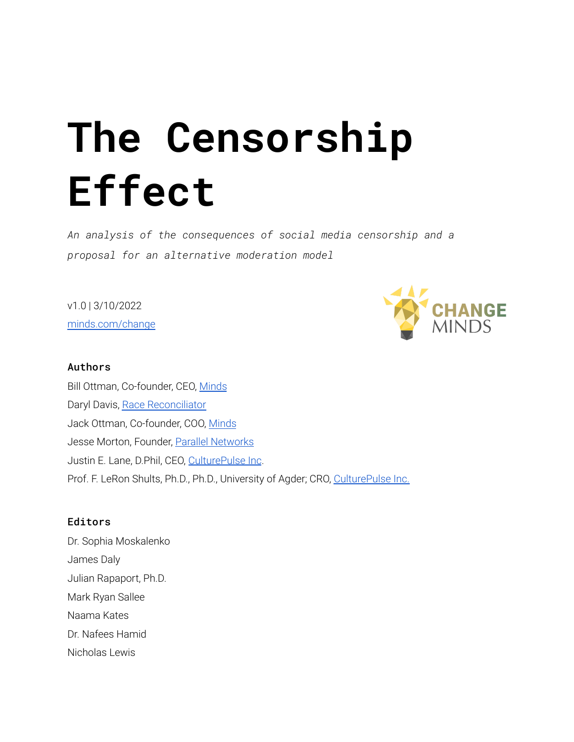# **The Censorship Effect**

*An analysis of the consequences of social media censorship and a proposal for an alternative moderation model*

v1.0 | 3/10/2022 [minds.com/change](https://minds.com/change)



#### Authors

Bill Ottman, Co-founder, CEO, [Minds](http://minds.com/ottman) Daryl Davis, Race [Reconciliator](https://www.daryldavis.com/) Jack Ottman, Co-founder, COO, [Minds](http://minds.com/jack) Jesse Morton, Founder, Parallel [Networks](http://pnetworks.org/) Justin E. Lane, D.Phil, CEO, [CulturePulse](http://www.culturepulse.ai) Inc. Prof. F. LeRon Shults, Ph.D., Ph.D., University of Agder; CRO, [CulturePulse](http://www.culturepulse.ai) Inc.

#### Editors

Dr. Sophia Moskalenko James Daly Julian Rapaport, Ph.D. Mark Ryan Sallee Naama Kates Dr. Nafees Hamid Nicholas Lewis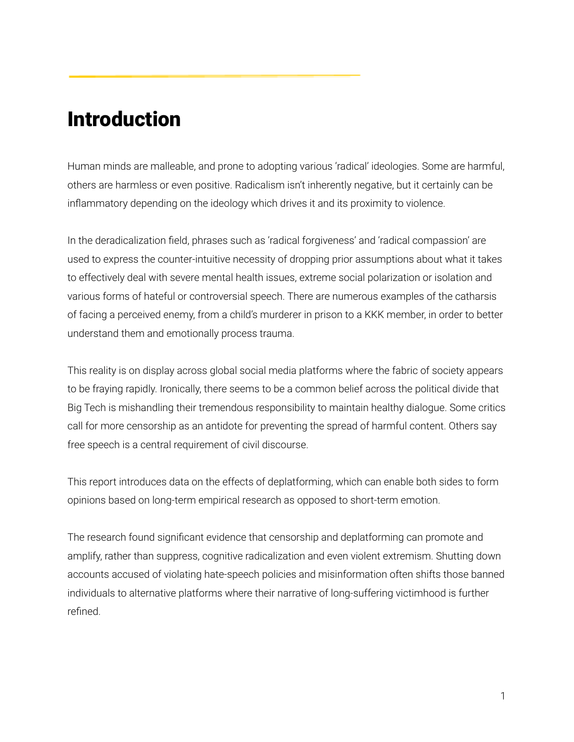### <span id="page-1-0"></span>Introduction

Human minds are malleable, and prone to adopting various 'radical' ideologies. Some are harmful, others are harmless or even positive. Radicalism isn't inherently negative, but it certainly can be inflammatory depending on the ideology which drives it and its proximity to violence.

In the deradicalization field, phrases such as 'radical forgiveness' and 'radical compassion' are used to express the counter-intuitive necessity of dropping prior assumptions about what it takes to effectively deal with severe mental health issues, extreme social polarization or isolation and various forms of hateful or controversial speech. There are numerous examples of the catharsis of facing a perceived enemy, from a child's murderer in prison to a KKK member, in order to better understand them and emotionally process trauma.

This reality is on display across global social media platforms where the fabric of society appears to be fraying rapidly. Ironically, there seems to be a common belief across the political divide that Big Tech is mishandling their tremendous responsibility to maintain healthy dialogue. Some critics call for more censorship as an antidote for preventing the spread of harmful content. Others say free speech is a central requirement of civil discourse.

This report introduces data on the effects of deplatforming, which can enable both sides to form opinions based on long-term empirical research as opposed to short-term emotion.

The research found significant evidence that censorship and deplatforming can promote and amplify, rather than suppress, cognitive radicalization and even violent extremism. Shutting down accounts accused of violating hate-speech policies and misinformation often shifts those banned individuals to alternative platforms where their narrative of long-suffering victimhood is further refined.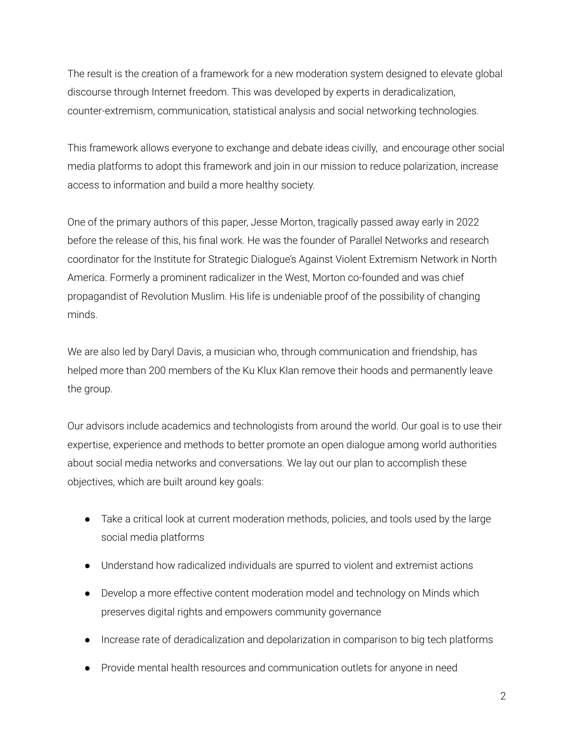The result is the creation of a framework for a new moderation system designed to elevate global discourse through Internet freedom. This was developed by experts in deradicalization, counter-extremism, communication, statistical analysis and social networking technologies.

This framework allows everyone to exchange and debate ideas civilly, and encourage other social media platforms to adopt this framework and join in our mission to reduce polarization, increase access to information and build a more healthy society.

One of the primary authors of this paper, Jesse Morton, tragically passed away early in 2022 before the release of this, his final work. He was the founder of Parallel Networks and research coordinator for the Institute for Strategic Dialogue's Against Violent Extremism Network in North America. Formerly a prominent radicalizer in the West, Morton co-founded and was chief propagandist of Revolution Muslim. His life is undeniable proof of the possibility of changing minds.

We are also led by Daryl Davis, a musician who, through communication and friendship, has helped more than 200 members of the Ku Klux Klan remove their hoods and permanently leave the group.

Our advisors include academics and technologists from around the world. Our goal is to use their expertise, experience and methods to better promote an open dialogue among world authorities about social media networks and conversations. We lay out our plan to accomplish these objectives, which are built around key goals:

- Take a critical look at current moderation methods, policies, and tools used by the large social media platforms
- Understand how radicalized individuals are spurred to violent and extremist actions
- Develop a more effective content moderation model and technology on Minds which preserves digital rights and empowers community governance
- Increase rate of deradicalization and depolarization in comparison to big tech platforms
- Provide mental health resources and communication outlets for anyone in need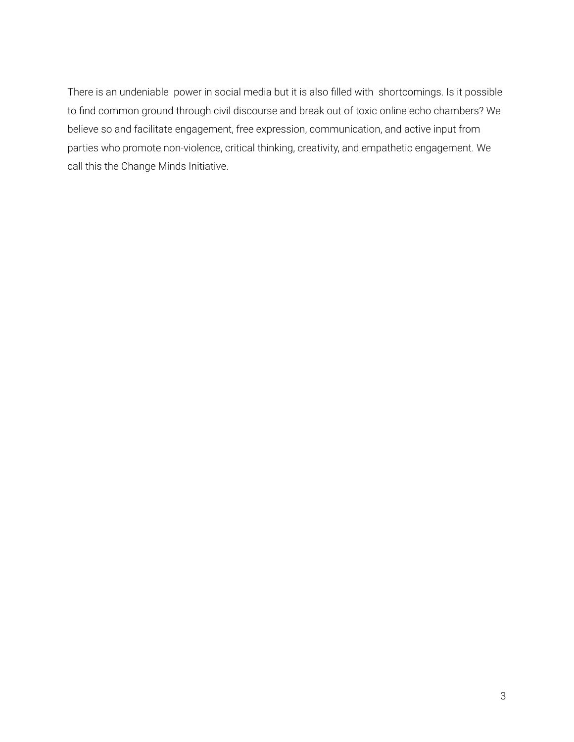There is an undeniable power in social media but it is also filled with shortcomings. Is it possible to find common ground through civil discourse and break out of toxic online echo chambers? We believe so and facilitate engagement, free expression, communication, and active input from parties who promote non-violence, critical thinking, creativity, and empathetic engagement. We call this the Change Minds Initiative.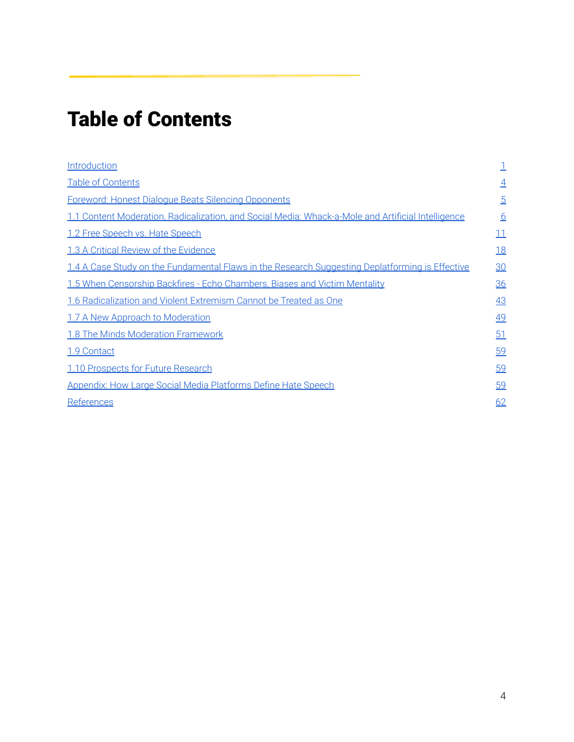# <span id="page-4-0"></span>Table of Contents

| Introduction                                                                                       |                |
|----------------------------------------------------------------------------------------------------|----------------|
| <b>Table of Contents</b>                                                                           | $\overline{4}$ |
| <b>Foreword: Honest Dialoque Beats Silencing Opponents</b>                                         | $\overline{5}$ |
| 1.1 Content Moderation, Radicalization, and Social Media: Whack-a-Mole and Artificial Intelligence | <u>6</u>       |
| 1.2 Free Speech vs. Hate Speech                                                                    | 11             |
| 1.3 A Critical Review of the Evidence                                                              | <u>18</u>      |
| 1.4 A Case Study on the Fundamental Flaws in the Research Suggesting Deplatforming is Effective    | 30             |
| 1.5 When Censorship Backfires - Echo Chambers, Biases and Victim Mentality                         | 36             |
| 1.6 Radicalization and Violent Extremism Cannot be Treated as One                                  | 43             |
| 1.7 A New Approach to Moderation                                                                   | 49             |
| <b>1.8 The Minds Moderation Framework</b>                                                          | 51             |
| 1.9 Contact                                                                                        | 59             |
| 1.10 Prospects for Future Research                                                                 | 59             |
| <b>Appendix: How Large Social Media Platforms Define Hate Speech</b>                               | 59             |
| References                                                                                         | 62             |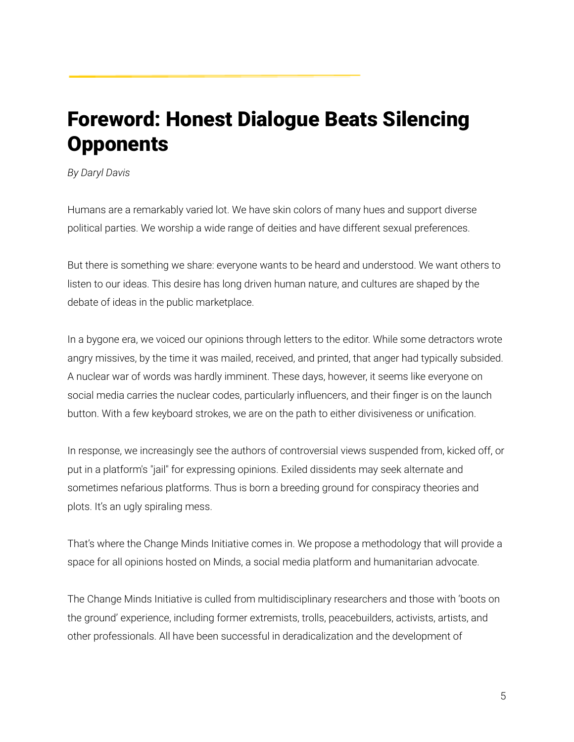# <span id="page-5-0"></span>Foreword: Honest Dialogue Beats Silencing **Opponents**

#### *By Daryl Davis*

Humans are a remarkably varied lot. We have skin colors of many hues and support diverse political parties. We worship a wide range of deities and have different sexual preferences.

But there is something we share: everyone wants to be heard and understood. We want others to listen to our ideas. This desire has long driven human nature, and cultures are shaped by the debate of ideas in the public marketplace.

In a bygone era, we voiced our opinions through letters to the editor. While some detractors wrote angry missives, by the time it was mailed, received, and printed, that anger had typically subsided. A nuclear war of words was hardly imminent. These days, however, it seems like everyone on social media carries the nuclear codes, particularly influencers, and their finger is on the launch button. With a few keyboard strokes, we are on the path to either divisiveness or unification.

In response, we increasingly see the authors of controversial views suspended from, kicked off, or put in a platform's "jail" for expressing opinions. Exiled dissidents may seek alternate and sometimes nefarious platforms. Thus is born a breeding ground for conspiracy theories and plots. It's an ugly spiraling mess.

That's where the Change Minds Initiative comes in. We propose a methodology that will provide a space for all opinions hosted on Minds, a social media platform and humanitarian advocate.

The Change Minds Initiative is culled from multidisciplinary researchers and those with 'boots on the ground' experience, including former extremists, trolls, peacebuilders, activists, artists, and other professionals. All have been successful in deradicalization and the development of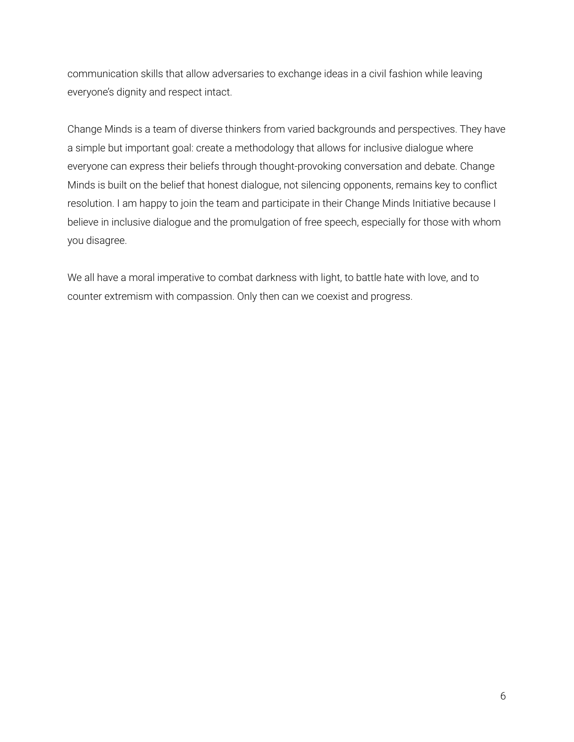communication skills that allow adversaries to exchange ideas in a civil fashion while leaving everyone's dignity and respect intact.

Change Minds is a team of diverse thinkers from varied backgrounds and perspectives. They have a simple but important goal: create a methodology that allows for inclusive dialogue where everyone can express their beliefs through thought-provoking conversation and debate. Change Minds is built on the belief that honest dialogue, not silencing opponents, remains key to conflict resolution. I am happy to join the team and participate in their Change Minds Initiative because I believe in inclusive dialogue and the promulgation of free speech, especially for those with whom you disagree.

We all have a moral imperative to combat darkness with light, to battle hate with love, and to counter extremism with compassion. Only then can we coexist and progress.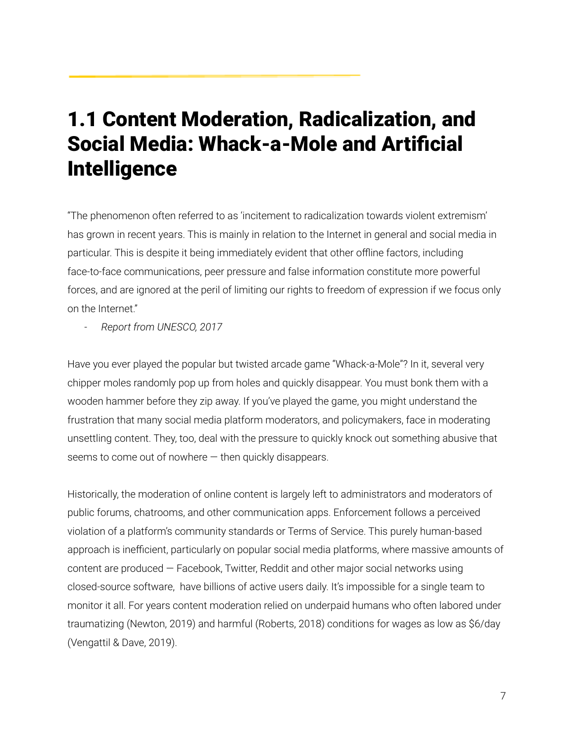# 1.1 Content Moderation, Radicalization, and Social Media: Whack-a-Mole and Artificial **Intelligence**

"The phenomenon often referred to as 'incitement to radicalization towards violent extremism' has grown in recent years. This is mainly in relation to the Internet in general and social media in particular. This is despite it being immediately evident that other offline factors, including face-to-face communications, peer pressure and false information constitute more powerful forces, and are ignored at the peril of limiting our rights to freedom of expression if we focus only on the Internet."

*- Report from UNESCO, 2017*

Have you ever played the popular but twisted arcade game "Whack-a-Mole"? In it, several very chipper moles randomly pop up from holes and quickly disappear. You must bonk them with a wooden hammer before they zip away. If you've played the game, you might understand the frustration that many social media platform moderators, and policymakers, face in moderating unsettling content. They, too, deal with the pressure to quickly knock out something abusive that seems to come out of nowhere  $-$  then quickly disappears.

Historically, the moderation of online content is largely left to administrators and moderators of public forums, chatrooms, and other communication apps. Enforcement follows a perceived violation of a platform's community standards or Terms of Service. This purely human-based approach is inefficient, particularly on popular social media platforms, where massive amounts of content are produced — Facebook, Twitter, Reddit and other major social networks using closed-source software, have billions of active users daily. It's impossible for a single team to monitor it all. For years content moderation relied on underpaid humans who often labored under traumatizing (Newton, 2019) and harmful (Roberts, 2018) conditions for wages as low as \$6/day (Vengattil & Dave, 2019).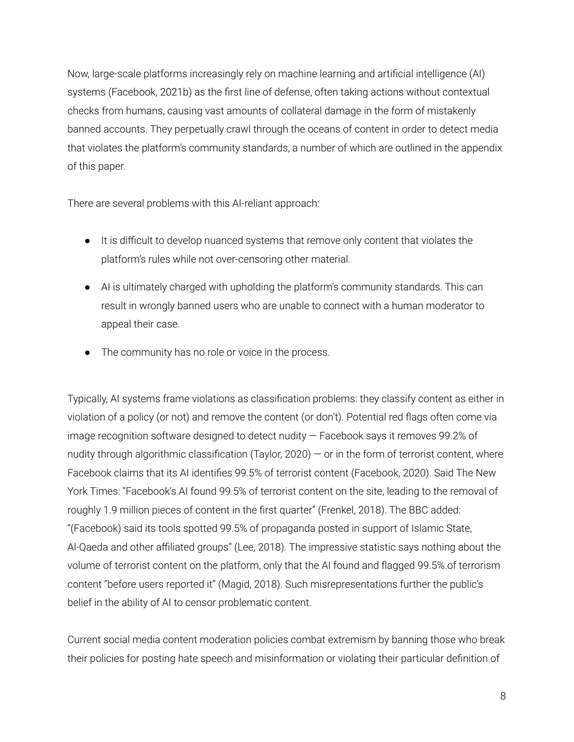Now, large-scale platforms increasingly rely on machine learning and artificial intelligence (AI) systems (Facebook, 2021b) as the first line of defense, often taking actions without contextual checks from humans, causing vast amounts of collateral damage in the form of mistakenly banned accounts. They perpetually crawl through the oceans of content in order to detect media that violates the platform's community standards, a number of which are outlined in the appendix of this paper.

There are several problems with this AI-reliant approach:

- It is difficult to develop nuanced systems that remove only content that violates the platform's rules while not over-censoring other material.
- AI is ultimately charged with upholding the platform's community standards. This can result in wrongly banned users who are unable to connect with a human moderator to appeal their case.
- The community has no role or voice in the process.

Typically, AI systems frame violations as classification problems: they classify content as either in violation of a policy (or not) and remove the content (or don't). Potential red flags often come via image recognition software designed to detect nudity — Facebook says it removes 99.2% of nudity through algorithmic classification (Taylor, 2020) — or in the form of terrorist content, where Facebook claims that its AI identifies 99.5% of terrorist content (Facebook, 2020). Said The New York Times: "Facebook's AI found 99.5% of terrorist content on the site, leading to the removal of roughly 1.9 million pieces of content in the first quarter" (Frenkel, 2018). The BBC added: "(Facebook) said its tools spotted 99.5% of propaganda posted in support of Islamic State, Al-Qaeda and other affiliated groups" (Lee, 2018). The impressive statistic says nothing about the volume of terrorist content on the platform, only that the AI found and flagged 99.5%.of terrorism content "before users reported it" (Magid, 2018). Such misrepresentations further the public's belief in the ability of AI to censor problematic content.

Current social media content moderation policies combat extremism by banning those who break their policies for posting hate speech and misinformation or violating their particular definition of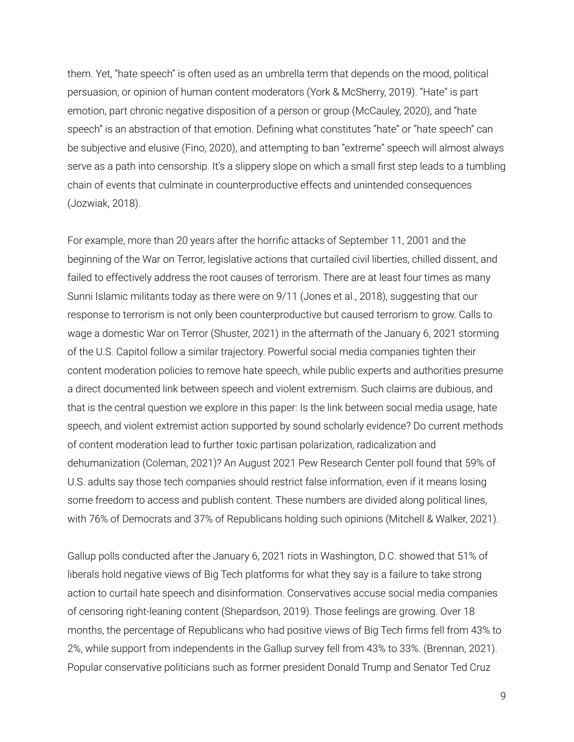them. Yet, "hate speech" is often used as an umbrella term that depends on the mood, political persuasion, or opinion of human content moderators (York & McSherry, 2019). "Hate" is part emotion, part chronic negative disposition of a person or group (McCauley, 2020), and "hate speech" is an abstraction of that emotion. Defining what constitutes "hate" or "hate speech" can be subjective and elusive (Fino, 2020), and attempting to ban "extreme" speech will almost always serve as a path into censorship. It's a slippery slope on which a small first step leads to a tumbling chain of events that culminate in counterproductive effects and unintended consequences (Jozwiak, 2018).

For example, more than 20 years after the horrific attacks of September 11, 2001 and the beginning of the War on Terror, legislative actions that curtailed civil liberties, chilled dissent, and failed to effectively address the root causes of terrorism. There are at least four times as many Sunni Islamic militants today as there were on 9/11 (Jones et al., 2018), suggesting that our response to terrorism is not only been counterproductive but caused terrorism to grow. Calls to wage a domestic War on Terror (Shuster, 2021) in the aftermath of the January 6, 2021 storming of the U.S. Capitol follow a similar trajectory. Powerful social media companies tighten their content moderation policies to remove hate speech, while public experts and authorities presume a direct documented link between speech and violent extremism. Such claims are dubious, and that is the central question we explore in this paper: Is the link between social media usage, hate speech, and violent extremist action supported by sound scholarly evidence? Do current methods of content moderation lead to further toxic partisan polarization, radicalization and dehumanization (Coleman, 2021)? An August 2021 Pew Research Center poll found that 59% of U.S. adults say those tech companies should restrict false information, even if it means losing some freedom to access and publish content. These numbers are divided along political lines, with 76% of Democrats and 37% of Republicans holding such opinions (Mitchell & Walker, 2021).

Gallup polls conducted after the January 6, 2021 riots in Washington, D.C. showed that 51% of liberals hold negative views of Big Tech platforms for what they say is a failure to take strong action to curtail hate speech and disinformation. Conservatives accuse social media companies of censoring right-leaning content (Shepardson, 2019). Those feelings are growing. Over 18 months, the percentage of Republicans who had positive views of Big Tech firms fell from 43% to 2%, while support from independents in the Gallup survey fell from 43% to 33%. (Brennan, 2021). Popular conservative politicians such as former president Donald Trump and Senator Ted Cruz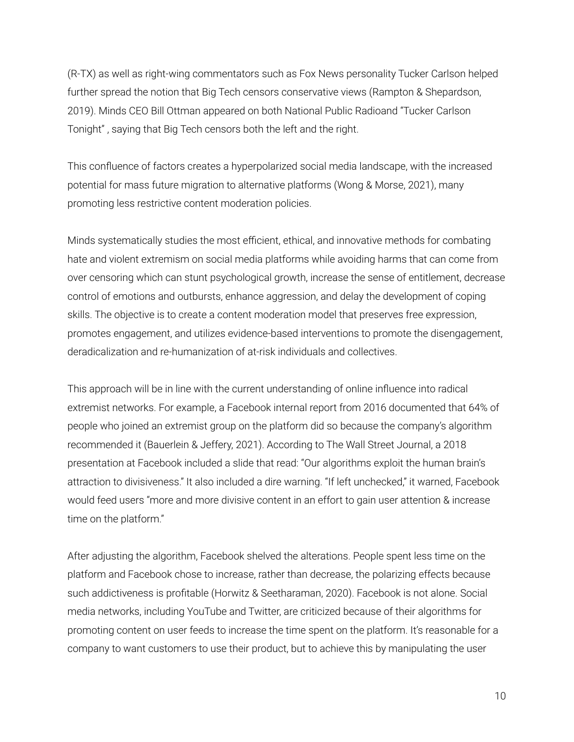(R-TX) as well as right-wing commentators such as Fox News personality Tucker Carlson helped further spread the notion that Big Tech censors conservative views (Rampton & Shepardson, 2019). Minds CEO Bill Ottman appeared on both National Public Radioand "Tucker Carlson Tonight" , saying that Big Tech censors both the left and the right.

This confluence of factors creates a hyperpolarized social media landscape, with the increased potential for mass future migration to alternative platforms (Wong & Morse, 2021), many promoting less restrictive content moderation policies.

Minds systematically studies the most efficient, ethical, and innovative methods for combating hate and violent extremism on social media platforms while avoiding harms that can come from over censoring which can stunt psychological growth, increase the sense of entitlement, decrease control of emotions and outbursts, enhance aggression, and delay the development of coping skills. The objective is to create a content moderation model that preserves free expression, promotes engagement, and utilizes evidence-based interventions to promote the disengagement, deradicalization and re-humanization of at-risk individuals and collectives.

This approach will be in line with the current understanding of online influence into radical extremist networks. For example, a Facebook internal report from 2016 documented that 64% of people who joined an extremist group on the platform did so because the company's algorithm recommended it (Bauerlein & Jeffery, 2021). According to The Wall Street Journal, a 2018 presentation at Facebook included a slide that read: "Our algorithms exploit the human brain's attraction to divisiveness." It also included a dire warning. "If left unchecked," it warned, Facebook would feed users "more and more divisive content in an effort to gain user attention & increase time on the platform."

After adjusting the algorithm, Facebook shelved the alterations. People spent less time on the platform and Facebook chose to increase, rather than decrease, the polarizing effects because such addictiveness is profitable (Horwitz & Seetharaman, 2020). Facebook is not alone. Social media networks, including YouTube and Twitter, are criticized because of their algorithms for promoting content on user feeds to increase the time spent on the platform. It's reasonable for a company to want customers to use their product, but to achieve this by manipulating the user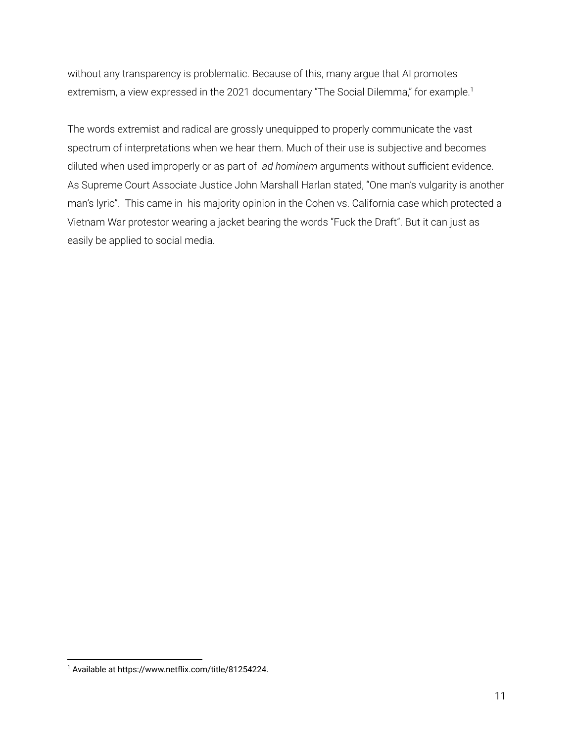without any transparency is problematic. Because of this, many argue that AI promotes extremism, a view expressed in the 2021 documentary "The Social Dilemma," for example.<sup>1</sup>

The words extremist and radical are grossly unequipped to properly communicate the vast spectrum of interpretations when we hear them. Much of their use is subjective and becomes diluted when used improperly or as part of *ad hominem* arguments without sufficient evidence. As Supreme Court Associate Justice John Marshall Harlan stated, "One man's vulgarity is another man's lyric". This came in his majority opinion in the Cohen vs. California case which protected a Vietnam War protestor wearing a jacket bearing the words "Fuck the Draft". But it can just as easily be applied to social media.

<sup>1</sup> Available at https://www.netflix.com/title/81254224.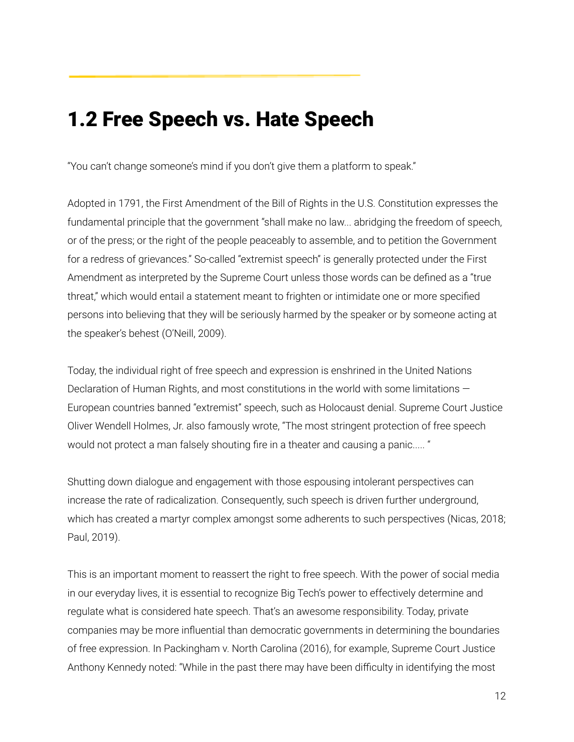# <span id="page-12-0"></span>1.2 Free Speech vs. Hate Speech

"You can't change someone's mind if you don't give them a platform to speak."

Adopted in 1791, the First Amendment of the Bill of Rights in the U.S. Constitution expresses the fundamental principle that the government "shall make no law... abridging the freedom of speech, or of the press; or the right of the people peaceably to assemble, and to petition the Government for a redress of grievances." So-called "extremist speech" is generally protected under the First Amendment as interpreted by the Supreme Court unless those words can be defined as a "true threat," which would entail a statement meant to frighten or intimidate one or more specified persons into believing that they will be seriously harmed by the speaker or by someone acting at the speaker's behest (O'Neill, 2009).

Today, the individual right of free speech and expression is enshrined in the United Nations Declaration of Human Rights, and most constitutions in the world with some limitations -European countries banned "extremist" speech, such as Holocaust denial. Supreme Court Justice Oliver Wendell Holmes, Jr. also famously wrote, "The most stringent protection of free speech would not protect a man falsely shouting fire in a theater and causing a panic..... "

Shutting down dialogue and engagement with those espousing intolerant perspectives can increase the rate of radicalization. Consequently, such speech is driven further underground, which has created a martyr complex amongst some adherents to such perspectives (Nicas, 2018; Paul, 2019).

This is an important moment to reassert the right to free speech. With the power of social media in our everyday lives, it is essential to recognize Big Tech's power to effectively determine and regulate what is considered hate speech. That's an awesome responsibility. Today, private companies may be more influential than democratic governments in determining the boundaries of free expression. In Packingham v. North Carolina (2016), for example, Supreme Court Justice Anthony Kennedy noted: "While in the past there may have been difficulty in identifying the most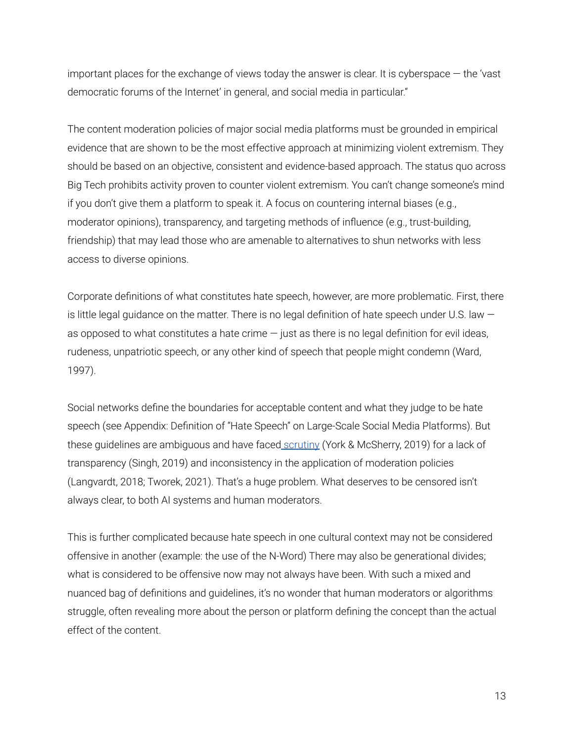important places for the exchange of views today the answer is clear. It is cyberspace — the 'vast democratic forums of the Internet' in general, and social media in particular."

The content moderation policies of major social media platforms must be grounded in empirical evidence that are shown to be the most effective approach at minimizing violent extremism. They should be based on an objective, consistent and evidence-based approach. The status quo across Big Tech prohibits activity proven to counter violent extremism. You can't change someone's mind if you don't give them a platform to speak it. A focus on countering internal biases (e.g., moderator opinions), transparency, and targeting methods of influence (e.g., trust-building, friendship) that may lead those who are amenable to alternatives to shun networks with less access to diverse opinions.

Corporate definitions of what constitutes hate speech, however, are more problematic. First, there is little legal guidance on the matter. There is no legal definition of hate speech under U.S. law  $$ as opposed to what constitutes a hate crime  $-$  just as there is no legal definition for evil ideas, rudeness, unpatriotic speech, or any other kind of speech that people might condemn (Ward, 1997).

Social networks define the boundaries for acceptable content and what they judge to be hate speech (see Appendix: Definition of "Hate Speech" on Large-Scale Social Media Platforms). But these guidelines are ambiguous and have faced [scrutiny](https://www.eff.org/deeplinks/2019/04/content-moderation-broken-let-us-count-ways) (York & McSherry, 2019) for a lack of transparency (Singh, 2019) and inconsistency in the application of moderation policies (Langvardt, 2018; Tworek, 2021). That's a huge problem. What deserves to be censored isn't always clear, to both AI systems and human moderators.

This is further complicated because hate speech in one cultural context may not be considered offensive in another (example: the use of the N-Word) There may also be generational divides; what is considered to be offensive now may not always have been. With such a mixed and nuanced bag of definitions and guidelines, it's no wonder that human moderators or algorithms struggle, often revealing more about the person or platform defining the concept than the actual effect of the content.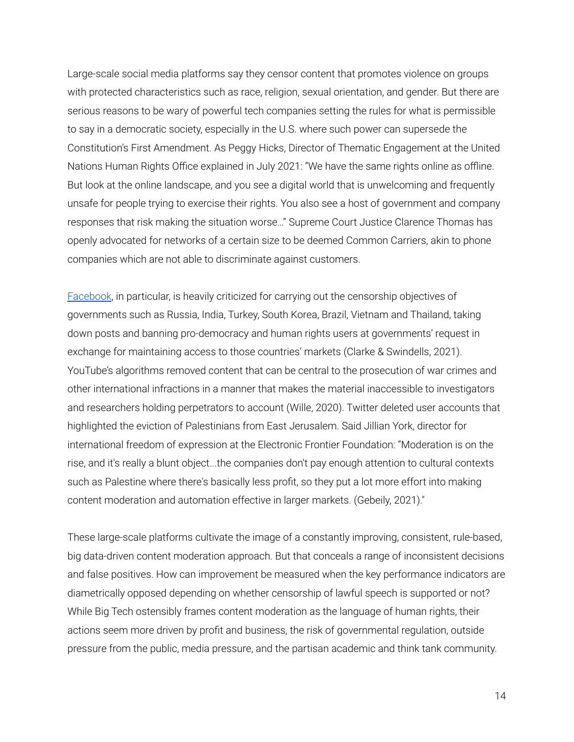Large-scale social media platforms say they censor content that promotes violence on groups with protected characteristics such as race, religion, sexual orientation, and gender. But there are serious reasons to be wary of powerful tech companies setting the rules for what is permissible to say in a democratic society, especially in the U.S. where such power can supersede the Constitution's First Amendment. As Peggy Hicks, Director of Thematic Engagement at the United Nations Human Rights Office explained in July 2021: "We have the same rights online as offline. But look at the online landscape, and you see a digital world that is unwelcoming and frequently unsafe for people trying to exercise their rights. You also see a host of government and company responses that risk making the situation worse…" Supreme Court Justice Clarence Thomas has openly advocated for networks of a certain size to be deemed Common Carriers, akin to phone companies which are not able to discriminate against customers.

[Facebook](https://www.latimes.com/world-nation/story/2020-10-22/facebook-censorship-suppress-dissent-vietnam), in particular, is heavily criticized for carrying out the censorship objectives of governments such as Russia, India, Turkey, South Korea, Brazil, Vietnam and Thailand, taking down posts and banning pro-democracy and human rights users at governments' request in exchange for maintaining access to those countries' markets (Clarke & Swindells, 2021). YouTube's algorithms removed content that can be central to the prosecution of war crimes and other international infractions in a manner that makes the material inaccessible to investigators and researchers holding perpetrators to account (Wille, 2020). Twitter deleted user accounts that highlighted the eviction of Palestinians from East Jerusalem. Said Jillian York, director for international freedom of expression at the Electronic Frontier Foundation: "Moderation is on the rise, and it's really a blunt object...the companies don't pay enough attention to cultural contexts such as Palestine where there's basically less profit, so they put a lot more effort into making content moderation and automation effective in larger markets. (Gebeily, 2021)."

These large-scale platforms cultivate the image of a constantly improving, consistent, rule-based, big data-driven content moderation approach. But that conceals a range of inconsistent decisions and false positives. How can improvement be measured when the key performance indicators are diametrically opposed depending on whether censorship of lawful speech is supported or not? While Big Tech ostensibly frames content moderation as the language of human rights, their actions seem more driven by profit and business, the risk of governmental regulation, outside pressure from the public, media pressure, and the partisan academic and think tank community.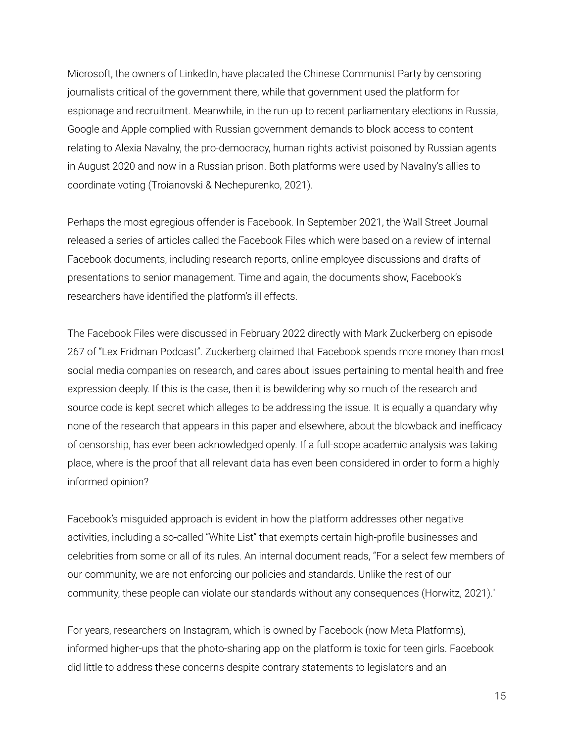Microsoft, the owners of LinkedIn, have placated the Chinese Communist Party by censoring journalists critical of the government there, while that government used the platform for espionage and recruitment. Meanwhile, in the run-up to recent parliamentary elections in Russia, Google and Apple complied with Russian government demands to block access to content relating to Alexia Navalny, the pro-democracy, human rights activist poisoned by Russian agents in August 2020 and now in a Russian prison. Both platforms were used by Navalny's allies to coordinate voting (Troianovski & Nechepurenko, 2021).

Perhaps the most egregious offender is Facebook. In September 2021, the Wall Street Journal released a series of articles called the Facebook Files which were based on a review of internal Facebook documents, including research reports, online employee discussions and drafts of presentations to senior management. Time and again, the documents show, Facebook's researchers have identified the platform's ill effects.

The Facebook Files were discussed in February 2022 directly with Mark Zuckerberg on episode 267 of "Lex Fridman Podcast". Zuckerberg claimed that Facebook spends more money than most social media companies on research, and cares about issues pertaining to mental health and free expression deeply. If this is the case, then it is bewildering why so much of the research and source code is kept secret which alleges to be addressing the issue. It is equally a quandary why none of the research that appears in this paper and elsewhere, about the blowback and inefficacy of censorship, has ever been acknowledged openly. If a full-scope academic analysis was taking place, where is the proof that all relevant data has even been considered in order to form a highly informed opinion?

Facebook's misguided approach is evident in how the platform addresses other negative activities, including a so-called "White List" that exempts certain high-profile businesses and celebrities from some or all of its rules. An internal document reads, "For a select few members of our community, we are not enforcing our policies and standards. Unlike the rest of our community, these people can violate our standards without any consequences (Horwitz, 2021)."

For years, researchers on Instagram, which is owned by Facebook (now Meta Platforms), informed higher-ups that the photo-sharing app on the platform is toxic for teen girls. Facebook did little to address these concerns despite contrary statements to legislators and an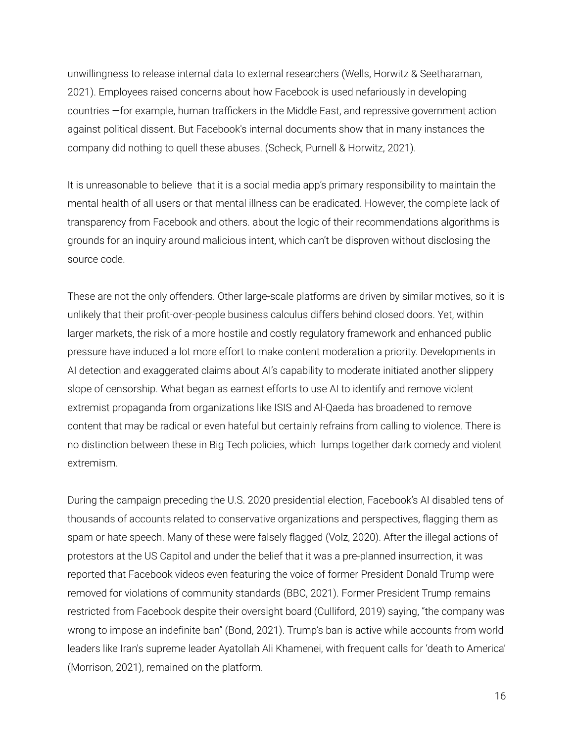unwillingness to release internal data to external researchers (Wells, Horwitz & Seetharaman, 2021). Employees raised concerns about how Facebook is used nefariously in developing countries —for example, human traffickers in the Middle East, and repressive government action against political dissent. But Facebook's internal documents show that in many instances the company did nothing to quell these abuses. (Scheck, Purnell & Horwitz, 2021).

It is unreasonable to believe that it is a social media app's primary responsibility to maintain the mental health of all users or that mental illness can be eradicated. However, the complete lack of transparency from Facebook and others. about the logic of their recommendations algorithms is grounds for an inquiry around malicious intent, which can't be disproven without disclosing the source code.

These are not the only offenders. Other large-scale platforms are driven by similar motives, so it is unlikely that their profit-over-people business calculus differs behind closed doors. Yet, within larger markets, the risk of a more hostile and costly regulatory framework and enhanced public pressure have induced a lot more effort to make content moderation a priority. Developments in AI detection and exaggerated claims about AI's capability to moderate initiated another slippery slope of censorship. What began as earnest efforts to use AI to identify and remove violent extremist propaganda from organizations like ISIS and Al-Qaeda has broadened to remove content that may be radical or even hateful but certainly refrains from calling to violence. There is no distinction between these in Big Tech policies, which lumps together dark comedy and violent extremism.

During the campaign preceding the U.S. 2020 presidential election, Facebook's AI disabled tens of thousands of accounts related to conservative organizations and perspectives, flagging them as spam or hate speech. Many of these were falsely flagged (Volz, 2020). After the illegal actions of protestors at the US Capitol and under the belief that it was a pre-planned insurrection, it was reported that Facebook videos even featuring the voice of former President Donald Trump were removed for violations of community standards (BBC, 2021). Former President Trump remains restricted from Facebook despite their oversight board (Culliford, 2019) saying, "the company was wrong to impose an indefinite ban" (Bond, 2021). Trump's ban is active while accounts from world leaders like Iran's supreme leader Ayatollah Ali Khamenei, with frequent calls for 'death to America' (Morrison, 2021), remained on the platform.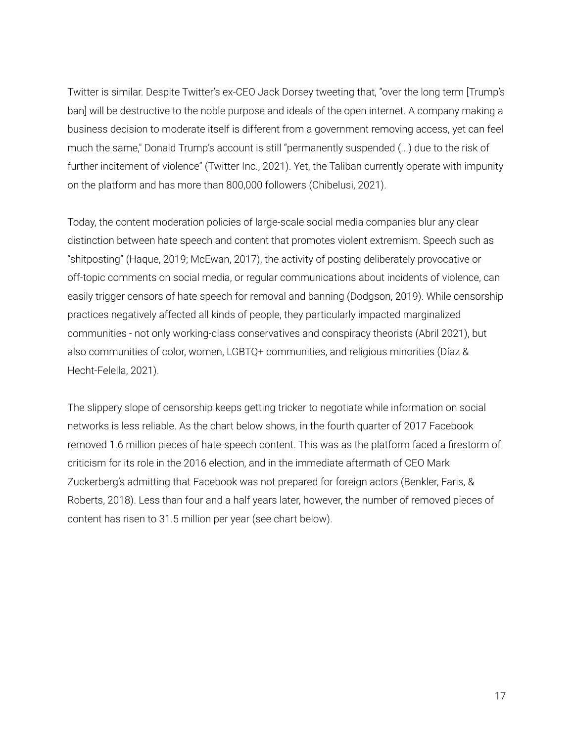Twitter is similar. Despite Twitter's ex-CEO Jack Dorsey tweeting that, "over the long term [Trump's ban] will be destructive to the noble purpose and ideals of the open internet. A company making a business decision to moderate itself is different from a government removing access, yet can feel much the same," Donald Trump's account is still "permanently suspended (...) due to the risk of further incitement of violence" (Twitter Inc., 2021). Yet, the Taliban currently operate with impunity on the platform and has more than 800,000 followers (Chibelusi, 2021).

Today, the content moderation policies of large-scale social media companies blur any clear distinction between hate speech and content that promotes violent extremism. Speech such as "shitposting" (Haque, 2019; McEwan, 2017), the activity of posting deliberately provocative or off-topic comments on social media, or regular communications about incidents of violence, can easily trigger censors of hate speech for removal and banning (Dodgson, 2019). While censorship practices negatively affected all kinds of people, they particularly impacted marginalized communities - not only working-class conservatives and conspiracy theorists (Abril 2021), but also communities of color, women, LGBTQ+ communities, and religious minorities (Díaz & Hecht-Felella, 2021).

The slippery slope of censorship keeps getting tricker to negotiate while information on social networks is less reliable. As the chart below shows, in the fourth quarter of 2017 Facebook removed 1.6 million pieces of hate-speech content. This was as the platform faced a firestorm of criticism for its role in the 2016 election, and in the immediate aftermath of CEO Mark Zuckerberg's admitting that Facebook was not prepared for foreign actors (Benkler, Faris, & Roberts, 2018). Less than four and a half years later, however, the number of removed pieces of content has risen to 31.5 million per year (see chart below).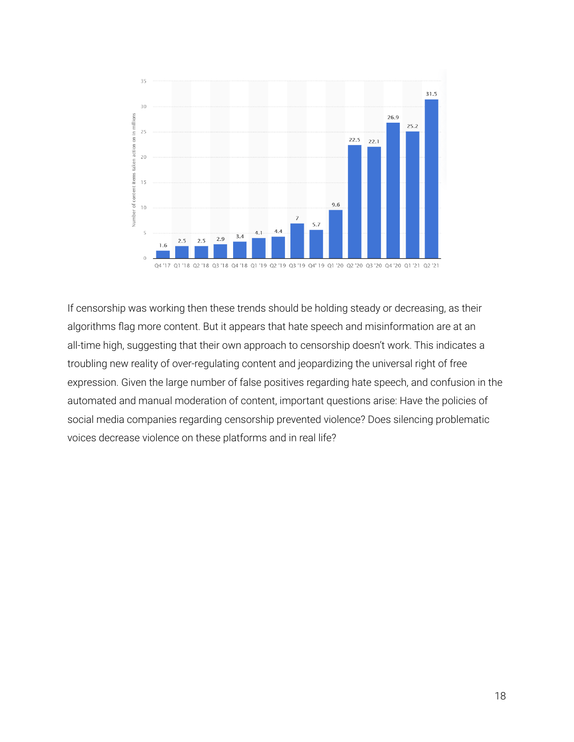

If censorship was working then these trends should be holding steady or decreasing, as their algorithms flag more content. But it appears that hate speech and misinformation are at an all-time high, suggesting that their own approach to censorship doesn't work. This indicates a troubling new reality of over-regulating content and jeopardizing the universal right of free expression. Given the large number of false positives regarding hate speech, and confusion in the automated and manual moderation of content, important questions arise: Have the policies of social media companies regarding censorship prevented violence? Does silencing problematic voices decrease violence on these platforms and in real life?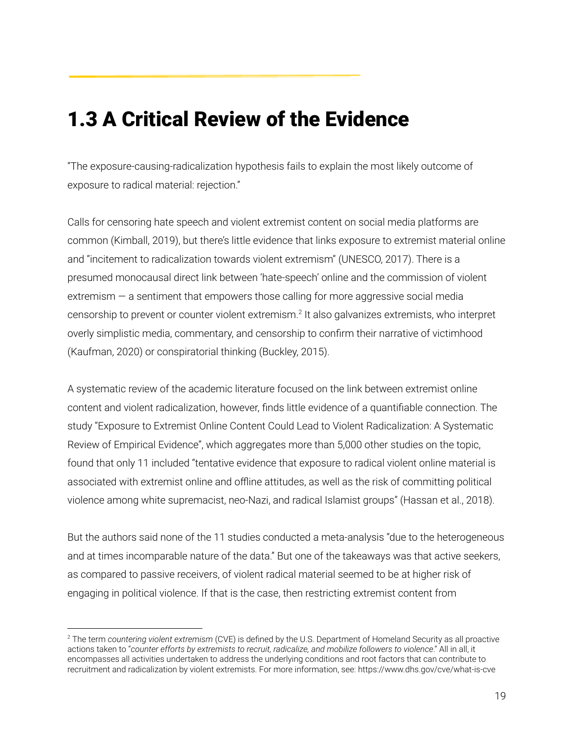### <span id="page-19-0"></span>1.3 A Critical Review of the Evidence

"The exposure-causing-radicalization hypothesis fails to explain the most likely outcome of exposure to radical material: rejection."

Calls for censoring hate speech and violent extremist content on social media platforms are common (Kimball, 2019), but there's little evidence that links exposure to extremist material online and "incitement to radicalization towards violent extremism" (UNESCO, 2017). There is a presumed monocausal direct link between 'hate-speech' online and the commission of violent extremism — a sentiment that empowers those calling for more aggressive social media censorship to prevent or counter violent extremism. 2 It also galvanizes extremists, who interpret overly simplistic media, commentary, and censorship to confirm their narrative of victimhood (Kaufman, 2020) or conspiratorial thinking (Buckley, 2015).

A systematic review of the academic literature focused on the link between extremist online content and violent radicalization, however, finds little evidence of a quantifiable connection. The study "Exposure to Extremist Online Content Could Lead to Violent Radicalization: A Systematic Review of Empirical Evidence", which aggregates more than 5,000 other studies on the topic, found that only 11 included "tentative evidence that exposure to radical violent online material is associated with extremist online and offline attitudes, as well as the risk of committing political violence among white supremacist, neo-Nazi, and radical Islamist groups" (Hassan et al., 2018).

But the authors said none of the 11 studies conducted a meta-analysis "due to the heterogeneous and at times incomparable nature of the data." But one of the takeaways was that active seekers, as compared to passive receivers, of violent radical material seemed to be at higher risk of engaging in political violence. If that is the case, then restricting extremist content from

<sup>2</sup> The term *countering violent extremism* (CVE) is defined by the U.S. Department of Homeland Security as all proactive actions taken to "*counter efforts by extremists to recruit, radicalize, and mobilize followers to violence*." All in all, it encompasses all activities undertaken to address the underlying conditions and root factors that can contribute to recruitment and radicalization by violent extremists. For more information, see: <https://www.dhs.gov/cve/what-is-cve>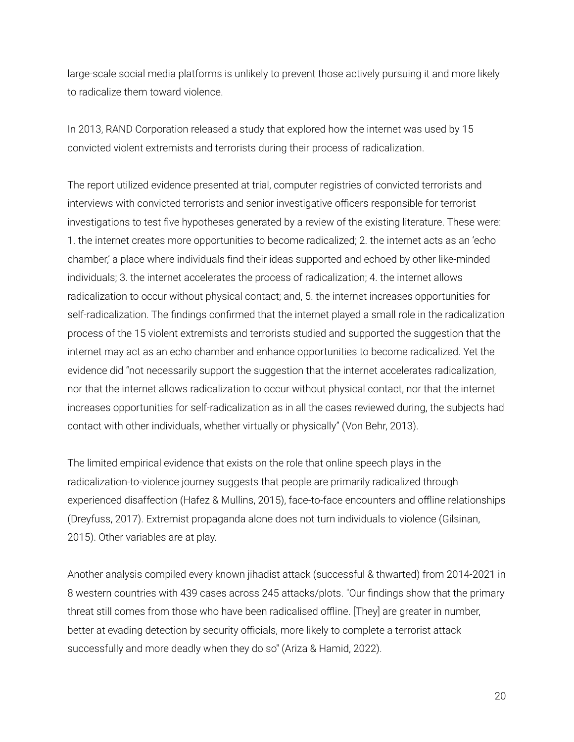large-scale social media platforms is unlikely to prevent those actively pursuing it and more likely to radicalize them toward violence.

In 2013, RAND Corporation released a study that explored how the internet was used by 15 convicted violent extremists and terrorists during their process of radicalization.

The report utilized evidence presented at trial, computer registries of convicted terrorists and interviews with convicted terrorists and senior investigative officers responsible for terrorist investigations to test five hypotheses generated by a review of the existing literature. These were: 1. the internet creates more opportunities to become radicalized; 2. the internet acts as an 'echo chamber,' a place where individuals find their ideas supported and echoed by other like-minded individuals; 3. the internet accelerates the process of radicalization; 4. the internet allows radicalization to occur without physical contact; and, 5. the internet increases opportunities for self-radicalization. The findings confirmed that the internet played a small role in the radicalization process of the 15 violent extremists and terrorists studied and supported the suggestion that the internet may act as an echo chamber and enhance opportunities to become radicalized. Yet the evidence did "not necessarily support the suggestion that the internet accelerates radicalization, nor that the internet allows radicalization to occur without physical contact, nor that the internet increases opportunities for self-radicalization as in all the cases reviewed during, the subjects had contact with other individuals, whether virtually or physically" (Von Behr, 2013).

The limited empirical evidence that exists on the role that online speech plays in the radicalization-to-violence journey suggests that people are primarily radicalized through experienced disaffection (Hafez & Mullins, 2015), face-to-face encounters and offline relationships (Dreyfuss, 2017). Extremist propaganda alone does not turn individuals to violence (Gilsinan, 2015). Other variables are at play.

Another analysis compiled every known jihadist attack (successful & thwarted) from 2014-2021 in 8 western countries with 439 cases across 245 attacks/plots. "Our findings show that the primary threat still comes from those who have been radicalised offline. [They] are greater in number, better at evading detection by security officials, more likely to complete a terrorist attack successfully and more deadly when they do so" (Ariza & Hamid, 2022).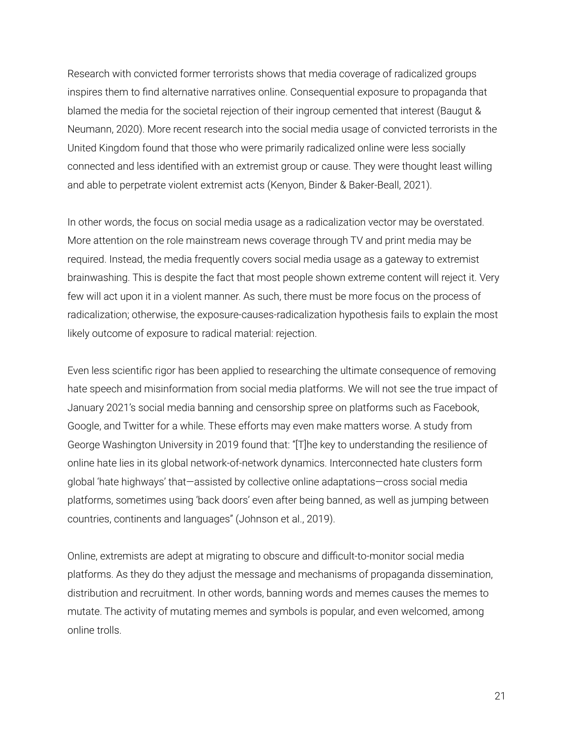Research with convicted former terrorists shows that media coverage of radicalized groups inspires them to find alternative narratives online. Consequential exposure to propaganda that blamed the media for the societal rejection of their ingroup cemented that interest (Baugut & Neumann, 2020). More recent research into the social media usage of convicted terrorists in the United Kingdom found that those who were primarily radicalized online were less socially connected and less identified with an extremist group or cause. They were thought least willing and able to perpetrate violent extremist acts (Kenyon, Binder & Baker-Beall, 2021).

In other words, the focus on social media usage as a radicalization vector may be overstated. More attention on the role mainstream news coverage through TV and print media may be required. Instead, the media frequently covers social media usage as a gateway to extremist brainwashing. This is despite the fact that most people shown extreme content will reject it. Very few will act upon it in a violent manner. As such, there must be more focus on the process of radicalization; otherwise, the exposure-causes-radicalization hypothesis fails to explain the most likely outcome of exposure to radical material: rejection.

Even less scientific rigor has been applied to researching the ultimate consequence of removing hate speech and misinformation from social media platforms. We will not see the true impact of January 2021's social media banning and censorship spree on platforms such as Facebook, Google, and Twitter for a while. These efforts may even make matters worse. A study from George Washington University in 2019 found that: "[T]he key to understanding the resilience of online hate lies in its global network-of-network dynamics. Interconnected hate clusters form global 'hate highways' that—assisted by collective online adaptations—cross social media platforms, sometimes using 'back doors' even after being banned, as well as jumping between countries, continents and languages" (Johnson et al., 2019).

Online, extremists are adept at migrating to obscure and difficult-to-monitor social media platforms. As they do they adjust the message and mechanisms of propaganda dissemination, distribution and recruitment. In other words, banning words and memes causes the memes to mutate. The activity of mutating memes and symbols is popular, and even welcomed, among online trolls.

21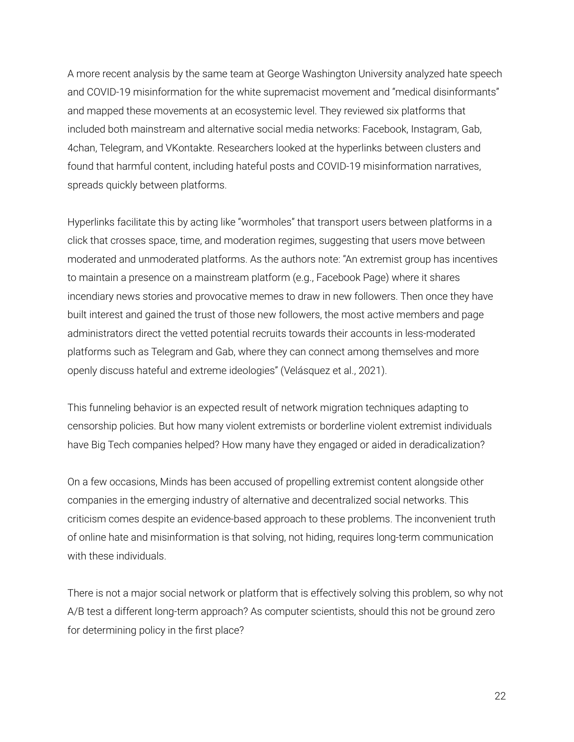A more recent analysis by the same team at George Washington University analyzed hate speech and COVID-19 misinformation for the white supremacist movement and "medical disinformants" and mapped these movements at an ecosystemic level. They reviewed six platforms that included both mainstream and alternative social media networks: Facebook, Instagram, Gab, 4chan, Telegram, and VKontakte. Researchers looked at the hyperlinks between clusters and found that harmful content, including hateful posts and COVID-19 misinformation narratives, spreads quickly between platforms.

Hyperlinks facilitate this by acting like "wormholes" that transport users between platforms in a click that crosses space, time, and moderation regimes, suggesting that users move between moderated and unmoderated platforms. As the authors note: "An extremist group has incentives to maintain a presence on a mainstream platform (e.g., Facebook Page) where it shares incendiary news stories and provocative memes to draw in new followers. Then once they have built interest and gained the trust of those new followers, the most active members and page administrators direct the vetted potential recruits towards their accounts in less-moderated platforms such as Telegram and Gab, where they can connect among themselves and more openly discuss hateful and extreme ideologies" (Velásquez et al., 2021).

This funneling behavior is an expected result of network migration techniques adapting to censorship policies. But how many violent extremists or borderline violent extremist individuals have Big Tech companies helped? How many have they engaged or aided in deradicalization?

On a few occasions, Minds has been accused of propelling extremist content alongside other companies in the emerging industry of alternative and decentralized social networks. This criticism comes despite an evidence-based approach to these problems. The inconvenient truth of online hate and misinformation is that solving, not hiding, requires long-term communication with these individuals.

There is not a major social network or platform that is effectively solving this problem, so why not A/B test a different long-term approach? As computer scientists, should this not be ground zero for determining policy in the first place?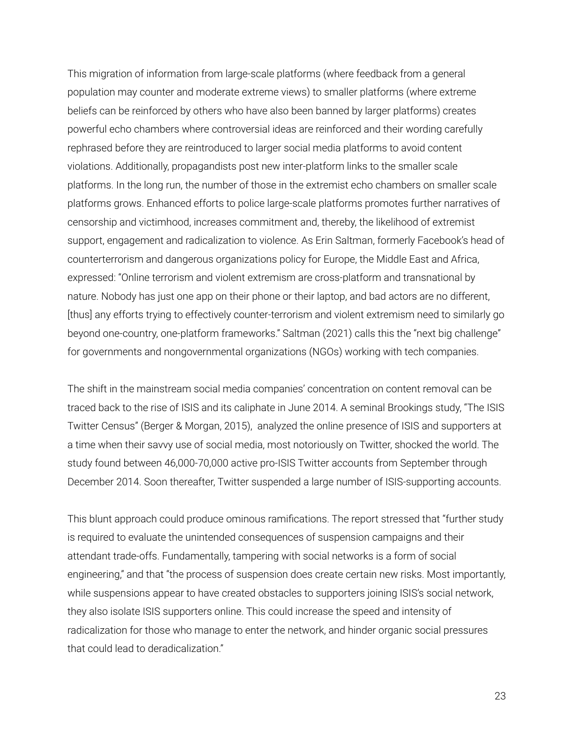This migration of information from large-scale platforms (where feedback from a general population may counter and moderate extreme views) to smaller platforms (where extreme beliefs can be reinforced by others who have also been banned by larger platforms) creates powerful echo chambers where controversial ideas are reinforced and their wording carefully rephrased before they are reintroduced to larger social media platforms to avoid content violations. Additionally, propagandists post new inter-platform links to the smaller scale platforms. In the long run, the number of those in the extremist echo chambers on smaller scale platforms grows. Enhanced efforts to police large-scale platforms promotes further narratives of censorship and victimhood, increases commitment and, thereby, the likelihood of extremist support, engagement and radicalization to violence. As Erin Saltman, formerly Facebook's head of counterterrorism and dangerous organizations policy for Europe, the Middle East and Africa, expressed: "Online terrorism and violent extremism are cross-platform and transnational by nature. Nobody has just one app on their phone or their laptop, and bad actors are no different, [thus] any efforts trying to effectively counter-terrorism and violent extremism need to similarly go beyond one-country, one-platform frameworks." Saltman (2021) calls this the "next big challenge" for governments and nongovernmental organizations (NGOs) working with tech companies[.](https://www.lawfareblog.com/challenges-combating-terrorism-and-extremism-online)

The shift in the mainstream social media companies' concentration on content removal can be traced back to the rise of ISIS and its caliphate in June 2014. A seminal Brookings study, "The ISIS Twitter Census" (Berger & Morgan, 2015), analyzed the online presence of ISIS and supporters at a time when their savvy use of social media, most notoriously on Twitter, shocked the world. The study found between 46,000-70,000 active pro-ISIS Twitter accounts from September through December 2014. Soon thereafter, Twitter suspended a large number of ISIS-supporting accounts.

This blunt approach could produce ominous ramifications. The report stressed that "further study is required to evaluate the unintended consequences of suspension campaigns and their attendant trade-offs. Fundamentally, tampering with social networks is a form of social engineering," and that "the process of suspension does create certain new risks. Most importantly, while suspensions appear to have created obstacles to supporters joining ISIS's social network, they also isolate ISIS supporters online. This could increase the speed and intensity of radicalization for those who manage to enter the network, and hinder organic social pressures that could lead to deradicalization."

23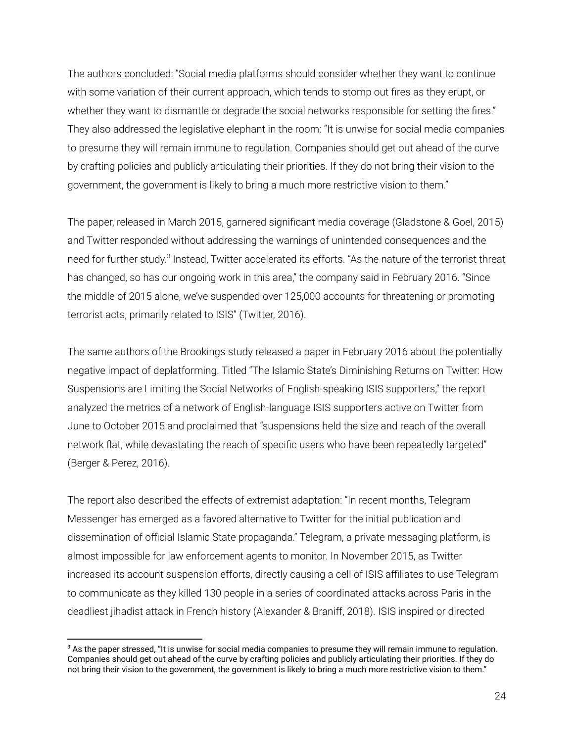The authors concluded: "Social media platforms should consider whether they want to continue with some variation of their current approach, which tends to stomp out fires as they erupt, or whether they want to dismantle or degrade the social networks responsible for setting the fires." They also addressed the legislative elephant in the room: "It is unwise for social media companies to presume they will remain immune to regulation. Companies should get out ahead of the curve by crafting policies and publicly articulating their priorities. If they do not bring their vision to the government, the government is likely to bring a much more restrictive vision to them."

The paper, released in March 2015, garnered significant media coverage (Gladstone & Goel, 2015) and Twitter responded without addressing the warnings of unintended consequences and the need for further study.<sup>3</sup> Instead, Twitter accelerated its efforts. "As the nature of the terrorist threat has changed, so has our ongoing work in this area," the company said in February 2016. "Since the middle of 2015 alone, we've suspended over 125,000 accounts for threatening or promoting terrorist acts, primarily related to ISIS" (Twitter, 2016).

The same authors of the Brookings study released a paper in February 2016 about the potentially negative impact of deplatforming. Titled "The Islamic State's Diminishing Returns on Twitter: How Suspensions are Limiting the Social Networks of English-speaking ISIS supporters," the report analyzed the metrics of a network of English-language ISIS supporters active on Twitter from June to October 2015 and proclaimed that "suspensions held the size and reach of the overall network flat, while devastating the reach of specific users who have been repeatedly targeted" (Berger & Perez, 2016).

The report also described the effects of extremist adaptation: "In recent months, Telegram Messenger has emerged as a favored alternative to Twitter for the initial publication and dissemination of official Islamic State propaganda." Telegram, a private messaging platform, is almost impossible for law enforcement agents to monitor. In November 2015, as Twitter increased its account suspension efforts, directly causing a cell of ISIS affiliates to use Telegram to communicate as they killed 130 people in a series of coordinated attacks across Paris in the deadliest jihadist attack in French history (Alexander & Braniff, 2018). ISIS inspired or directed

<sup>&</sup>lt;sup>3</sup> As the paper stressed, "It is unwise for social media companies to presume they will remain immune to regulation. Companies should get out ahead of the curve by crafting policies and publicly articulating their priorities. If they do not bring their vision to the government, the government is likely to bring a much more restrictive vision to them."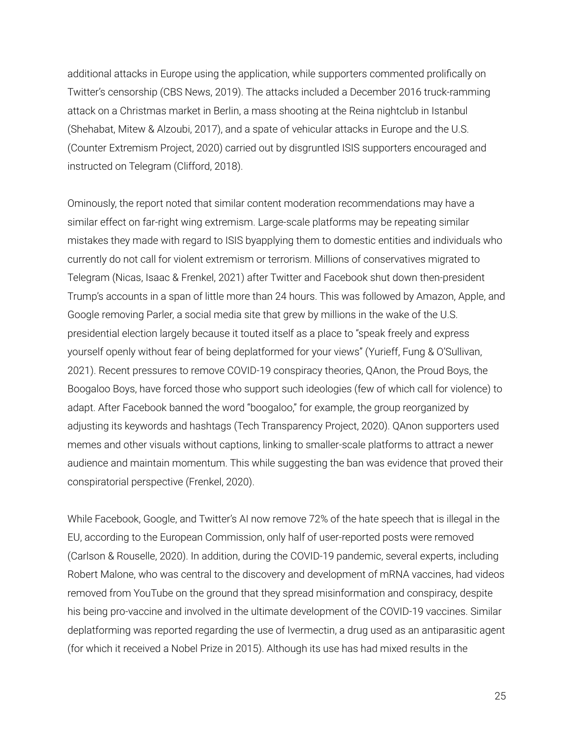additional attacks in Europe using the application, while supporters commented prolifically on Twitter's censorship (CBS News, 2019). The attacks included a December 2016 truck-ramming attack on a Christmas market in Berlin, a mass shooting at the Reina nightclub in Istanbul (Shehabat, Mitew & Alzoubi, 2017), and a spate of vehicular attacks in Europe and the U.S. (Counter Extremism Project, 2020) carried out by disgruntled ISIS supporters encouraged and instructed on Telegram (Clifford, 2018).

Ominously, the report noted that similar content moderation recommendations may have a similar effect on far-right wing extremism. Large-scale platforms may be repeating similar mistakes they made with regard to ISIS byapplying them to domestic entities and individuals who currently do not call for violent extremism or terrorism. Millions of conservatives migrated to Telegram (Nicas, Isaac & Frenkel, 2021) after Twitter and Facebook shut down then-president Trump's accounts in a span of little more than 24 hours. This was followed by Amazon, Apple, and Google removing Parler, a social media site that grew by millions in the wake of the U.S. presidential election largely because it touted itself as a place to "speak freely and express yourself openly without fear of being deplatformed for your views" (Yurieff, Fung & O'Sullivan, 2021). Recent pressures to remove COVID-19 conspiracy theories, QAnon, the Proud Boys, the Boogaloo Boys, have forced those who support such ideologies (few of which call for violence) to adapt. After Facebook banned the word "boogaloo," for example, the group reorganized by adjusting its keywords and hashtags (Tech Transparency Project, 2020). QAnon supporters used memes and other visuals without captions, linking to smaller-scale platforms to attract a newer audience and maintain momentum. This while suggesting the ban was evidence that proved their conspiratorial perspective (Frenkel, 2020).

While Facebook, Google, and Twitter's AI now remove 72% of the hate speech that is illegal in the EU, according to the European Commission, only half of user-reported posts were removed (Carlson & Rouselle, 2020). In addition, during the COVID-19 pandemic, several experts, including Robert Malone, who was central to the discovery and development of mRNA vaccines, had videos removed from YouTube on the ground that they spread misinformation and conspiracy, despite his being pro-vaccine and involved in the ultimate development of the COVID-19 vaccines. Similar deplatforming was reported regarding the use of Ivermectin, a drug used as an antiparasitic agent (for which it received a Nobel Prize in 2015). Although its use has had mixed results in the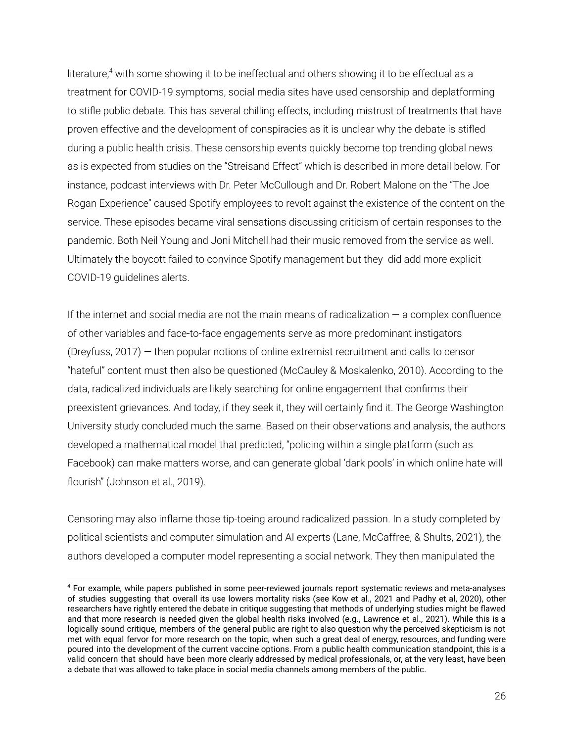literature,<sup>4</sup> with some showing it to be ineffectual and others showing it to be effectual as a treatment for COVID-19 symptoms, social media sites have used censorship and deplatforming to stifle public debate. This has several chilling effects, including mistrust of treatments that have proven effective and the development of conspiracies as it is unclear why the debate is stifled during a public health crisis. These censorship events quickly become top trending global news as is expected from studies on the "Streisand Effect" which is described in more detail below. For instance, podcast interviews with Dr. Peter McCullough and Dr. Robert Malone on the "The Joe Rogan Experience" caused Spotify employees to revolt against the existence of the content on the service. These episodes became viral sensations discussing criticism of certain responses to the pandemic. Both Neil Young and Joni Mitchell had their music removed from the service as well. Ultimately the boycott failed to convince Spotify management but they did add more explicit COVID-19 guidelines alerts.

If the internet and social media are not the main means of radicalization  $-$  a complex confluence of other variables and face-to-face engagements serve as more predominant instigators (Dreyfuss, 2017) — then popular notions of online extremist recruitment and calls to censor "hateful" content must then also be questioned (McCauley & Moskalenko, 2010). According to the data, radicalized individuals are likely searching for online engagement that confirms their preexistent grievances. And today, if they seek it, they will certainly find it. The George Washington University study concluded much the same. Based on their observations and analysis, the authors developed a mathematical model that predicted, "policing within a single platform (such as Facebook) can make matters worse, and can generate global 'dark pools' in which online hate will flourish" (Johnson et al., 2019).

Censoring may also inflame those tip-toeing around radicalized passion. In a study completed by political scientists and computer simulation and AI experts (Lane, McCaffree, & Shults, 2021), the authors developed a computer model representing a social network. They then manipulated the

<sup>4</sup> For example, while papers published in some peer-reviewed journals report systematic reviews and meta-analyses of studies suggesting that overall its use lowers mortality risks (see Kow et al., 2021 and Padhy et al, 2020), other researchers have rightly entered the debate in critique suggesting that methods of underlying studies might be flawed and that more research is needed given the global health risks involved (e.g., Lawrence et al., 2021). While this is a logically sound critique, members of the general public are right to also question why the perceived skepticism is not met with equal fervor for more research on the topic, when such a great deal of energy, resources, and funding were poured into the development of the current vaccine options. From a public health communication standpoint, this is a valid concern that should have been more clearly addressed by medical professionals, or, at the very least, have been a debate that was allowed to take place in social media channels among members of the public.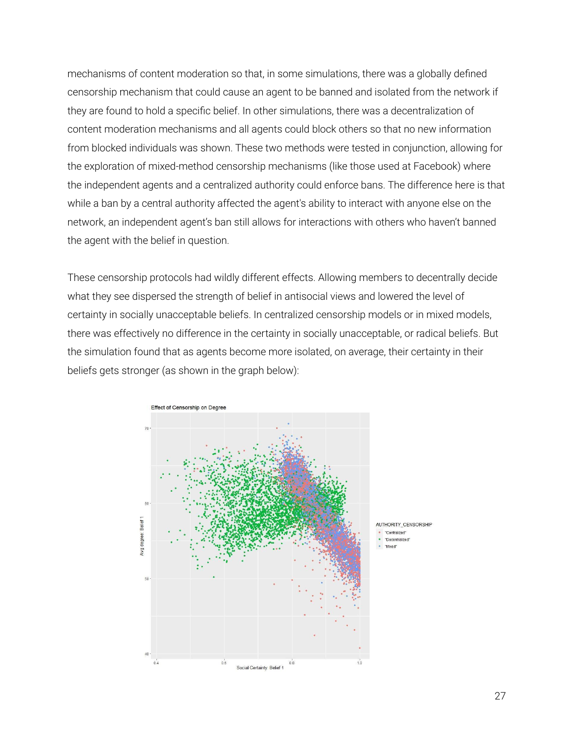mechanisms of content moderation so that, in some simulations, there was a globally defined censorship mechanism that could cause an agent to be banned and isolated from the network if they are found to hold a specific belief. In other simulations, there was a decentralization of content moderation mechanisms and all agents could block others so that no new information from blocked individuals was shown. These two methods were tested in conjunction, allowing for the exploration of mixed-method censorship mechanisms (like those used at Facebook) where the independent agents and a centralized authority could enforce bans. The difference here is that while a ban by a central authority affected the agent's ability to interact with anyone else on the network, an independent agent's ban still allows for interactions with others who haven't banned the agent with the belief in question.

These censorship protocols had wildly different effects. Allowing members to decentrally decide what they see dispersed the strength of belief in antisocial views and lowered the level of certainty in socially unacceptable beliefs. In centralized censorship models or in mixed models, there was effectively no difference in the certainty in socially unacceptable, or radical beliefs. But the simulation found that as agents become more isolated, on average, their certainty in their beliefs gets stronger (as shown in the graph below):

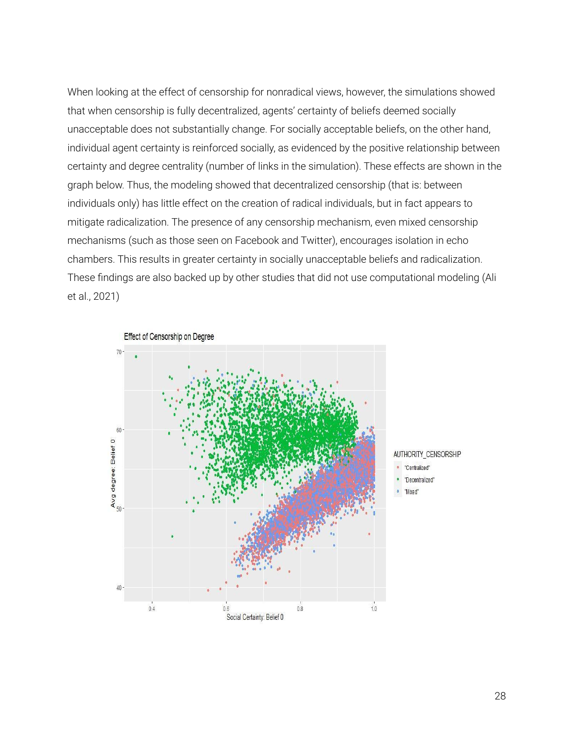When looking at the effect of censorship for nonradical views, however, the simulations showed that when censorship is fully decentralized, agents' certainty of beliefs deemed socially unacceptable does not substantially change. For socially acceptable beliefs, on the other hand, individual agent certainty is reinforced socially, as evidenced by the positive relationship between certainty and degree centrality (number of links in the simulation). These effects are shown in the graph below. Thus, the modeling showed that decentralized censorship (that is: between individuals only) has little effect on the creation of radical individuals, but in fact appears to mitigate radicalization. The presence of any censorship mechanism, even mixed censorship mechanisms (such as those seen on Facebook and Twitter), encourages isolation in echo chambers. This results in greater certainty in socially unacceptable beliefs and radicalization. These findings are also backed up by other studies that did not use computational modeling (Ali et al., 2021)

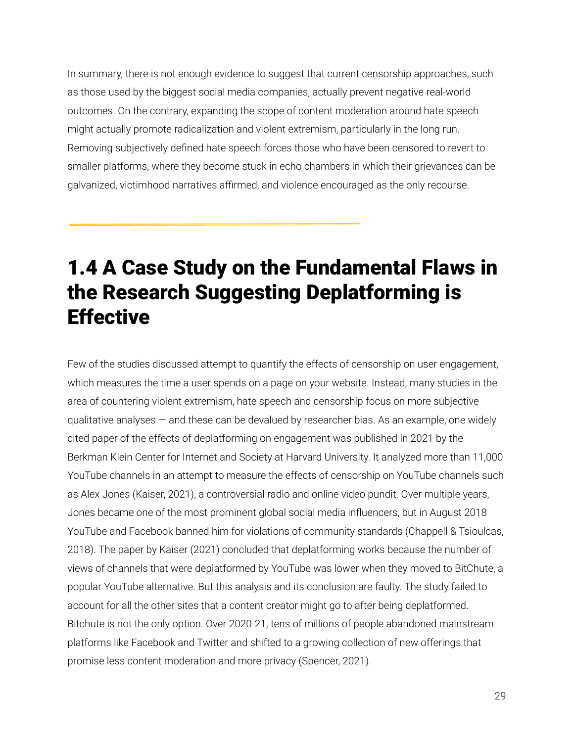In summary, there is not enough evidence to suggest that current censorship approaches, such as those used by the biggest social media companies, actually prevent negative real-world outcomes. On the contrary, expanding the scope of content moderation around hate speech might actually promote radicalization and violent extremism, particularly in the long run. Removing subjectively defined hate speech forces those who have been censored to revert to smaller platforms, where they become stuck in echo chambers in which their grievances can be galvanized, victimhood narratives affirmed, and violence encouraged as the only recourse.

# <span id="page-29-0"></span>1.4 A Case Study on the Fundamental Flaws in the Research Suggesting Deplatforming is **Effective**

Few of the studies discussed attempt to quantify the effects of censorship on user engagement, which measures the time a user spends on a page on your website. Instead, many studies in the area of countering violent extremism, hate speech and censorship focus on more subjective qualitative analyses  $-$  and these can be devalued by researcher bias. As an example, one widely cited paper of the effects of deplatforming on engagement was published in 2021 by the Berkman Klein Center for Internet and Society at Harvard University. It analyzed more than 11,000 YouTube channels in an attempt to measure the effects of censorship on YouTube channels such as Alex Jones (Kaiser, 2021), a controversial radio and online video pundit. Over multiple years, Jones became one of the most prominent global social media influencers, but in August 2018 YouTube and Facebook banned him for violations of community standards (Chappell & Tsioulcas, 2018). The paper by Kaiser (2021) concluded that deplatforming works because the number of views of channels that were deplatformed by YouTube was lower when they moved to BitChute, a popular YouTube alternative. But this analysis and its conclusion are faulty. The study failed to account for all the other sites that a content creator might go to after being deplatformed. Bitchute is not the only option. Over 2020-21, tens of millions of people abandoned mainstream platforms like Facebook and Twitter and shifted to a growing collection of new offerings that promise less content moderation and more privacy (Spencer, 2021).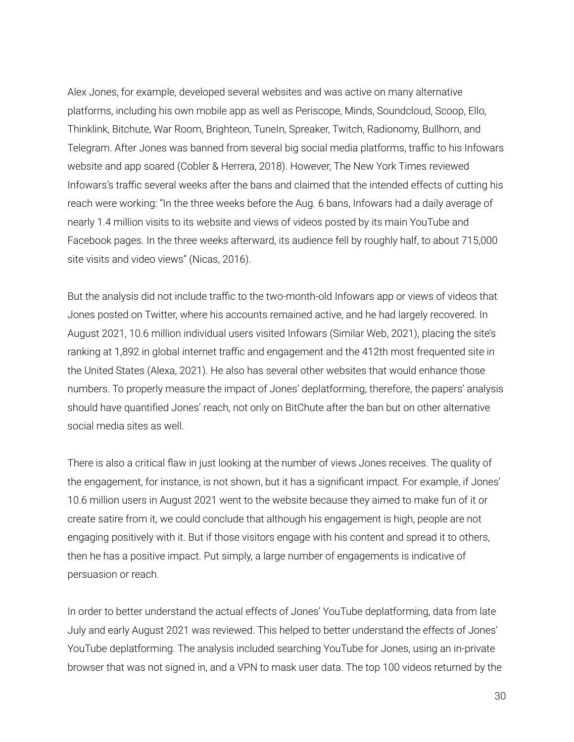Alex Jones, for example, developed several websites and was active on many alternative platforms, including his own mobile app as well as Periscope, Minds, Soundcloud, Scoop, Ello, Thinklink, Bitchute, War Room, Brighteon, TuneIn, Spreaker, Twitch, Radionomy, Bullhorn, and Telegram. After Jones was banned from several big social media platforms, traffic to his Infowars website and app soared (Cobler & Herrera, 2018). However, The New York Times reviewed Infowars's traffic several weeks after the bans and claimed that the intended effects of cutting his reach were working: "In the three weeks before the Aug. 6 bans, Infowars had a daily average of nearly 1.4 million visits to its website and views of videos posted by its main YouTube and Facebook pages. In the three weeks afterward, its audience fell by roughly half, to about 715,000 site visits and video views" (Nicas, 2016).

But the analysis did not include traffic to the two-month-old Infowars app or views of videos that Jones posted on Twitter, where his accounts remained active, and he had largely recovered. In August 2021, 10.6 million individual users visited Infowars (Similar Web, 2021), placing the site's ranking at 1,892 in global internet traffic and engagement and the 412th most frequented site in the United States (Alexa, 2021). He also has several other websites that would enhance those numbers. To properly measure the impact of Jones' deplatforming, therefore, the papers' analysis should have quantified Jones' reach, not only on BitChute after the ban but on other alternative social media sites as well.

There is also a critical flaw in just looking at the number of views Jones receives. The quality of the engagement, for instance, is not shown, but it has a significant impact. For example, if Jones' 10.6 million users in August 2021 went to the website because they aimed to make fun of it or create satire from it, we could conclude that although his engagement is high, people are not engaging positively with it. But if those visitors engage with his content and spread it to others, then he has a positive impact. Put simply, a large number of engagements is indicative of persuasion or reach.

In order to better understand the actual effects of Jones' YouTube deplatforming, data from late July and early August 2021 was reviewed. This helped to better understand the effects of Jones' YouTube deplatforming. The analysis included searching YouTube for Jones, using an in-private browser that was not signed in, and a VPN to mask user data. The top 100 videos returned by the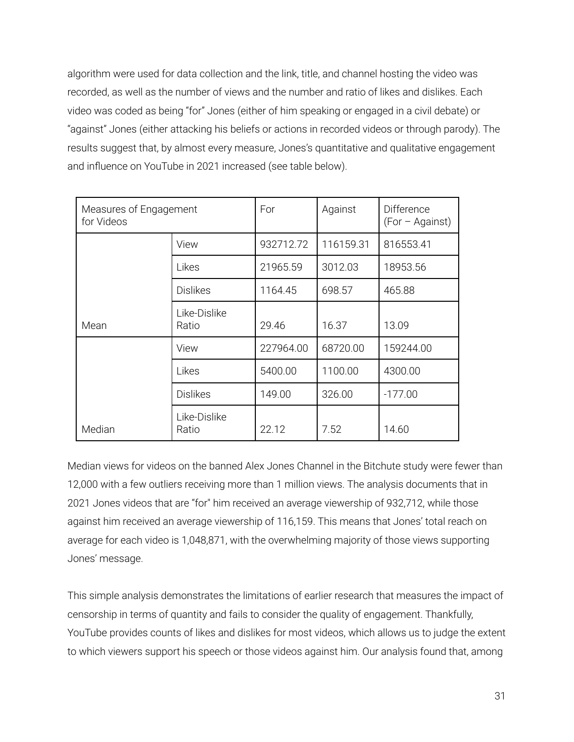algorithm were used for data collection and the link, title, and channel hosting the video was recorded, as well as the number of views and the number and ratio of likes and dislikes. Each video was coded as being "for" Jones (either of him speaking or engaged in a civil debate) or "against" Jones (either attacking his beliefs or actions in recorded videos or through parody). The results suggest that, by almost every measure, Jones's quantitative and qualitative engagement and influence on YouTube in 2021 increased (see table below).

| Measures of Engagement<br>for Videos |                       | For       | Against   | <b>Difference</b><br>(For – Against) |
|--------------------------------------|-----------------------|-----------|-----------|--------------------------------------|
|                                      | View                  | 932712.72 | 116159.31 | 816553.41                            |
|                                      | Likes                 | 21965.59  | 3012.03   | 18953.56                             |
|                                      | <b>Dislikes</b>       | 1164.45   | 698.57    | 465.88                               |
| Mean                                 | Like-Dislike<br>Ratio | 29.46     | 16.37     | 13.09                                |
|                                      | View                  | 227964.00 | 68720.00  | 159244.00                            |
|                                      | Likes                 | 5400.00   | 1100.00   | 4300.00                              |
|                                      | <b>Dislikes</b>       | 149.00    | 326.00    | $-177.00$                            |
| Median                               | Like-Dislike<br>Ratio | 22.12     | 7.52      | 14.60                                |

Median views for videos on the banned Alex Jones Channel in the Bitchute study were fewer than 12,000 with a few outliers receiving more than 1 million views. The analysis documents that in 2021 Jones videos that are "for'' him received an average viewership of 932,712, while those against him received an average viewership of 116,159. This means that Jones' total reach on average for each video is 1,048,871, with the overwhelming majority of those views supporting Jones' message.

This simple analysis demonstrates the limitations of earlier research that measures the impact of censorship in terms of quantity and fails to consider the quality of engagement. Thankfully, YouTube provides counts of likes and dislikes for most videos, which allows us to judge the extent to which viewers support his speech or those videos against him. Our analysis found that, among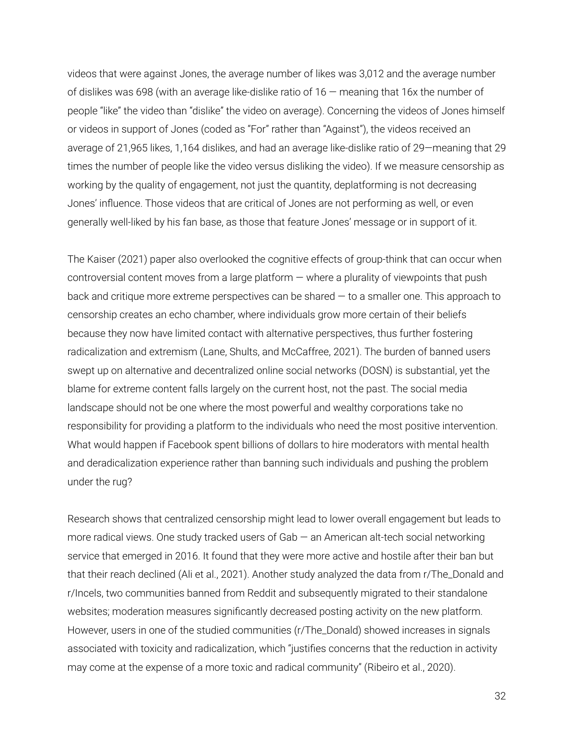videos that were against Jones, the average number of likes was 3,012 and the average number of dislikes was 698 (with an average like-dislike ratio of 16 — meaning that 16x the number of people "like" the video than "dislike" the video on average). Concerning the videos of Jones himself or videos in support of Jones (coded as "For" rather than "Against"), the videos received an average of 21,965 likes, 1,164 dislikes, and had an average like-dislike ratio of 29—meaning that 29 times the number of people like the video versus disliking the video). If we measure censorship as working by the quality of engagement, not just the quantity, deplatforming is not decreasing Jones' influence. Those videos that are critical of Jones are not performing as well, or even generally well-liked by his fan base, as those that feature Jones' message or in support of it.

The Kaiser (2021) paper also overlooked the cognitive effects of group-think that can occur when controversial content moves from a large platform  $-$  where a plurality of viewpoints that push back and critique more extreme perspectives can be shared — to a smaller one. This approach to censorship creates an echo chamber, where individuals grow more certain of their beliefs because they now have limited contact with alternative perspectives, thus further fostering radicalization and extremism (Lane, Shults, and McCaffree, 2021). The burden of banned users swept up on alternative and decentralized online social networks (DOSN) is substantial, yet the blame for extreme content falls largely on the current host, not the past. The social media landscape should not be one where the most powerful and wealthy corporations take no responsibility for providing a platform to the individuals who need the most positive intervention. What would happen if Facebook spent billions of dollars to hire moderators with mental health and deradicalization experience rather than banning such individuals and pushing the problem under the rug?

Research shows that centralized censorship might lead to lower overall engagement but leads to more radical views. One study tracked users of Gab — an American alt-tech social networking service that emerged in 2016. It found that they were more active and hostile after their ban but that their reach declined (Ali et al., 2021). Another study analyzed the data from r/The\_Donald and r/Incels, two communities banned from Reddit and subsequently migrated to their standalone websites; moderation measures significantly decreased posting activity on the new platform. However, users in one of the studied communities (r/The\_Donald) showed increases in signals associated with toxicity and radicalization, which "justifies concerns that the reduction in activity may come at the expense of a more toxic and radical community" (Ribeiro et al., 2020).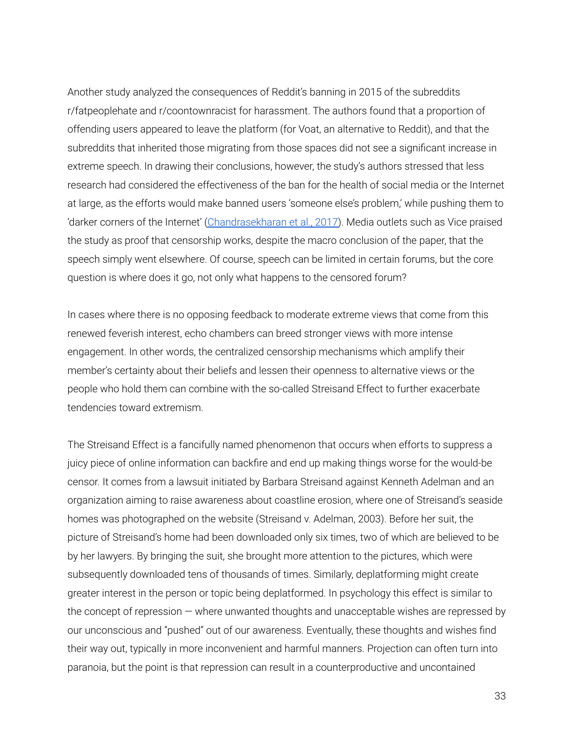Another study analyzed the consequences of Reddit's banning in 2015 of the subreddits r/fatpeoplehate and r/coontownracist for harassment. The authors found that a proportion of offending users appeared to leave the platform (for Voat, an alternative to Reddit), and that the subreddits that inherited those migrating from those spaces did not see a significant increase in extreme speech. In drawing their conclusions, however, the study's authors stressed that less research had considered the effectiveness of the ban for the health of social media or the Internet at large, as the efforts would make banned users 'someone else's problem,' while pushing them to 'darker corners of the Internet' [\(Chandrasekharan](https://journals.sagepub.com/doi/full/10.1177/0267323120922066#) et al., 2017). Media outlets such as Vice praised the study as proof that censorship works, despite the macro conclusion of the paper, that the speech simply went elsewhere. Of course, speech can be limited in certain forums, but the core question is where does it go, not only what happens to the censored forum?

In cases where there is no opposing feedback to moderate extreme views that come from this renewed feverish interest, echo chambers can breed stronger views with more intense engagement. In other words, the centralized censorship mechanisms which amplify their member's certainty about their beliefs and lessen their openness to alternative views or the people who hold them can combine with the so-called Streisand Effect to further exacerbate tendencies toward extremism.

The Streisand Effect is a fancifully named phenomenon that occurs when efforts to suppress a juicy piece of online information can backfire and end up making things worse for the would-be censor. It comes from a lawsuit initiated by Barbara Streisand against Kenneth Adelman and an organization aiming to raise awareness about coastline erosion, where one of Streisand's seaside homes was photographed on the website (Streisand v. Adelman, 2003). Before her suit, the picture of Streisand's home had been downloaded only six times, two of which are believed to be by her lawyers. By bringing the suit, she brought more attention to the pictures, which were subsequently downloaded tens of thousands of times. Similarly, deplatforming might create greater interest in the person or topic being deplatformed. In psychology this effect is similar to the concept of repression — where unwanted thoughts and unacceptable wishes are repressed by our unconscious and "pushed" out of our awareness. Eventually, these thoughts and wishes find their way out, typically in more inconvenient and harmful manners. Projection can often turn into paranoia, but the point is that repression can result in a counterproductive and uncontained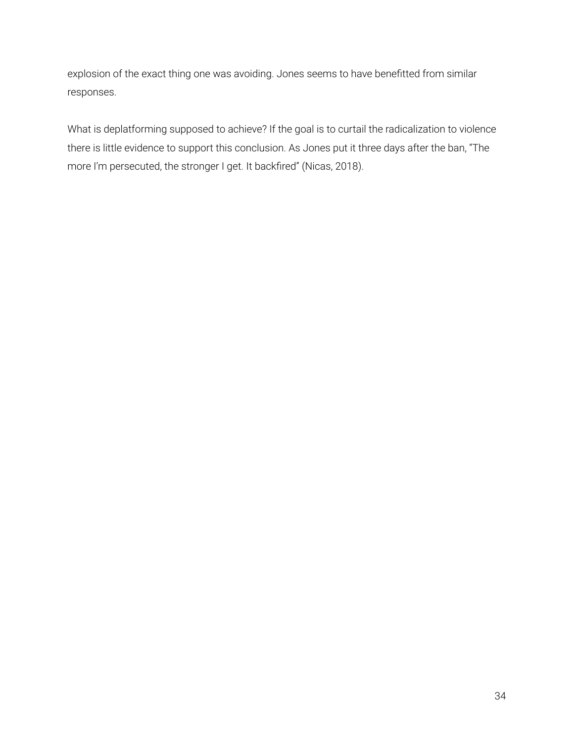explosion of the exact thing one was avoiding. Jones seems to have benefitted from similar responses.

What is deplatforming supposed to achieve? If the goal is to curtail the radicalization to violence there is little evidence to support this conclusion. As Jones put it three days after the ban, "The more I'm persecuted, the stronger I get. It backfired" (Nicas, 2018).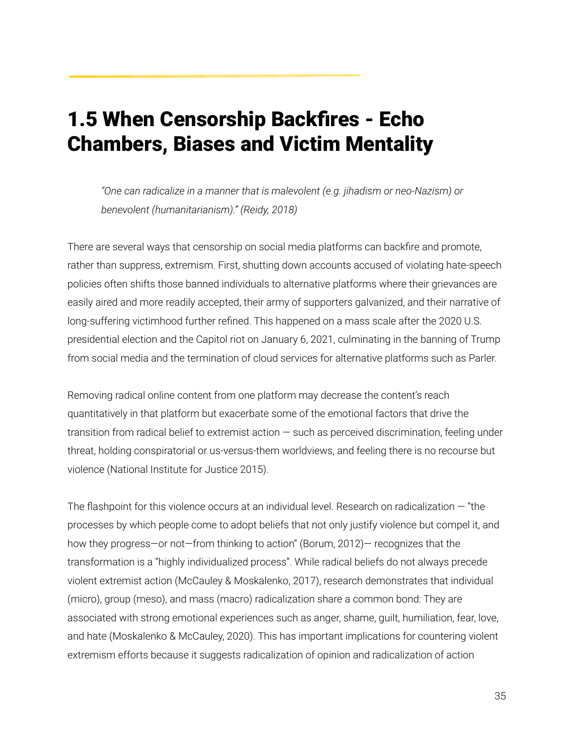## <span id="page-35-0"></span>1.5 When Censorship Backfires - Echo Chambers, Biases and Victim Mentality

*"One can radicalize in a manner that is malevolent (e.g. jihadism or neo-Nazism) or benevolent (humanitarianism)." (Reidy, 2018)*

There are several ways that censorship on social media platforms can backfire and promote, rather than suppress, extremism. First, shutting down accounts accused of violating hate-speech policies often shifts those banned individuals to alternative platforms where their grievances are easily aired and more readily accepted, their army of supporters galvanized, and their narrative of long-suffering victimhood further refined. This happened on a mass scale after the 2020 U.S. presidential election and the Capitol riot on January 6, 2021, culminating in the banning of Trump from social media and the termination of cloud services for alternative platforms such as Parler.

Removing radical online content from one platform may decrease the content's reach quantitatively in that platform but exacerbate some of the emotional factors that drive the transition from radical belief to extremist action — such as perceived discrimination, feeling under threat, holding conspiratorial or us-versus-them worldviews, and feeling there is no recourse but violence (National Institute for Justice 2015).

The flashpoint for this violence occurs at an individual level. Research on radicalization — "the processes by which people come to adopt beliefs that not only justify violence but compel it, and how they progress—or not—from thinking to action" (Borum, 2012)— recognizes that the transformation is a "highly individualized process". While radical beliefs do not always precede violent extremist action (McCauley & Moskalenko, 2017), research demonstrates that individual (micro), group (meso), and mass (macro) radicalization share a common bond: They are associated with strong emotional experiences such as anger, shame, guilt, humiliation, fear, love, and hate (Moskalenko & McCauley, 2020). This has important implications for countering violent extremism efforts because it suggests radicalization of opinion and radicalization of action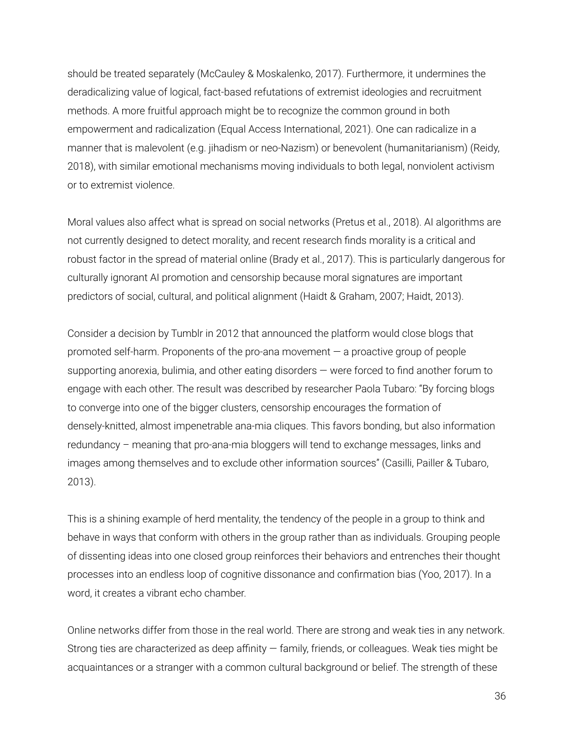should be treated separately (McCauley & Moskalenko, 2017). Furthermore, it undermines the deradicalizing value of logical, fact-based refutations of extremist ideologies and recruitment methods. A more fruitful approach might be to recognize the common ground in both empowerment and radicalization (Equal Access International, 2021). One can radicalize in a manner that is malevolent (e.g. jihadism or neo-Nazism) or benevolent (humanitarianism) (Reidy, 2018), with similar emotional mechanisms moving individuals to both legal, nonviolent activism or to extremist violence.

Moral values also affect what is spread on social networks (Pretus et al., 2018). AI algorithms are not currently designed to detect morality, and recent research finds morality is a critical and robust factor in the spread of material online (Brady et al., 2017). This is particularly dangerous for culturally ignorant AI promotion and censorship because moral signatures are important predictors of social, cultural, and political alignment (Haidt & Graham, 2007; Haidt, 2013).

Consider a decision by Tumblr in 2012 that announced the platform would close blogs that promoted self-harm. Proponents of the pro-ana movement — a proactive group of people supporting anorexia, bulimia, and other eating disorders — were forced to find another forum to engage with each other. The result was described by researcher Paola Tubaro: "By forcing blogs to converge into one of the bigger clusters, censorship encourages the formation of densely-knitted, almost impenetrable ana-mia cliques. This favors bonding, but also information redundancy – meaning that pro-ana-mia bloggers will tend to exchange messages, links and images among themselves and to exclude other information sources" (Casilli, Pailler & Tubaro, 2013).

This is a shining example of herd mentality, the tendency of the people in a group to think and behave in ways that conform with others in the group rather than as individuals. Grouping people of dissenting ideas into one closed group reinforces their behaviors and entrenches their thought processes into an endless loop of cognitive dissonance and confirmation bias (Yoo, 2017). In a word, it creates a vibrant echo chamber.

Online networks differ from those in the real world. There are strong and weak ties in any network. Strong ties are characterized as deep affinity — family, friends, or colleagues. Weak ties might be acquaintances or a stranger with a common cultural background or belief. The strength of these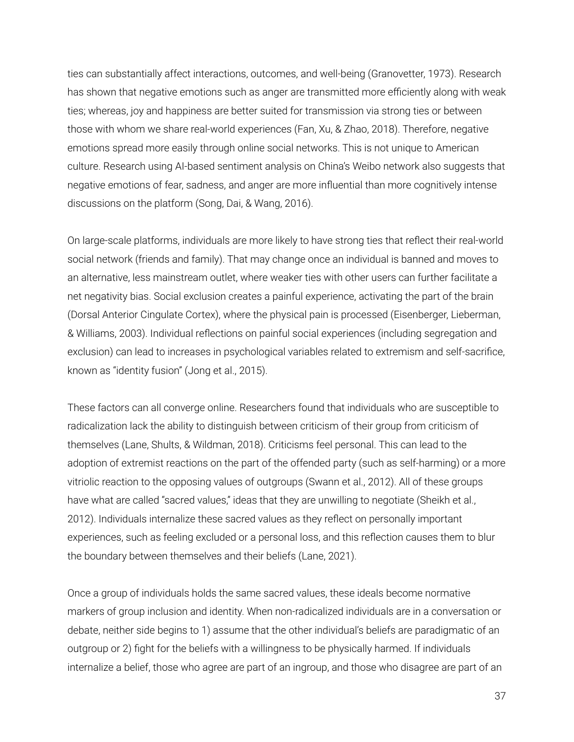ties can substantially affect interactions, outcomes, and well-being (Granovetter, 1973). Research has shown that negative emotions such as anger are transmitted more efficiently along with weak ties; whereas, joy and happiness are better suited for transmission via strong ties or between those with whom we share real-world experiences (Fan, Xu, & Zhao, 2018). Therefore, negative emotions spread more easily through online social networks. This is not unique to American culture. Research using AI-based sentiment analysis on China's Weibo network also suggests that negative emotions of fear, sadness, and anger are more influential than more cognitively intense discussions on the platform (Song, Dai, & Wang, 2016).

On large-scale platforms, individuals are more likely to have strong ties that reflect their real-world social network (friends and family). That may change once an individual is banned and moves to an alternative, less mainstream outlet, where weaker ties with other users can further facilitate a net negativity bias. Social exclusion creates a painful experience, activating the part of the brain (Dorsal Anterior Cingulate Cortex), where the physical pain is processed (Eisenberger, Lieberman, & Williams, 2003). Individual reflections on painful social experiences (including segregation and exclusion) can lead to increases in psychological variables related to extremism and self-sacrifice, known as "identity fusion" (Jong et al., 2015).

These factors can all converge online. Researchers found that individuals who are susceptible to radicalization lack the ability to distinguish between criticism of their group from criticism of themselves (Lane, Shults, & Wildman, 2018). Criticisms feel personal. This can lead to the adoption of extremist reactions on the part of the offended party (such as self-harming) or a more vitriolic reaction to the opposing values of outgroups (Swann et al., 2012). All of these groups have what are called "sacred values," ideas that they are unwilling to negotiate (Sheikh et al., 2012). Individuals internalize these sacred values as they reflect on personally important experiences, such as feeling excluded or a personal loss, and this reflection causes them to blur the boundary between themselves and their beliefs (Lane, 2021).

Once a group of individuals holds the same sacred values, these ideals become normative markers of group inclusion and identity. When non-radicalized individuals are in a conversation or debate, neither side begins to 1) assume that the other individual's beliefs are paradigmatic of an outgroup or 2) fight for the beliefs with a willingness to be physically harmed. If individuals internalize a belief, those who agree are part of an ingroup, and those who disagree are part of an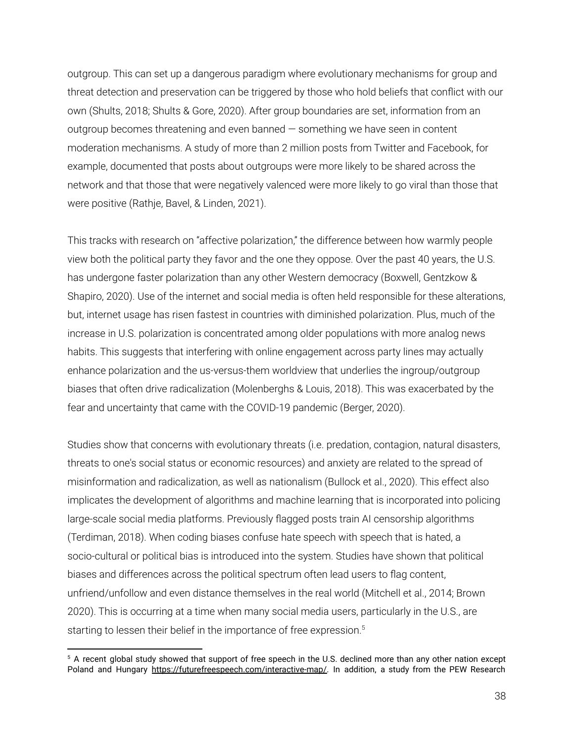outgroup. This can set up a dangerous paradigm where evolutionary mechanisms for group and threat detection and preservation can be triggered by those who hold beliefs that conflict with our own (Shults, 2018; Shults & Gore, 2020). After group boundaries are set, information from an outgroup becomes threatening and even banned — something we have seen in content moderation mechanisms. A study of more than 2 million posts from Twitter and Facebook, for example, documented that posts about outgroups were more likely to be shared across the network and that those that were negatively valenced were more likely to go viral than those that were positive (Rathje, Bavel, & Linden, 2021).

This tracks with research on "affective polarization," the difference between how warmly people view both the political party they favor and the one they oppose. Over the past 40 years, the U.S. has undergone faster polarization than any other Western democracy (Boxwell, Gentzkow & Shapiro, 2020). Use of the internet and social media is often held responsible for these alterations, but, internet usage has risen fastest in countries with diminished polarization. Plus, much of the increase in U.S. polarization is concentrated among older populations with more analog news habits. This suggests that interfering with online engagement across party lines may actually enhance polarization and the us-versus-them worldview that underlies the ingroup/outgroup biases that often drive radicalization (Molenberghs & Louis, 2018). This was exacerbated by the fear and uncertainty that came with the COVID-19 pandemic (Berger, 2020).

Studies show that concerns with evolutionary threats (i.e. predation, contagion, natural disasters, threats to one's social status or economic resources) and anxiety are related to the spread of misinformation and radicalization, as well as nationalism (Bullock et al., 2020). This effect also implicates the development of algorithms and machine learning that is incorporated into policing large-scale social media platforms. Previously flagged posts train AI censorship algorithms (Terdiman, 2018). When coding biases confuse hate speech with speech that is hated, a socio-cultural or political bias is introduced into the system. Studies have shown that political biases and differences across the political spectrum often lead users to flag content, unfriend/unfollow and even distance themselves in the real world (Mitchell et al., 2014; Brown 2020). This is occurring at a time when many social media users, particularly in the U.S., are starting to lessen their belief in the importance of free expression. 5

<sup>&</sup>lt;sup>5</sup> A recent global study showed that support of free speech in the U.S. declined more than any other nation except Poland and Hungary [https://futurefreespeech.com/interactive-map/.](https://futurefreespeech.com/interactive-map/) In addition, a study from the PEW Research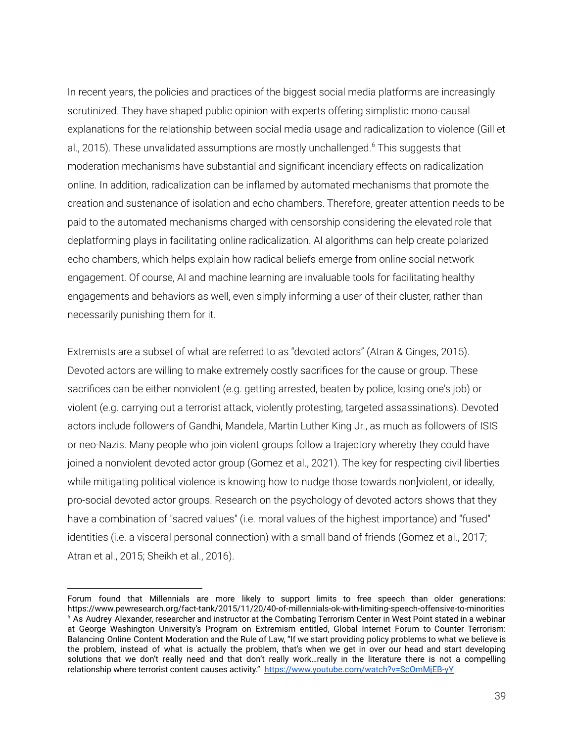In recent years, the policies and practices of the biggest social media platforms are increasingly scrutinized. They have shaped public opinion with experts offering simplistic mono-causal explanations for the relationship between social media usage and radicalization to violence (Gill et al., 2015). These unvalidated assumptions are mostly unchallenged. <sup>6</sup> This suggests that moderation mechanisms have substantial and significant incendiary effects on radicalization online. In addition, radicalization can be inflamed by automated mechanisms that promote the creation and sustenance of isolation and echo chambers. Therefore, greater attention needs to be paid to the automated mechanisms charged with censorship considering the elevated role that deplatforming plays in facilitating online radicalization. AI algorithms can help create polarized echo chambers, which helps explain how radical beliefs emerge from online social network engagement. Of course, AI and machine learning are invaluable tools for facilitating healthy engagements and behaviors as well, even simply informing a user of their cluster, rather than necessarily punishing them for it.

Extremists are a subset of what are referred to as "devoted actors" (Atran & Ginges, 2015). Devoted actors are willing to make extremely costly sacrifices for the cause or group. These sacrifices can be either nonviolent (e.g. getting arrested, beaten by police, losing one's job) or violent (e.g. carrying out a terrorist attack, violently protesting, targeted assassinations). Devoted actors include followers of Gandhi, Mandela, Martin Luther King Jr., as much as followers of ISIS or neo-Nazis. Many people who join violent groups follow a trajectory whereby they could have joined a nonviolent devoted actor group (Gomez et al., 2021). The key for respecting civil liberties while mitigating political violence is knowing how to nudge those towards non violent, or ideally, pro-social devoted actor groups. Research on the psychology of devoted actors shows that they have a combination of "sacred values" (i.e. moral values of the highest importance) and "fused" identities (i.e. a visceral personal connection) with a small band of friends (Gomez et al., 2017; Atran et al., 2015; Sheikh et al., 2016).

<sup>&</sup>lt;sup>6</sup> As Audrey Alexander, researcher and instructor at the Combating Terrorism Center in West Point stated in a webinar at George Washington University's Program on Extremism entitled, Global Internet Forum to Counter Terrorism: Balancing Online Content Moderation and the Rule of Law, "If we start providing policy problems to what we believe is the problem, instead of what is actually the problem, that's when we get in over our head and start developing solutions that we don't really need and that don't really work…really in the literature there is not a compelling relationship where terrorist content causes activity." <https://www.youtube.com/watch?v=ScOmMjEB-yY> Forum found that Millennials are more likely to support limits to free speech than older generations: https://www.pewresearch.org/fact-tank/2015/11/20/40-of-millennials-ok-with-limiting-speech-offensive-to-minorities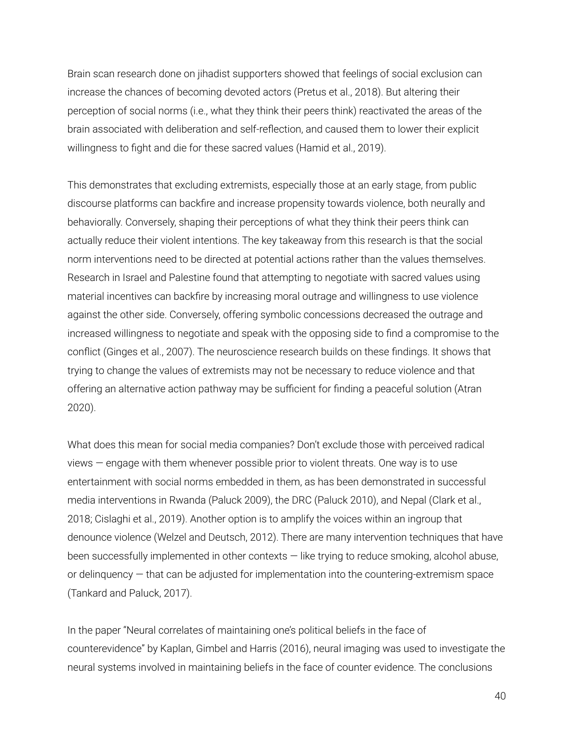Brain scan research done on jihadist supporters showed that feelings of social exclusion can increase the chances of becoming devoted actors (Pretus et al., 2018). But altering their perception of social norms (i.e., what they think their peers think) reactivated the areas of the brain associated with deliberation and self-reflection, and caused them to lower their explicit willingness to fight and die for these sacred values (Hamid et al., 2019).

This demonstrates that excluding extremists, especially those at an early stage, from public discourse platforms can backfire and increase propensity towards violence, both neurally and behaviorally. Conversely, shaping their perceptions of what they think their peers think can actually reduce their violent intentions. The key takeaway from this research is that the social norm interventions need to be directed at potential actions rather than the values themselves. Research in Israel and Palestine found that attempting to negotiate with sacred values using material incentives can backfire by increasing moral outrage and willingness to use violence against the other side. Conversely, offering symbolic concessions decreased the outrage and increased willingness to negotiate and speak with the opposing side to find a compromise to the conflict (Ginges et al., 2007). The neuroscience research builds on these findings. It shows that trying to change the values of extremists may not be necessary to reduce violence and that offering an alternative action pathway may be sufficient for finding a peaceful solution (Atran 2020).

What does this mean for social media companies? Don't exclude those with perceived radical views — engage with them whenever possible prior to violent threats. One way is to use entertainment with social norms embedded in them, as has been demonstrated in successful media interventions in Rwanda (Paluck 2009), the DRC (Paluck 2010), and Nepal (Clark et al., 2018; Cislaghi et al., 2019). Another option is to amplify the voices within an ingroup that denounce violence (Welzel and Deutsch, 2012). There are many intervention techniques that have been successfully implemented in other contexts — like trying to reduce smoking, alcohol abuse, or delinquency — that can be adjusted for implementation into the countering-extremism space (Tankard and Paluck, 2017).

In the paper "Neural correlates of maintaining one's political beliefs in the face of counterevidence" by Kaplan, Gimbel and Harris (2016), neural imaging was used to investigate the neural systems involved in maintaining beliefs in the face of counter evidence. The conclusions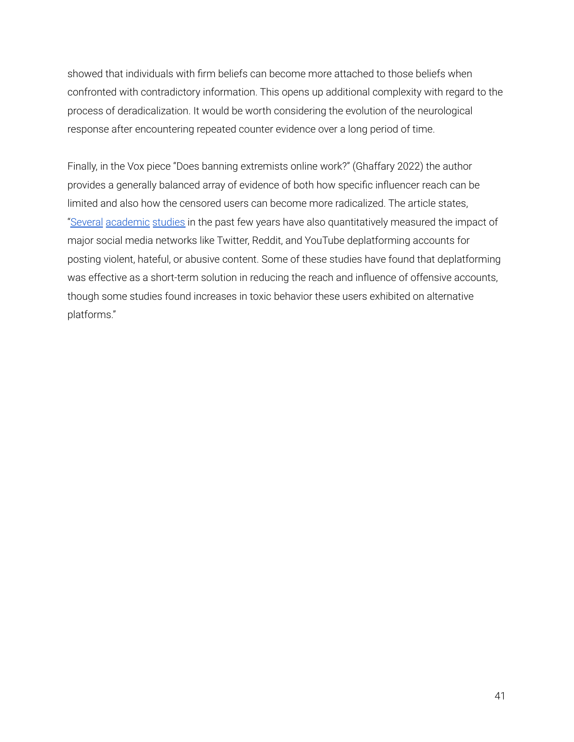showed that individuals with firm beliefs can become more attached to those beliefs when confronted with contradictory information. This opens up additional complexity with regard to the process of deradicalization. It would be worth considering the evolution of the neurological response after encountering repeated counter evidence over a long period of time.

Finally, in the Vox piece "Does banning extremists online work?" (Ghaffary 2022) the author provides a generally balanced array of evidence of both how specific influencer reach can be limited and also how the censored users can become more radicalized. The article states, ["Several](https://papers.ssrn.com/sol3/papers.cfm?abstract_id=3867818) [academic](https://dl.acm.org/doi/10.1145/3447535.3462637) [studies](https://dl.acm.org/doi/abs/10.1145/3476057) in the past few years have also quantitatively measured the impact of major social media networks like Twitter, Reddit, and YouTube deplatforming accounts for posting violent, hateful, or abusive content. Some of these studies have found that deplatforming was effective as a short-term solution in reducing the reach and influence of offensive accounts, though some studies found increases in toxic behavior these users exhibited on alternative platforms."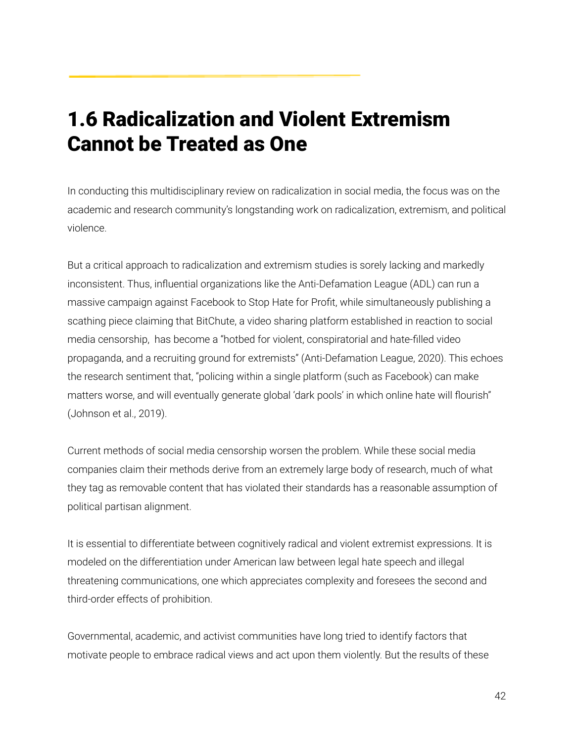# 1.6 Radicalization and Violent Extremism Cannot be Treated as One

In conducting this multidisciplinary review on radicalization in social media, the focus was on the academic and research community's longstanding work on radicalization, extremism, and political violence.

But a critical approach to radicalization and extremism studies is sorely lacking and markedly inconsistent. Thus, influential organizations like the Anti-Defamation League (ADL) can run a massive campaign against Facebook to Stop Hate for Profit, while simultaneously publishing a scathing piece claiming that BitChute, a video sharing platform established in reaction to social media censorship, has become a "hotbed for violent, conspiratorial and hate-filled video propaganda, and a recruiting ground for extremists" (Anti-Defamation League, 2020). This echoes the research sentiment that, "policing within a single platform (such as Facebook) can make matters worse, and will eventually generate global 'dark pools' in which online hate will flourish" (Johnson et al., 2019).

Current methods of social media censorship worsen the problem. While these social media companies claim their methods derive from an extremely large body of research, much of what they tag as removable content that has violated their standards has a reasonable assumption of political partisan alignment.

It is essential to differentiate between cognitively radical and violent extremist expressions. It is modeled on the differentiation under American law between legal hate speech and illegal threatening communications, one which appreciates complexity and foresees the second and third-order effects of prohibition.

Governmental, academic, and activist communities have long tried to identify factors that motivate people to embrace radical views and act upon them violently. But the results of these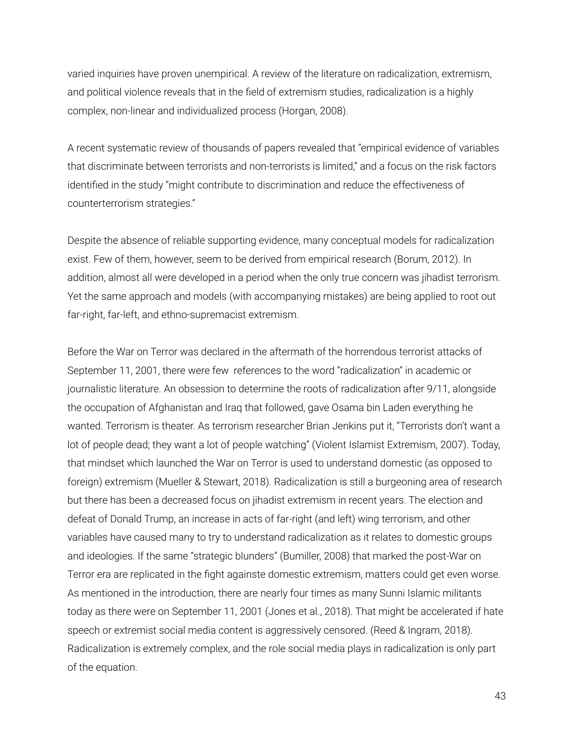varied inquiries have proven unempirical. A review of the literature on radicalization, extremism, and political violence reveals that in the field of extremism studies, radicalization is a highly complex, non-linear and individualized process (Horgan, 2008).

A recent systematic review of thousands of papers revealed that "empirical evidence of variables that discriminate between terrorists and non-terrorists is limited," and a focus on the risk factors identified in the study "might contribute to discrimination and reduce the effectiveness of counterterrorism strategies."

Despite the absence of reliable supporting evidence, many conceptual models for radicalization exist. Few of them, however, seem to be derived from empirical research (Borum, 2012). In addition, almost all were developed in a period when the only true concern was jihadist terrorism. Yet the same approach and models (with accompanying mistakes) are being applied to root out far-right, far-left, and ethno-supremacist extremism.

Before the War on Terror was declared in the aftermath of the horrendous terrorist attacks of September 11, 2001, there were few references to the word "radicalization" in academic or journalistic literature. An obsession to determine the roots of radicalization after 9/11, alongside the occupation of Afghanistan and Iraq that followed, gave Osama bin Laden everything he wanted. Terrorism is theater. As terrorism researcher Brian Jenkins put it, "Terrorists don't want a lot of people dead; they want a lot of people watching" (Violent Islamist Extremism, 2007). Today, that mindset which launched the War on Terror is used to understand domestic (as opposed to foreign) extremism (Mueller & Stewart, 2018). Radicalization is still a burgeoning area of research but there has been a decreased focus on jihadist extremism in recent years. The election and defeat of Donald Trump, an increase in acts of far-right (and left) wing terrorism, and other variables have caused many to try to understand radicalization as it relates to domestic groups and ideologies. If the same "strategic blunders" (Bumiller, 2008) that marked the post-War on Terror era are replicated in the fight againste domestic extremism, matters could get even worse. As mentioned in the introduction, there are nearly four times as many Sunni Islamic militants today as there were on September 11, 2001 (Jones et al., 2018). That might be accelerated if hate speech or extremist social media content is aggressively censored. (Reed & Ingram, 2018). Radicalization is extremely complex, and the role social media plays in radicalization is only part of the equation.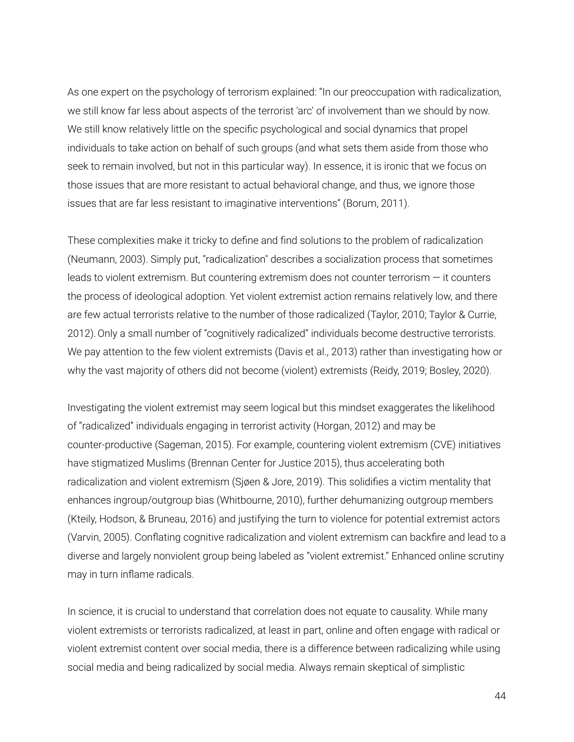As one expert on the psychology of terrorism explained: "In our preoccupation with radicalization, we still know far less about aspects of the terrorist 'arc' of involvement than we should by now. We still know relatively little on the specific psychological and social dynamics that propel individuals to take action on behalf of such groups (and what sets them aside from those who seek to remain involved, but not in this particular way). In essence, it is ironic that we focus on those issues that are more resistant to actual behavioral change, and thus, we ignore those issues that are far less resistant to imaginative interventions" (Borum, 2011).

These complexities make it tricky to define and find solutions to the problem of radicalization (Neumann, 2003). Simply put, "radicalization" describes a socialization process that sometimes leads to violent extremism. But countering extremism does not counter terrorism — it counters the process of ideological adoption. Yet violent extremist action remains relatively low, and there are few actual terrorists relative to the number of those radicalized (Taylor, 2010; Taylor & Currie, 2012).Only a small number of "cognitively radicalized" individuals become destructive terrorists. We pay attention to the few violent extremists (Davis et al., 2013) rather than investigating how or why the vast majority of others did not become (violent) extremists (Reidy, 2019; Bosley, 2020).

Investigating the violent extremist may seem logical but this mindset exaggerates the likelihood of "radicalized" individuals engaging in terrorist activity (Horgan, 2012) and may be counter-productive (Sageman, 2015). For example, countering violent extremism (CVE) initiatives have stigmatized Muslims (Brennan Center for Justice 2015), thus accelerating both radicalization and violent extremism (Sjøen & Jore, 2019). This solidifies a victim mentality that enhances ingroup/outgroup bias (Whitbourne, 2010), further dehumanizing outgroup members (Kteily, Hodson, & Bruneau, 2016) and justifying the turn to violence for potential extremist actors (Varvin, 2005). Conflating cognitive radicalization and violent extremism can backfire and lead to a diverse and largely nonviolent group being labeled as "violent extremist." Enhanced online scrutiny may in turn inflame radicals.

In science, it is crucial to understand that correlation does not equate to causality. While many violent extremists or terrorists radicalized, at least in part, online and often engage with radical or violent extremist content over social media, there is a difference between radicalizing while using social media and being radicalized by social media. Always remain skeptical of simplistic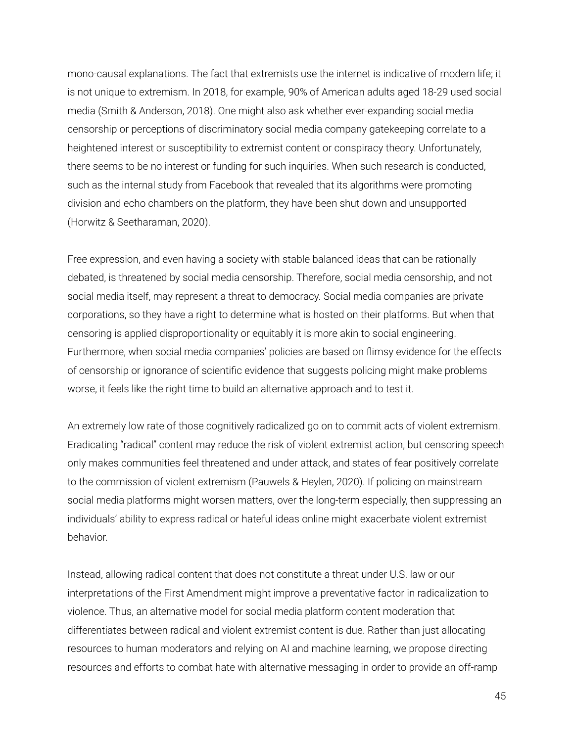mono-causal explanations. The fact that extremists use the internet is indicative of modern life; it is not unique to extremism. In 2018, for example, 90% of American adults aged 18-29 used social media (Smith & Anderson, 2018). One might also ask whether ever-expanding social media censorship or perceptions of discriminatory social media company gatekeeping correlate to a heightened interest or susceptibility to extremist content or conspiracy theory. Unfortunately, there seems to be no interest or funding for such inquiries. When such research is conducted, such as the internal study from Facebook that revealed that its algorithms were promoting division and echo chambers on the platform, they have been shut down and unsupported (Horwitz & Seetharaman, 2020).

Free expression, and even having a society with stable balanced ideas that can be rationally debated, is threatened by social media censorship. Therefore, social media censorship, and not social media itself, may represent a threat to democracy. Social media companies are private corporations, so they have a right to determine what is hosted on their platforms. But when that censoring is applied disproportionality or equitably it is more akin to social engineering. Furthermore, when social media companies' policies are based on flimsy evidence for the effects of censorship or ignorance of scientific evidence that suggests policing might make problems worse, it feels like the right time to build an alternative approach and to test it.

An extremely low rate of those cognitively radicalized go on to commit acts of violent extremism. Eradicating "radical" content may reduce the risk of violent extremist action, but censoring speech only makes communities feel threatened and under attack, and states of fear positively correlate to the commission of violent extremism (Pauwels & Heylen, 2020). If policing on mainstream social media platforms might worsen matters, over the long-term especially, then suppressing an individuals' ability to express radical or hateful ideas online might exacerbate violent extremist behavior.

Instead, allowing radical content that does not constitute a threat under U.S. law or our interpretations of the First Amendment might improve a preventative factor in radicalization to violence. Thus, an alternative model for social media platform content moderation that differentiates between radical and violent extremist content is due. Rather than just allocating resources to human moderators and relying on AI and machine learning, we propose directing resources and efforts to combat hate with alternative messaging in order to provide an off-ramp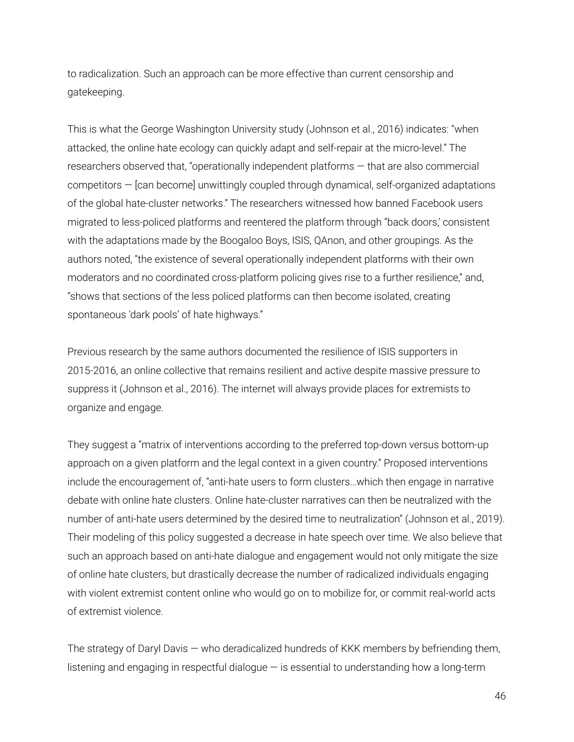to radicalization. Such an approach can be more effective than current censorship and gatekeeping.

This is what the George Washington University study (Johnson et al., 2016) indicates: "when attacked, the online hate ecology can quickly adapt and self-repair at the micro-level." The researchers observed that, "operationally independent platforms — that are also commercial competitors — [can become] unwittingly coupled through dynamical, self-organized adaptations of the global hate-cluster networks." The researchers witnessed how banned Facebook users migrated to less-policed platforms and reentered the platform through "back doors,' consistent with the adaptations made by the Boogaloo Boys, ISIS, QAnon, and other groupings. As the authors noted, "the existence of several operationally independent platforms with their own moderators and no coordinated cross-platform policing gives rise to a further resilience," and, "shows that sections of the less policed platforms can then become isolated, creating spontaneous 'dark pools' of hate highways."

Previous research by the same authors documented the resilience of ISIS supporters in 2015-2016, an online collective that remains resilient and active despite massive pressure to suppress it (Johnson et al., 2016). The internet will always provide places for extremists to organize and engage.

They suggest a "matrix of interventions according to the preferred top-down versus bottom-up approach on a given platform and the legal context in a given country." Proposed interventions include the encouragement of, "anti-hate users to form clusters…which then engage in narrative debate with online hate clusters. Online hate-cluster narratives can then be neutralized with the number of anti-hate users determined by the desired time to neutralization" (Johnson et al., 2019). Their modeling of this policy suggested a decrease in hate speech over time. We also believe that such an approach based on anti-hate dialogue and engagement would not only mitigate the size of online hate clusters, but drastically decrease the number of radicalized individuals engaging with violent extremist content online who would go on to mobilize for, or commit real-world acts of extremist violence.

The strategy of Daryl Davis — who deradicalized hundreds of KKK members by befriending them, listening and engaging in respectful dialogue — is essential to understanding how a long-term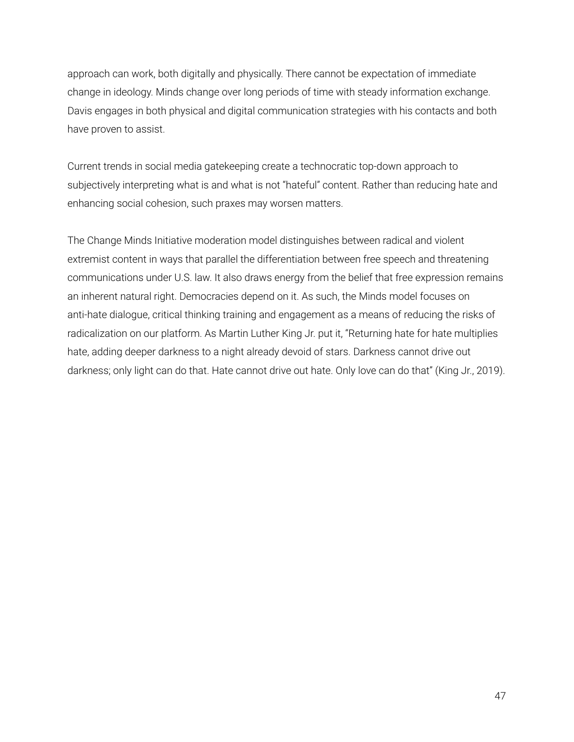approach can work, both digitally and physically. There cannot be expectation of immediate change in ideology. Minds change over long periods of time with steady information exchange. Davis engages in both physical and digital communication strategies with his contacts and both have proven to assist.

Current trends in social media gatekeeping create a technocratic top-down approach to subjectively interpreting what is and what is not "hateful" content. Rather than reducing hate and enhancing social cohesion, such praxes may worsen matters.

The Change Minds Initiative moderation model distinguishes between radical and violent extremist content in ways that parallel the differentiation between free speech and threatening communications under U.S. law. It also draws energy from the belief that free expression remains an inherent natural right. Democracies depend on it. As such, the Minds model focuses on anti-hate dialogue, critical thinking training and engagement as a means of reducing the risks of radicalization on our platform. As Martin Luther King Jr. put it, "Returning hate for hate multiplies hate, adding deeper darkness to a night already devoid of stars. Darkness cannot drive out darkness; only light can do that. Hate cannot drive out hate. Only love can do that" (King Jr., 2019).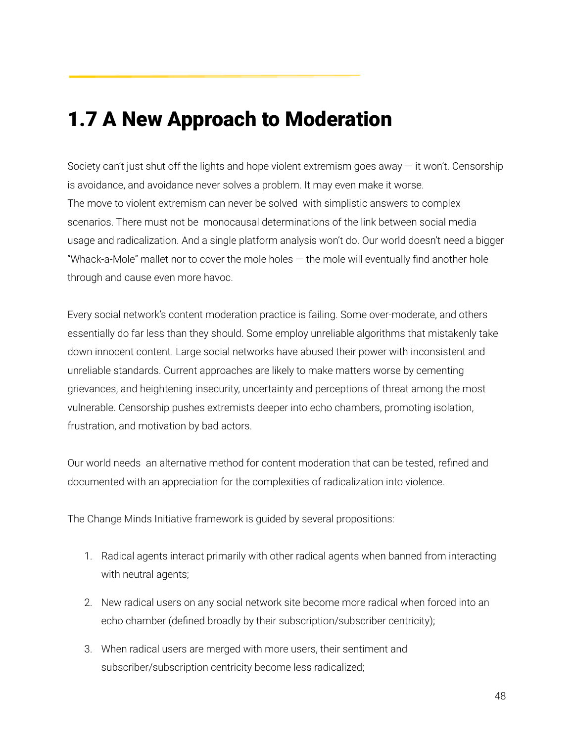# 1.7 A New Approach to Moderation

Society can't just shut off the lights and hope violent extremism goes away — it won't. Censorship is avoidance, and avoidance never solves a problem. It may even make it worse. The move to violent extremism can never be solved with simplistic answers to complex scenarios. There must not be monocausal determinations of the link between social media usage and radicalization. And a single platform analysis won't do. Our world doesn't need a bigger "Whack-a-Mole" mallet nor to cover the mole holes — the mole will eventually find another hole through and cause even more havoc.

Every social network's content moderation practice is failing. Some over-moderate, and others essentially do far less than they should. Some employ unreliable algorithms that mistakenly take down innocent content. Large social networks have abused their power with inconsistent and unreliable standards. Current approaches are likely to make matters worse by cementing grievances, and heightening insecurity, uncertainty and perceptions of threat among the most vulnerable. Censorship pushes extremists deeper into echo chambers, promoting isolation, frustration, and motivation by bad actors.

Our world needs an alternative method for content moderation that can be tested, refined and documented with an appreciation for the complexities of radicalization into violence.

The Change Minds Initiative framework is guided by several propositions:

- 1. Radical agents interact primarily with other radical agents when banned from interacting with neutral agents;
- 2. New radical users on any social network site become more radical when forced into an echo chamber (defined broadly by their subscription/subscriber centricity);
- 3. When radical users are merged with more users, their sentiment and subscriber/subscription centricity become less radicalized;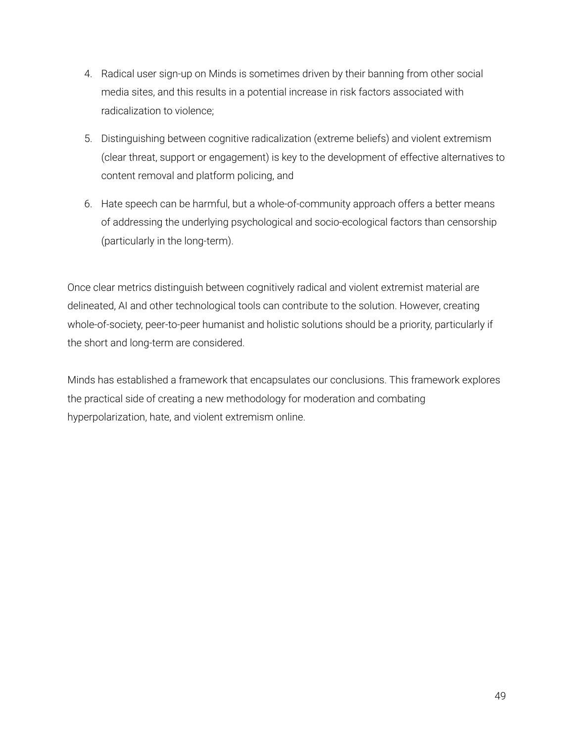- 4. Radical user sign-up on Minds is sometimes driven by their banning from other social media sites, and this results in a potential increase in risk factors associated with radicalization to violence;
- 5. Distinguishing between cognitive radicalization (extreme beliefs) and violent extremism (clear threat, support or engagement) is key to the development of effective alternatives to content removal and platform policing, and
- 6. Hate speech can be harmful, but a whole-of-community approach offers a better means of addressing the underlying psychological and socio-ecological factors than censorship (particularly in the long-term).

Once clear metrics distinguish between cognitively radical and violent extremist material are delineated, AI and other technological tools can contribute to the solution. However, creating whole-of-society, peer-to-peer humanist and holistic solutions should be a priority, particularly if the short and long-term are considered.

Minds has established a framework that encapsulates our conclusions. This framework explores the practical side of creating a new methodology for moderation and combating hyperpolarization, hate, and violent extremism online.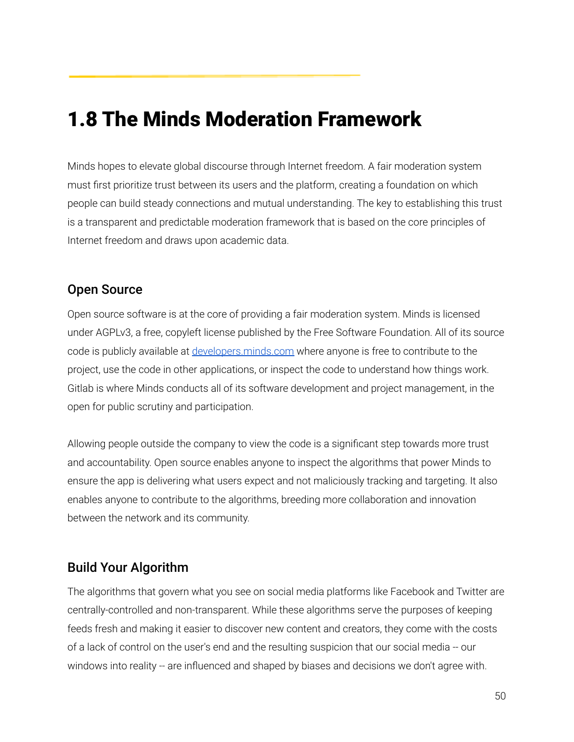# 1.8 The Minds Moderation Framework

Minds hopes to elevate global discourse through Internet freedom. A fair moderation system must first prioritize trust between its users and the platform, creating a foundation on which people can build steady connections and mutual understanding. The key to establishing this trust is a transparent and predictable moderation framework that is based on the core principles of Internet freedom and draws upon academic data.

#### Open Source

Open source software is at the core of providing a fair moderation system. Minds is licensed under AGPLv3, a free, copyleft license published by the Free Software Foundation. All of its source code is publicly available at [developers.minds.com](https://gitlab.com/minds) where anyone is free to contribute to the project, use the code in other applications, or inspect the code to understand how things work. Gitlab is where Minds conducts all of its software development and project management, in the open for public scrutiny and participation.

Allowing people outside the company to view the code is a significant step towards more trust and accountability. Open source enables anyone to inspect the algorithms that power Minds to ensure the app is delivering what users expect and not maliciously tracking and targeting. It also enables anyone to contribute to the algorithms, breeding more collaboration and innovation between the network and its community.

### Build Your Algorithm

The algorithms that govern what you see on social media platforms like Facebook and Twitter are centrally-controlled and non-transparent. While these algorithms serve the purposes of keeping feeds fresh and making it easier to discover new content and creators, they come with the costs of a lack of control on the user's end and the resulting suspicion that our social media -- our windows into reality -- are influenced and shaped by biases and decisions we don't agree with.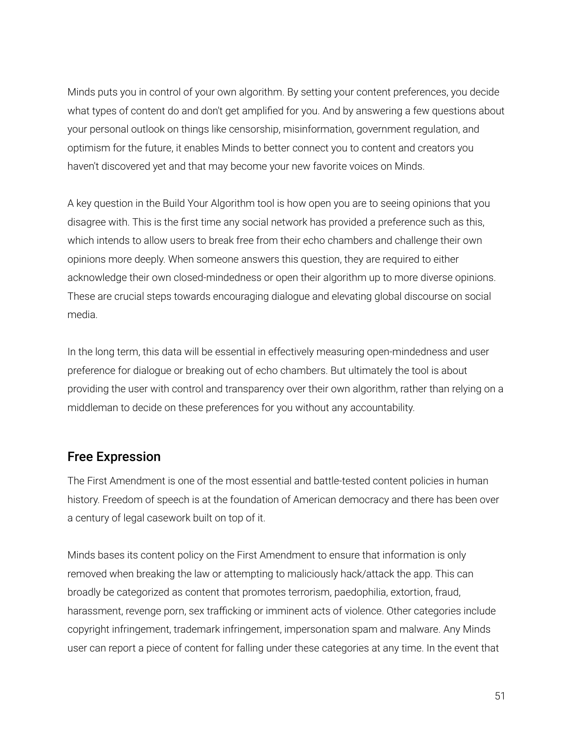Minds puts you in control of your own algorithm. By setting your content preferences, you decide what types of content do and don't get amplified for you. And by answering a few questions about your personal outlook on things like censorship, misinformation, government regulation, and optimism for the future, it enables Minds to better connect you to content and creators you haven't discovered yet and that may become your new favorite voices on Minds.

A key question in the Build Your Algorithm tool is how open you are to seeing opinions that you disagree with. This is the first time any social network has provided a preference such as this, which intends to allow users to break free from their echo chambers and challenge their own opinions more deeply. When someone answers this question, they are required to either acknowledge their own closed-mindedness or open their algorithm up to more diverse opinions. These are crucial steps towards encouraging dialogue and elevating global discourse on social media.

In the long term, this data will be essential in effectively measuring open-mindedness and user preference for dialogue or breaking out of echo chambers. But ultimately the tool is about providing the user with control and transparency over their own algorithm, rather than relying on a middleman to decide on these preferences for you without any accountability.

#### Free Expression

The First Amendment is one of the most essential and battle-tested content policies in human history. Freedom of speech is at the foundation of American democracy and there has been over a century of legal casework built on top of it.

Minds bases its content policy on the First Amendment to ensure that information is only removed when breaking the law or attempting to maliciously hack/attack the app. This can broadly be categorized as content that promotes terrorism, paedophilia, extortion, fraud, harassment, revenge porn, sex trafficking or imminent acts of violence. Other categories include copyright infringement, trademark infringement, impersonation spam and malware. Any Minds user can report a piece of content for falling under these categories at any time. In the event that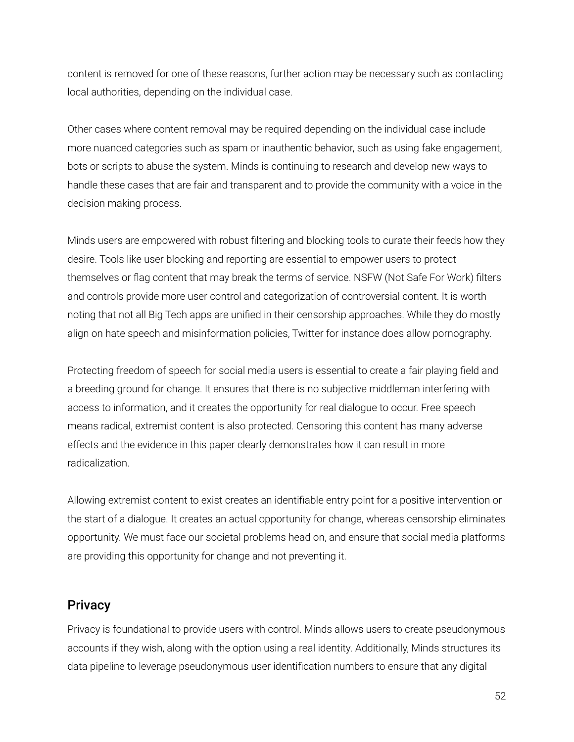content is removed for one of these reasons, further action may be necessary such as contacting local authorities, depending on the individual case.

Other cases where content removal may be required depending on the individual case include more nuanced categories such as spam or inauthentic behavior, such as using fake engagement, bots or scripts to abuse the system. Minds is continuing to research and develop new ways to handle these cases that are fair and transparent and to provide the community with a voice in the decision making process.

Minds users are empowered with robust filtering and blocking tools to curate their feeds how they desire. Tools like user blocking and reporting are essential to empower users to protect themselves or flag content that may break the terms of service. NSFW (Not Safe For Work) filters and controls provide more user control and categorization of controversial content. It is worth noting that not all Big Tech apps are unified in their censorship approaches. While they do mostly align on hate speech and misinformation policies, Twitter for instance does allow pornography.

Protecting freedom of speech for social media users is essential to create a fair playing field and a breeding ground for change. It ensures that there is no subjective middleman interfering with access to information, and it creates the opportunity for real dialogue to occur. Free speech means radical, extremist content is also protected. Censoring this content has many adverse effects and the evidence in this paper clearly demonstrates how it can result in more radicalization.

Allowing extremist content to exist creates an identifiable entry point for a positive intervention or the start of a dialogue. It creates an actual opportunity for change, whereas censorship eliminates opportunity. We must face our societal problems head on, and ensure that social media platforms are providing this opportunity for change and not preventing it.

#### **Privacy**

Privacy is foundational to provide users with control. Minds allows users to create pseudonymous accounts if they wish, along with the option using a real identity. Additionally, Minds structures its data pipeline to leverage pseudonymous user identification numbers to ensure that any digital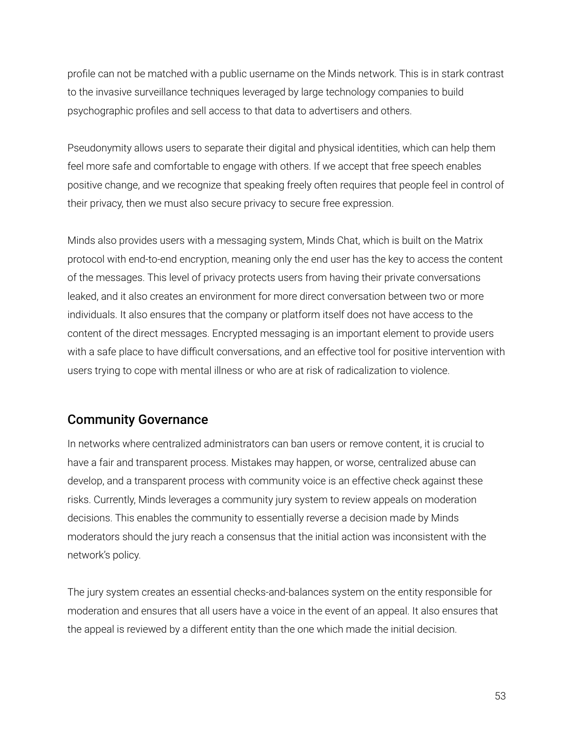profile can not be matched with a public username on the Minds network. This is in stark contrast to the invasive surveillance techniques leveraged by large technology companies to build psychographic profiles and sell access to that data to advertisers and others.

Pseudonymity allows users to separate their digital and physical identities, which can help them feel more safe and comfortable to engage with others. If we accept that free speech enables positive change, and we recognize that speaking freely often requires that people feel in control of their privacy, then we must also secure privacy to secure free expression.

Minds also provides users with a messaging system, Minds Chat, which is built on the Matrix protocol with end-to-end encryption, meaning only the end user has the key to access the content of the messages. This level of privacy protects users from having their private conversations leaked, and it also creates an environment for more direct conversation between two or more individuals. It also ensures that the company or platform itself does not have access to the content of the direct messages. Encrypted messaging is an important element to provide users with a safe place to have difficult conversations, and an effective tool for positive intervention with users trying to cope with mental illness or who are at risk of radicalization to violence.

#### Community Governance

In networks where centralized administrators can ban users or remove content, it is crucial to have a fair and transparent process. Mistakes may happen, or worse, centralized abuse can develop, and a transparent process with community voice is an effective check against these risks. Currently, Minds leverages a community jury system to review appeals on moderation decisions. This enables the community to essentially reverse a decision made by Minds moderators should the jury reach a consensus that the initial action was inconsistent with the network's policy.

The jury system creates an essential checks-and-balances system on the entity responsible for moderation and ensures that all users have a voice in the event of an appeal. It also ensures that the appeal is reviewed by a different entity than the one which made the initial decision.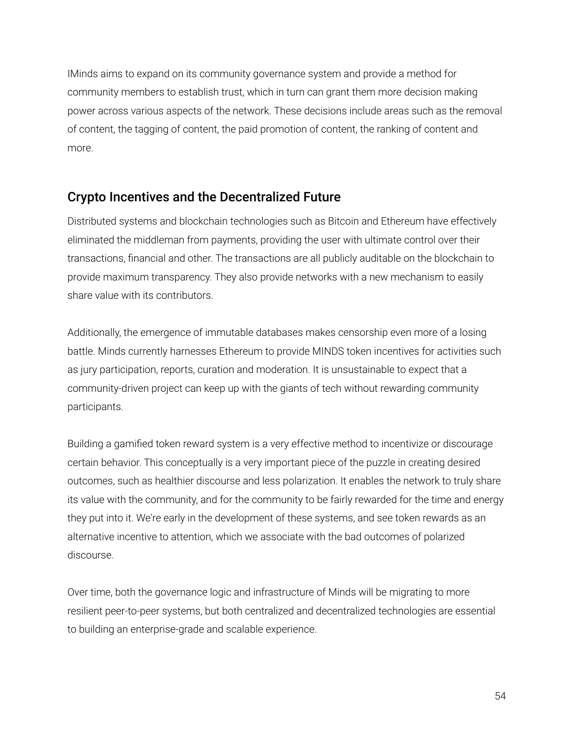IMinds aims to expand on its community governance system and provide a method for community members to establish trust, which in turn can grant them more decision making power across various aspects of the network. These decisions include areas such as the removal of content, the tagging of content, the paid promotion of content, the ranking of content and more.

### Crypto Incentives and the Decentralized Future

Distributed systems and blockchain technologies such as Bitcoin and Ethereum have effectively eliminated the middleman from payments, providing the user with ultimate control over their transactions, financial and other. The transactions are all publicly auditable on the blockchain to provide maximum transparency. They also provide networks with a new mechanism to easily share value with its contributors.

Additionally, the emergence of immutable databases makes censorship even more of a losing battle. Minds currently harnesses Ethereum to provide MINDS token incentives for activities such as jury participation, reports, curation and moderation. It is unsustainable to expect that a community-driven project can keep up with the giants of tech without rewarding community participants.

Building a gamified token reward system is a very effective method to incentivize or discourage certain behavior. This conceptually is a very important piece of the puzzle in creating desired outcomes, such as healthier discourse and less polarization. It enables the network to truly share its value with the community, and for the community to be fairly rewarded for the time and energy they put into it. We're early in the development of these systems, and see token rewards as an alternative incentive to attention, which we associate with the bad outcomes of polarized discourse.

Over time, both the governance logic and infrastructure of Minds will be migrating to more resilient peer-to-peer systems, but both centralized and decentralized technologies are essential to building an enterprise-grade and scalable experience.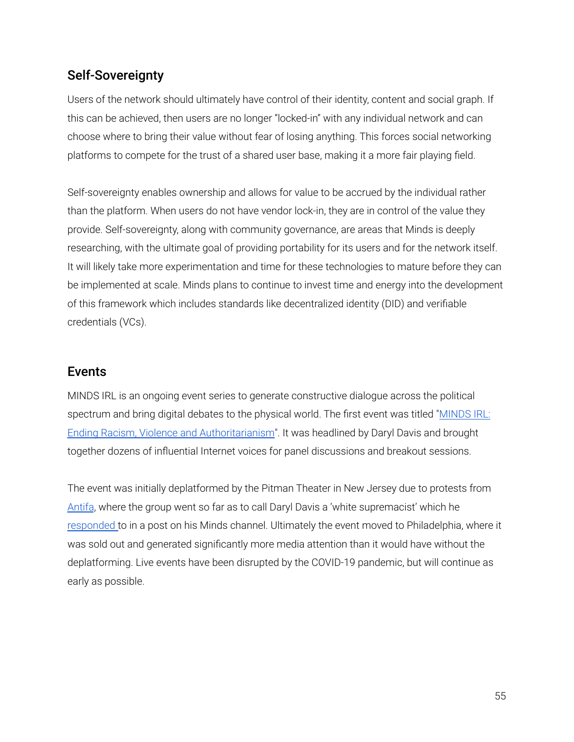### Self-Sovereignty

Users of the network should ultimately have control of their identity, content and social graph. If this can be achieved, then users are no longer "locked-in" with any individual network and can choose where to bring their value without fear of losing anything. This forces social networking platforms to compete for the trust of a shared user base, making it a more fair playing field.

Self-sovereignty enables ownership and allows for value to be accrued by the individual rather than the platform. When users do not have vendor lock-in, they are in control of the value they provide. Self-sovereignty, along with community governance, are areas that Minds is deeply researching, with the ultimate goal of providing portability for its users and for the network itself. It will likely take more experimentation and time for these technologies to mature before they can be implemented at scale. Minds plans to continue to invest time and energy into the development of this framework which includes standards like decentralized identity (DID) and verifiable credentials (VCs).

#### Events

MINDS IRL is an ongoing event series to generate constructive dialogue across the political spectrum and bring digital debates to the physical world. The first event was titled "[MINDS](https://www.eventbrite.com/e/minds-new-jersey-ending-racism-violence-and-authoritarianism-tickets-58686976326#) IRL: Ending Racism, Violence and [Authoritarianism](https://www.eventbrite.com/e/minds-new-jersey-ending-racism-violence-and-authoritarianism-tickets-58686976326#)". It was headlined by Daryl Davis and brought together dozens of influential Internet voices for panel discussions and breakout sessions.

The event was initially deplatformed by the Pitman Theater in New Jersey due to protests from [Antifa](https://www.inquirer.com/news/minds-irl-pitman-antifa-philadelphia-20190831.html), where the group went so far as to call Daryl Davis a 'white supremacist' which he [responded](https://www.minds.com/newsfeed/1017288706234175488) to in a post on his Minds channel. Ultimately the event moved to Philadelphia, where it was sold out and generated significantly more media attention than it would have without the deplatforming. Live events have been disrupted by the COVID-19 pandemic, but will continue as early as possible.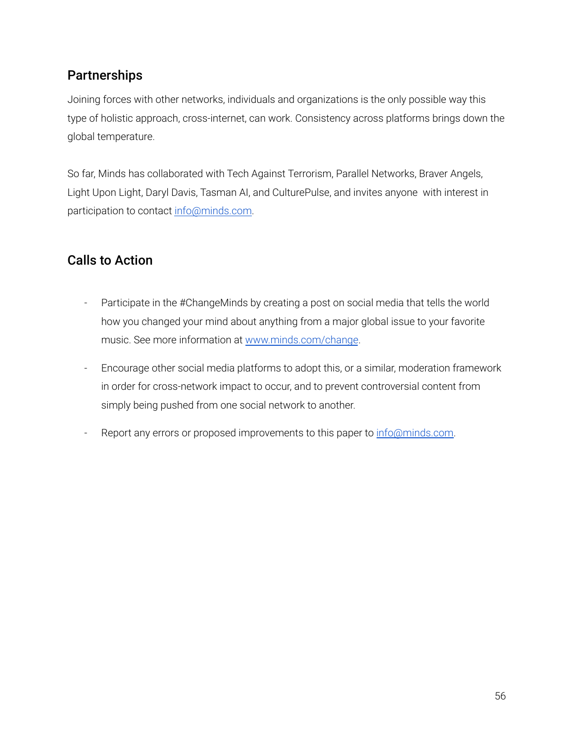## **Partnerships**

Joining forces with other networks, individuals and organizations is the only possible way this type of holistic approach, cross-internet, can work. Consistency across platforms brings down the global temperature.

So far, Minds has collaborated with Tech Against Terrorism, Parallel Networks, Braver Angels, Light Upon Light, Daryl Davis, Tasman AI, and CulturePulse, and invites anyone with interest in participation to contact [info@minds.com.](mailto:info@minds.com)

## Calls to Action

- Participate in the #ChangeMinds by creating a post on social media that tells the world how you changed your mind about anything from a major global issue to your favorite music. See more information at [www.minds.com/change](http://www.minds.com/change).
- Encourage other social media platforms to adopt this, or a similar, moderation framework in order for cross-network impact to occur, and to prevent controversial content from simply being pushed from one social network to another.
- Report any errors or proposed improvements to this paper to [info@minds.com](mailto:info@minds.com).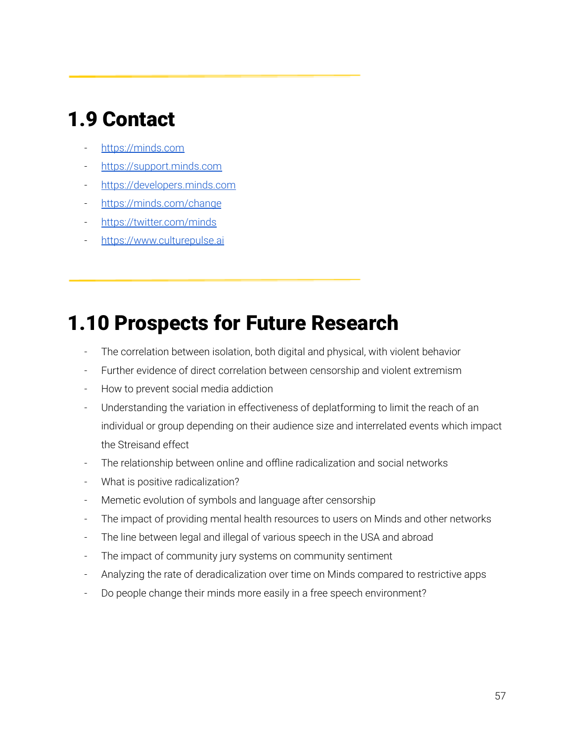# 1.9 Contact

- <https://minds.com>
- <https://support.minds.com>
- <https://developers.minds.com>
- <https://minds.com/change>
- <https://twitter.com/minds>
- <https://www.culturepulse.ai>

# 1.10 Prospects for Future Research

- The correlation between isolation, both digital and physical, with violent behavior
- Further evidence of direct correlation between censorship and violent extremism
- How to prevent social media addiction
- Understanding the variation in effectiveness of deplatforming to limit the reach of an individual or group depending on their audience size and interrelated events which impact the Streisand effect
- The relationship between online and offline radicalization and social networks
- What is positive radicalization?
- Memetic evolution of symbols and language after censorship
- The impact of providing mental health resources to users on Minds and other networks
- The line between legal and illegal of various speech in the USA and abroad
- The impact of community jury systems on community sentiment
- Analyzing the rate of deradicalization over time on Minds compared to restrictive apps
- Do people change their minds more easily in a free speech environment?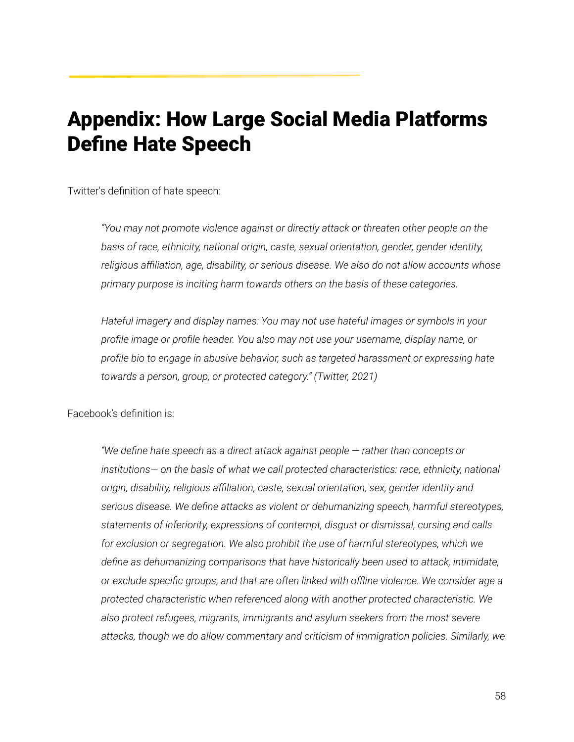# Appendix: How Large Social Media Platforms Define Hate Speech

Twitter's definition of hate speech:

*"You may not promote violence against or directly attack or threaten other people on the basis of race, ethnicity, national origin, caste, sexual orientation, gender, gender identity, religious affiliation, age, disability, or serious disease. We also do not allow accounts whose primary purpose is inciting harm towards others on the basis of these categories.*

*Hateful imagery and display names: You may not use hateful images or symbols in your profile image or profile header. You also may not use your username, display name, or profile bio to engage in abusive behavior, such as targeted harassment or expressing hate towards a person, group, or protected category." (Twitter, 2021)*

Facebook's definition is:

*"We define hate speech as a direct attack against people — rather than concepts or institutions— on the basis of what we call protected characteristics: race, ethnicity, national origin, disability, religious affiliation, caste, sexual orientation, sex, gender identity and serious disease. We define attacks as violent or dehumanizing speech, harmful stereotypes, statements of inferiority, expressions of contempt, disgust or dismissal, cursing and calls for exclusion or segregation. We also prohibit the use of harmful stereotypes, which we define as dehumanizing comparisons that have historically been used to attack, intimidate, or exclude specific groups, and that are often linked with offline violence. We consider age a protected characteristic when referenced along with another protected characteristic. We also protect refugees, migrants, immigrants and asylum seekers from the most severe attacks, though we do allow commentary and criticism of immigration policies. Similarly, we*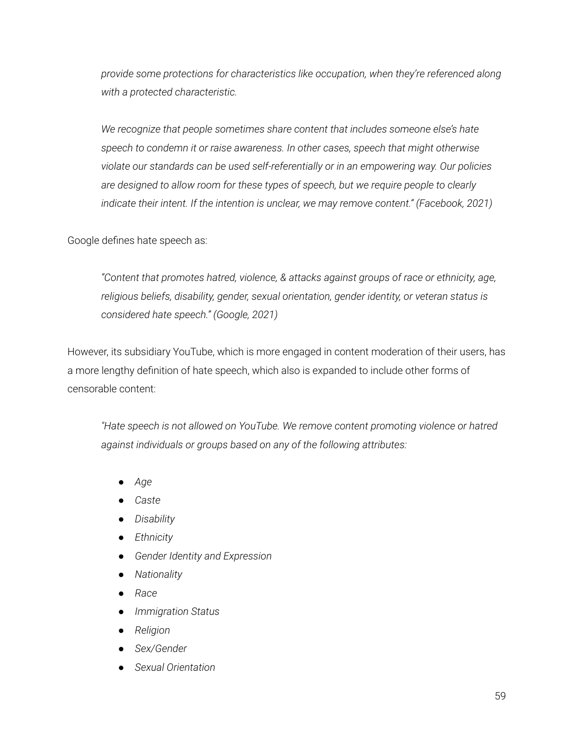*provide some protections for characteristics like occupation, when they're referenced along with a protected characteristic.*

*We recognize that people sometimes share content that includes someone else's hate speech to condemn it or raise awareness. In other cases, speech that might otherwise violate our standards can be used self-referentially or in an empowering way. Our policies are designed to allow room for these types of speech, but we require people to clearly indicate their intent. If the intention is unclear, we may remove content." (Facebook, 2021)*

Google defines hate speech as:

*"Content that promotes hatred, violence, & attacks against groups of race or ethnicity, age, religious beliefs, disability, gender, sexual orientation, gender identity, or veteran status is considered hate speech." (Google, 2021)*

However, its subsidiary YouTube, which is more engaged in content moderation of their users, has a more lengthy definition of hate speech, which also is expanded to include other forms of censorable content:

*"Hate speech is not allowed on YouTube. We remove content promoting violence or hatred against individuals or groups based on any of the following attributes:*

- *● Age*
- *● Caste*
- *● Disability*
- *● Ethnicity*
- *● Gender Identity and Expression*
- *● Nationality*
- *● Race*
- *● Immigration Status*
- *● Religion*
- *● Sex/Gender*
- *● Sexual Orientation*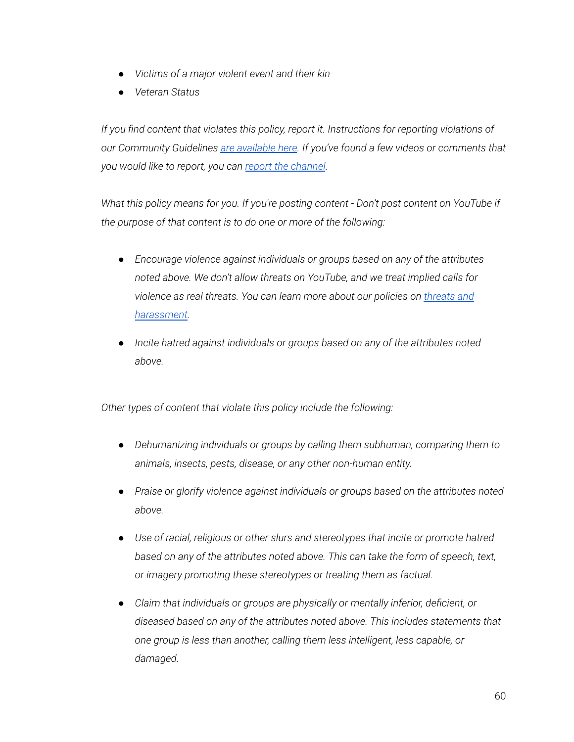- *● Victims of a major violent event and their kin*
- *● Veteran Status*

*If you find content that violates this policy, report it. Instructions for reporting violations of our Community Guidelines are [available](https://support.google.com/youtube/answer/2802027) here. If you've found a few videos or comments that you would like to report, you can report the [channel](https://support.google.com/youtube/answer/2802027#report_channel).*

*What this policy means for you. If you're posting content - Don't post content on YouTube if the purpose of that content is to do one or more of the following:*

- *● Encourage violence against individuals or groups based on any of the attributes noted above. We don't allow threats on YouTube, and we treat implied calls for violence as real threats. You can learn more about our policies on [threats](https://support.google.com/youtube/answer/2802268) and [harassment](https://support.google.com/youtube/answer/2802268).*
- *● Incite hatred against individuals or groups based on any of the attributes noted above.*

*Other types of content that violate this policy include the following:*

- *● Dehumanizing individuals or groups by calling them subhuman, comparing them to animals, insects, pests, disease, or any other non-human entity.*
- *● Praise or glorify violence against individuals or groups based on the attributes noted above.*
- *● Use of racial, religious or other slurs and stereotypes that incite or promote hatred based on any of the attributes noted above. This can take the form of speech, text, or imagery promoting these stereotypes or treating them as factual.*
- *● Claim that individuals or groups are physically or mentally inferior, deficient, or diseased based on any of the attributes noted above. This includes statements that one group is less than another, calling them less intelligent, less capable, or damaged.*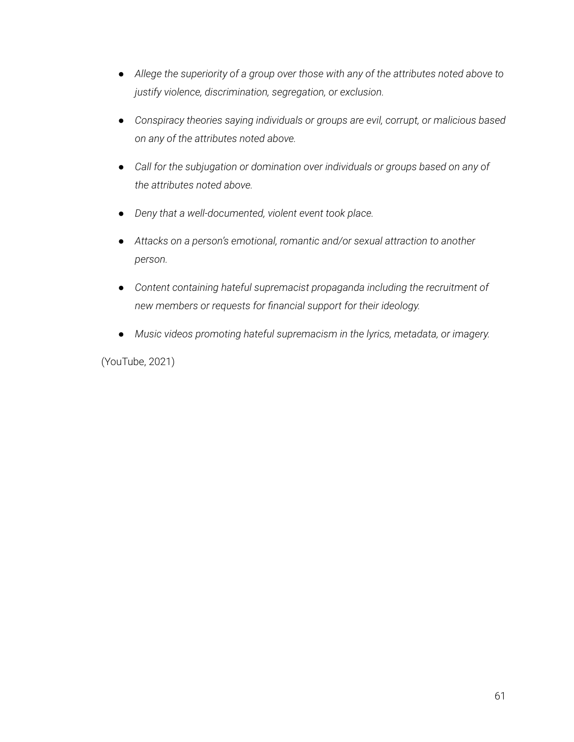- *● Allege the superiority of a group over those with any of the attributes noted above to justify violence, discrimination, segregation, or exclusion.*
- *● Conspiracy theories saying individuals or groups are evil, corrupt, or malicious based on any of the attributes noted above.*
- *● Call for the subjugation or domination over individuals or groups based on any of the attributes noted above.*
- *● Deny that a well-documented, violent event took place.*
- *● Attacks on a person's emotional, romantic and/or sexual attraction to another person.*
- *● Content containing hateful supremacist propaganda including the recruitment of new members or requests for financial support for their ideology.*
- *● Music videos promoting hateful supremacism in the lyrics, metadata, or imagery.*

(YouTube, 2021)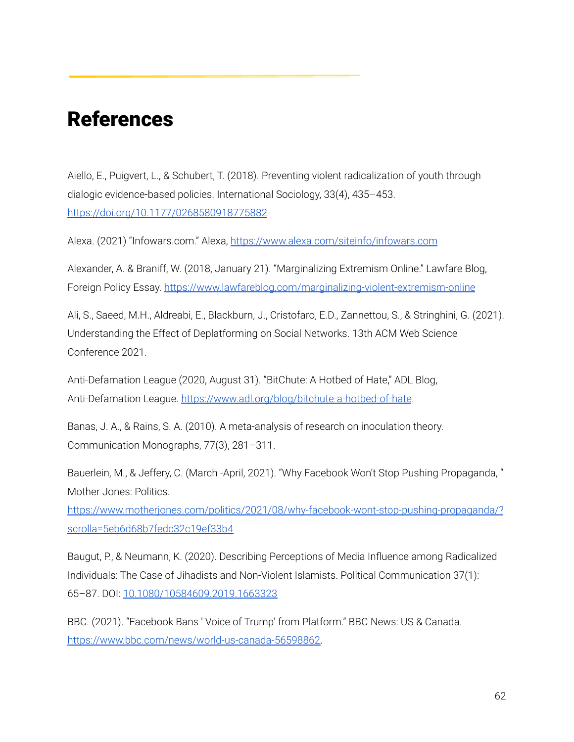# References

Aiello, E., Puigvert, L., & Schubert, T. (2018). Preventing violent radicalization of youth through dialogic evidence-based policies. International Sociology, 33(4), 435–453. <https://doi.org/10.1177/0268580918775882>

Alexa. (2021) "Infowars.com." Alexa, <https://www.alexa.com/siteinfo/infowars.com>

Alexander, A. & Braniff, W. (2018, January 21). "Marginalizing Extremism Online." Lawfare Blog, Foreign Policy Essay. <https://www.lawfareblog.com/marginalizing-violent-extremism-online>

Ali, S., Saeed, M.H., Aldreabi, E., Blackburn, J., Cristofaro, E.D., Zannettou, S., & Stringhini, G. (2021). Understanding the Effect of Deplatforming on Social Networks. 13th ACM Web Science Conference 2021.

Anti-Defamation League (2020, August 31). "BitChute: A Hotbed of Hate," ADL Blog, Anti-Defamation League. <https://www.adl.org/blog/bitchute-a-hotbed-of-hate>.

Banas, J. A., & Rains, S. A. (2010). A meta-analysis of research on inoculation theory. Communication Monographs, 77(3), 281–311.

Bauerlein, M., & Jeffery, C. (March -April, 2021). "Why Facebook Won't Stop Pushing Propaganda, " Mother Jones: Politics.

[https://www.motherjones.com/politics/2021/08/why-facebook-wont-stop-pushing-propaganda/?](https://www.motherjones.com/politics/2021/08/why-facebook-wont-stop-pushing-propaganda/?scrolla=5eb6d68b7fedc32c19ef33b4) [scrolla=5eb6d68b7fedc32c19ef33b4](https://www.motherjones.com/politics/2021/08/why-facebook-wont-stop-pushing-propaganda/?scrolla=5eb6d68b7fedc32c19ef33b4)

Baugut, P., & Neumann, K. (2020). Describing Perceptions of Media Influence among Radicalized Individuals: The Case of Jihadists and Non-Violent Islamists. Political Communication 37(1): 65–87. DOI: [10.1080/10584609.2019.1663323](https://doi.org/10.1080/10584609.2019.1663323)

BBC. (2021). "Facebook Bans ' Voice of Trump' from Platform." BBC News: US & Canada. [https://www.bbc.com/news/world-us-canada-56598862.](https://www.bbc.com/news/world-us-canada-56598862)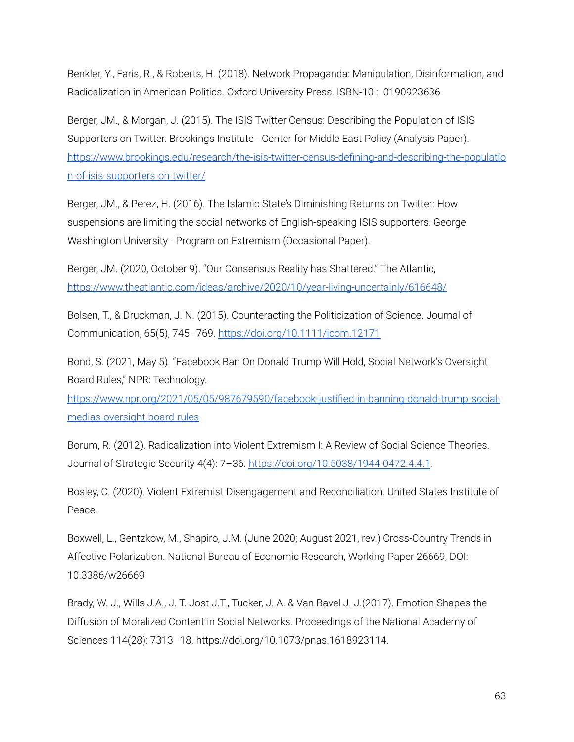Benkler, Y., Faris, R., & Roberts, H. (2018). Network Propaganda: Manipulation, Disinformation, and Radicalization in American Politics. Oxford University Press. ISBN-10 : 0190923636

Berger, JM., & Morgan, J. (2015). The ISIS Twitter Census: Describing the Population of ISIS Supporters on Twitter. Brookings Institute - Center for Middle East Policy (Analysis Paper). [https://www.brookings.edu/research/the-isis-twitter-census-defining-and-describing-the-populatio](https://www.brookings.edu/research/the-isis-twitter-census-defining-and-describing-the-population-of-isis-supporters-on-twitter/) [n-of-isis-supporters-on-twitter/](https://www.brookings.edu/research/the-isis-twitter-census-defining-and-describing-the-population-of-isis-supporters-on-twitter/)

Berger, JM., & Perez, H. (2016). The Islamic State's Diminishing Returns on Twitter: How suspensions are limiting the social networks of English-speaking ISIS supporters. George Washington University - Program on Extremism (Occasional Paper).

Berger, JM. (2020, October 9). "Our Consensus Reality has Shattered." The Atlantic, <https://www.theatlantic.com/ideas/archive/2020/10/year-living-uncertainly/616648/>

Bolsen, T., & Druckman, J. N. (2015). Counteracting the Politicization of Science. Journal of Communication, 65(5), 745–769. <https://doi.org/10.1111/jcom.12171>

Bond, S. (2021, May 5). "Facebook Ban On Donald Trump Will Hold, Social Network's Oversight Board Rules," NPR: Technology.

[https://www.npr.org/2021/05/05/987679590/facebook-justified-in-banning-donald-trump-social](https://www.npr.org/2021/05/05/987679590/facebook-justified-in-banning-donald-trump-social-medias-oversight-board-rules)[medias-oversight-board-rules](https://www.npr.org/2021/05/05/987679590/facebook-justified-in-banning-donald-trump-social-medias-oversight-board-rules)

Borum, R. (2012). Radicalization into Violent Extremism I: A Review of Social Science Theories. Journal of Strategic Security 4(4): 7–36. <https://doi.org/10.5038/1944-0472.4.4.1>.

Bosley, C. (2020). Violent Extremist Disengagement and Reconciliation. United States Institute of Peace.

Boxwell, L., Gentzkow, M., Shapiro, J.M. (June 2020; August 2021, rev.) Cross-Country Trends in Affective Polarization. National Bureau of Economic Research, Working Paper 26669, DOI: 10.3386/w26669

Brady, W. J., Wills J.A., J. T. Jost J.T., Tucker, J. A. & Van Bavel J. J.(2017). Emotion Shapes the Diffusion of Moralized Content in Social Networks. Proceedings of the National Academy of Sciences 114(28): 7313–18. https://doi.org/10.1073/pnas.1618923114.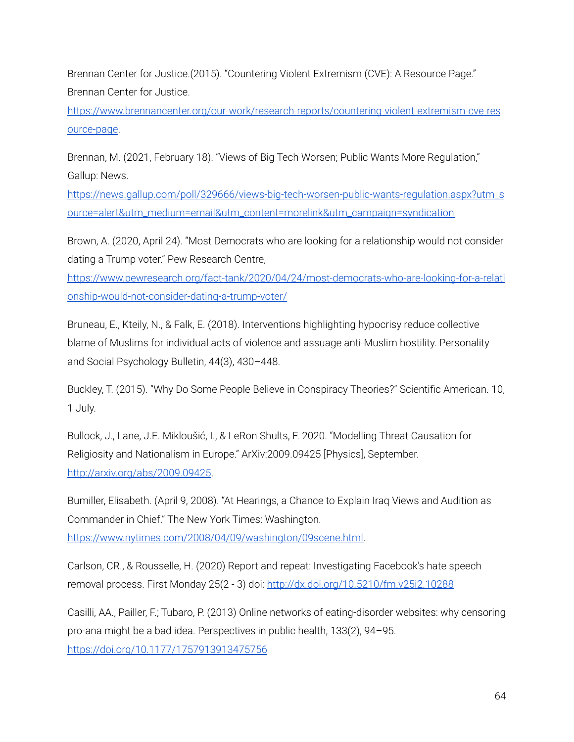Brennan Center for Justice.(2015). "Countering Violent Extremism (CVE): A Resource Page." Brennan Center for Justice.

[https://www.brennancenter.org/our-work/research-reports/countering-violent-extremism-cve-res](https://www.brennancenter.org/our-work/research-reports/countering-violent-extremism-cve-resource-page) [ource-page](https://www.brennancenter.org/our-work/research-reports/countering-violent-extremism-cve-resource-page).

Brennan, M. (2021, February 18). "Views of Big Tech Worsen; Public Wants More Regulation," Gallup: News.

[https://news.gallup.com/poll/329666/views-big-tech-worsen-public-wants-regulation.aspx?utm\\_s](https://news.gallup.com/poll/329666/views-big-tech-worsen-public-wants-regulation.aspx?utm_source=alert&utm_medium=email&utm_content=morelink&utm_campaign=syndication) [ource=alert&utm\\_medium=email&utm\\_content=morelink&utm\\_campaign=syndication](https://news.gallup.com/poll/329666/views-big-tech-worsen-public-wants-regulation.aspx?utm_source=alert&utm_medium=email&utm_content=morelink&utm_campaign=syndication)

Brown, A. (2020, April 24). "Most Democrats who are looking for a relationship would not consider dating a Trump voter." Pew Research Centre,

[https://www.pewresearch.org/fact-tank/2020/04/24/most-democrats-who-are-looking-for-a-relati](https://www.pewresearch.org/fact-tank/2020/04/24/most-democrats-who-are-looking-for-a-relationship-would-not-consider-dating-a-trump-voter/) [onship-would-not-consider-dating-a-trump-voter/](https://www.pewresearch.org/fact-tank/2020/04/24/most-democrats-who-are-looking-for-a-relationship-would-not-consider-dating-a-trump-voter/)

Bruneau, E., Kteily, N., & Falk, E. (2018). Interventions highlighting hypocrisy reduce collective blame of Muslims for individual acts of violence and assuage anti-Muslim hostility. Personality and Social Psychology Bulletin, 44(3), 430–448.

Buckley, T. (2015). "Why Do Some People Believe in Conspiracy Theories?" Scientific American. 10, 1 July.

Bullock, J., Lane, J.E. Mikloušić, I., & LeRon Shults, F. 2020. "Modelling Threat Causation for Religiosity and Nationalism in Europe." ArXiv:2009.09425 [Physics], September. <http://arxiv.org/abs/2009.09425>.

Bumiller, Elisabeth. (April 9, 2008). "At Hearings, a Chance to Explain Iraq Views and Audition as Commander in Chief." The New York Times: Washington.

[https://www.nytimes.com/2008/04/09/washington/09scene.html.](https://www.nytimes.com/2008/04/09/washington/09scene.html)

Carlson, CR., & Rousselle, H. (2020) Report and repeat: Investigating Facebook's hate speech removal process. First Monday 25(2 - 3) doi: <http://dx.doi.org/10.5210/fm.v25i2.10288>

Casilli, AA., Pailler, F.; Tubaro, P. (2013) Online networks of eating-disorder websites: why censoring pro-ana might be a bad idea. Perspectives in public health, 133(2), 94–95. <https://doi.org/10.1177/1757913913475756>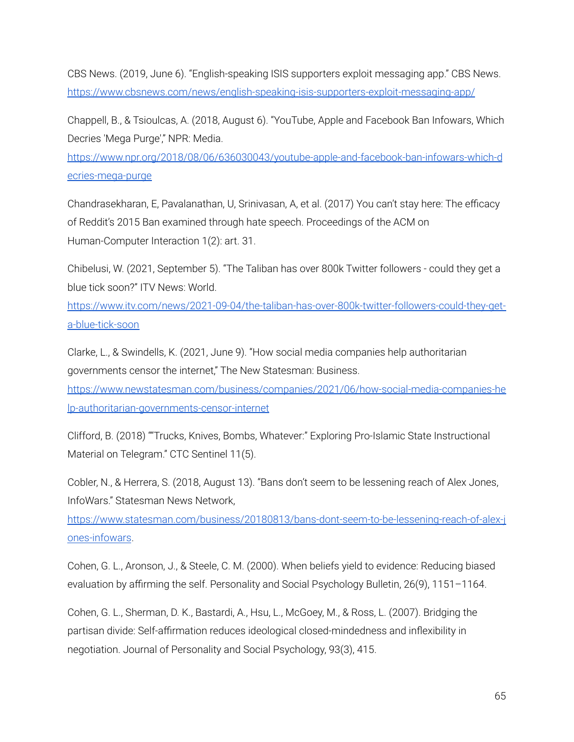CBS News. (2019, June 6). "English-speaking ISIS supporters exploit messaging app." CBS News. <https://www.cbsnews.com/news/english-speaking-isis-supporters-exploit-messaging-app/>

Chappell, B., & Tsioulcas, A. (2018, August 6). "YouTube, Apple and Facebook Ban Infowars, Which Decries 'Mega Purge'," NPR: Media.

[https://www.npr.org/2018/08/06/636030043/youtube-apple-and-facebook-ban-infowars-which-d](https://www.npr.org/2018/08/06/636030043/youtube-apple-and-facebook-ban-infowars-which-decries-mega-purge) [ecries-mega-purge](https://www.npr.org/2018/08/06/636030043/youtube-apple-and-facebook-ban-infowars-which-decries-mega-purge)

Chandrasekharan, E, Pavalanathan, U, Srinivasan, A, et al. (2017) You can't stay here: The efficacy of Reddit's 2015 Ban examined through hate speech. Proceedings of the ACM on Human-Computer Interaction 1(2): art. 31.

Chibelusi, W. (2021, September 5). "The Taliban has over 800k Twitter followers - could they get a blue tick soon?" ITV News: World.

[https://www.itv.com/news/2021-09-04/the-taliban-has-over-800k-twitter-followers-could-they-get](https://www.itv.com/news/2021-09-04/the-taliban-has-over-800k-twitter-followers-could-they-get-a-blue-tick-soon)[a-blue-tick-soon](https://www.itv.com/news/2021-09-04/the-taliban-has-over-800k-twitter-followers-could-they-get-a-blue-tick-soon)

Clarke, L., & Swindells, K. (2021, June 9). "How social media companies help authoritarian governments censor the internet," The New Statesman: Business. [https://www.newstatesman.com/business/companies/2021/06/how-social-media-companies-he](https://www.newstatesman.com/business/companies/2021/06/how-social-media-companies-help-authoritarian-governments-censor-internet) [lp-authoritarian-governments-censor-internet](https://www.newstatesman.com/business/companies/2021/06/how-social-media-companies-help-authoritarian-governments-censor-internet)

Clifford, B. (2018) ""Trucks, Knives, Bombs, Whatever:" Exploring Pro-Islamic State Instructional Material on Telegram." CTC Sentinel 11(5).

Cobler, N., & Herrera, S. (2018, August 13). "Bans don't seem to be lessening reach of Alex Jones, InfoWars." Statesman News Network,

[https://www.statesman.com/business/20180813/bans-dont-seem-to-be-lessening-reach-of-alex-j](https://www.statesman.com/business/20180813/bans-dont-seem-to-be-lessening-reach-of-alex-jones-infowars) [ones-infowars](https://www.statesman.com/business/20180813/bans-dont-seem-to-be-lessening-reach-of-alex-jones-infowars).

Cohen, G. L., Aronson, J., & Steele, C. M. (2000). When beliefs yield to evidence: Reducing biased evaluation by affirming the self. Personality and Social Psychology Bulletin, 26(9), 1151–1164.

Cohen, G. L., Sherman, D. K., Bastardi, A., Hsu, L., McGoey, M., & Ross, L. (2007). Bridging the partisan divide: Self-affirmation reduces ideological closed-mindedness and inflexibility in negotiation. Journal of Personality and Social Psychology, 93(3), 415.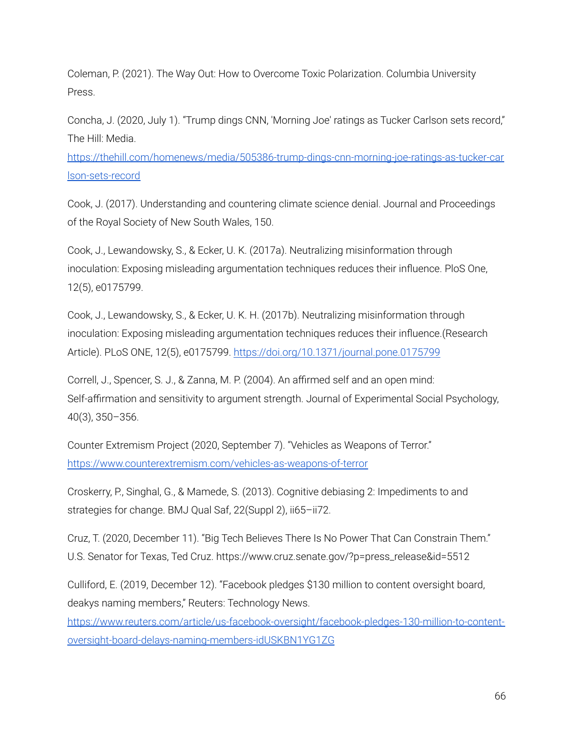Coleman, P. (2021). The Way Out: How to Overcome Toxic Polarization. Columbia University Press.

Concha, J. (2020, July 1). "Trump dings CNN, 'Morning Joe' ratings as Tucker Carlson sets record," The Hill: Media.

[https://thehill.com/homenews/media/505386-trump-dings-cnn-morning-joe-ratings-as-tucker-car](https://thehill.com/homenews/media/505386-trump-dings-cnn-morning-joe-ratings-as-tucker-carlson-sets-record) [lson-sets-record](https://thehill.com/homenews/media/505386-trump-dings-cnn-morning-joe-ratings-as-tucker-carlson-sets-record)

Cook, J. (2017). Understanding and countering climate science denial. Journal and Proceedings of the Royal Society of New South Wales, 150.

Cook, J., Lewandowsky, S., & Ecker, U. K. (2017a). Neutralizing misinformation through inoculation: Exposing misleading argumentation techniques reduces their influence. PloS One, 12(5), e0175799.

Cook, J., Lewandowsky, S., & Ecker, U. K. H. (2017b). Neutralizing misinformation through inoculation: Exposing misleading argumentation techniques reduces their influence.(Research Article). PLoS ONE, 12(5), e0175799. <https://doi.org/10.1371/journal.pone.0175799>

Correll, J., Spencer, S. J., & Zanna, M. P. (2004). An affirmed self and an open mind: Self-affirmation and sensitivity to argument strength. Journal of Experimental Social Psychology, 40(3), 350–356.

Counter Extremism Project (2020, September 7). "Vehicles as Weapons of Terror." <https://www.counterextremism.com/vehicles-as-weapons-of-terror>

Croskerry, P., Singhal, G., & Mamede, S. (2013). Cognitive debiasing 2: Impediments to and strategies for change. BMJ Qual Saf, 22(Suppl 2), ii65–ii72.

Cruz, T. (2020, December 11). "Big Tech Believes There Is No Power That Can Constrain Them." U.S. Senator for Texas, Ted Cruz. https://www.cruz.senate.gov/?p=press\_release&id=5512

Culliford, E. (2019, December 12). "Facebook pledges \$130 million to content oversight board, deakys naming members," Reuters: Technology News.

[https://www.reuters.com/article/us-facebook-oversight/facebook-pledges-130-million-to-content](https://www.reuters.com/article/us-facebook-oversight/facebook-pledges-130-million-to-content-oversight-board-delays-naming-members-idUSKBN1YG1ZG)[oversight-board-delays-naming-members-idUSKBN1YG1ZG](https://www.reuters.com/article/us-facebook-oversight/facebook-pledges-130-million-to-content-oversight-board-delays-naming-members-idUSKBN1YG1ZG)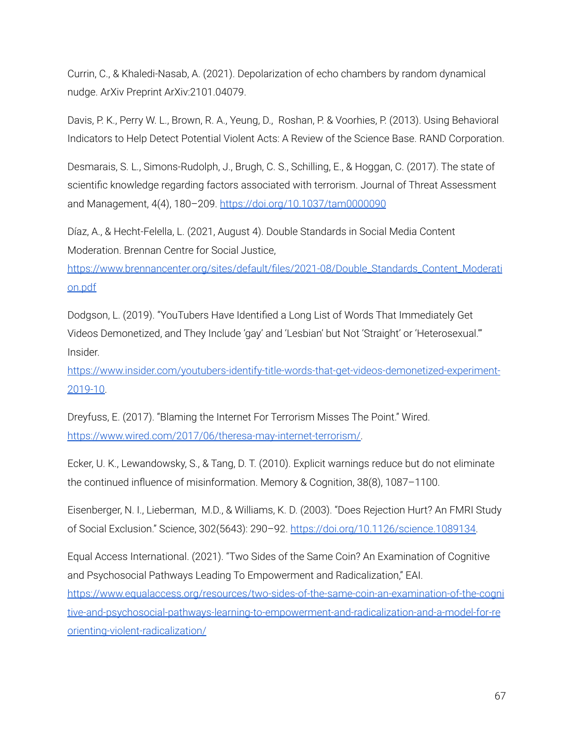Currin, C., & Khaledi-Nasab, A. (2021). Depolarization of echo chambers by random dynamical nudge. ArXiv Preprint ArXiv:2101.04079.

Davis, P. K., Perry W. L., Brown, R. A., Yeung, D., Roshan, P. & Voorhies, P. (2013). Using Behavioral Indicators to Help Detect Potential Violent Acts: A Review of the Science Base. RAND Corporation.

Desmarais, S. L., Simons-Rudolph, J., Brugh, C. S., Schilling, E., & Hoggan, C. (2017). The state of scientific knowledge regarding factors associated with terrorism. Journal of Threat Assessment and Management, 4(4), 180–209. [https://doi.org/10.1037/tam0000090](https://psycnet.apa.org/doi/10.1037/tam0000090)

Díaz, A., & Hecht-Felella, L. (2021, August 4). Double Standards in Social Media Content Moderation. Brennan Centre for Social Justice,

[https://www.brennancenter.org/sites/default/files/2021-08/Double\\_Standards\\_Content\\_Moderati](https://www.brennancenter.org/sites/default/files/2021-08/Double_Standards_Content_Moderation.pdf) [on.pdf](https://www.brennancenter.org/sites/default/files/2021-08/Double_Standards_Content_Moderation.pdf)

Dodgson, L. (2019). "YouTubers Have Identified a Long List of Words That Immediately Get Videos Demonetized, and They Include 'gay' and 'Lesbian' but Not 'Straight' or 'Heterosexual.'" Insider.

[https://www.insider.com/youtubers-identify-title-words-that-get-videos-demonetized-experiment-](https://www.insider.com/youtubers-identify-title-words-that-get-videos-demonetized-experiment-2019-10)[2019-10.](https://www.insider.com/youtubers-identify-title-words-that-get-videos-demonetized-experiment-2019-10)

Dreyfuss, E. (2017). "Blaming the Internet For Terrorism Misses The Point." Wired. [https://www.wired.com/2017/06/theresa-may-internet-terrorism/.](https://www.wired.com/2017/06/theresa-may-internet-terrorism/)

Ecker, U. K., Lewandowsky, S., & Tang, D. T. (2010). Explicit warnings reduce but do not eliminate the continued influence of misinformation. Memory & Cognition, 38(8), 1087–1100.

Eisenberger, N. I., Lieberman, M.D., & Williams, K. D. (2003). "Does Rejection Hurt? An FMRI Study of Social Exclusion." Science, 302(5643): 290–92. [https://doi.org/10.1126/science.1089134.](https://doi.org/10.1126/science.1089134)

Equal Access International. (2021). "Two Sides of the Same Coin? An Examination of Cognitive and Psychosocial Pathways Leading To Empowerment and Radicalization," EAI. [https://www.equalaccess.org/resources/two-sides-of-the-same-coin-an-examination-of-the-cogni](https://www.equalaccess.org/resources/two-sides-of-the-same-coin-an-examination-of-the-cognitive-and-psychosocial-pathways-learning-to-empowerment-and-radicalization-and-a-model-for-reorienting-violent-radicalization/) [tive-and-psychosocial-pathways-learning-to-empowerment-and-radicalization-and-a-model-for-re](https://www.equalaccess.org/resources/two-sides-of-the-same-coin-an-examination-of-the-cognitive-and-psychosocial-pathways-learning-to-empowerment-and-radicalization-and-a-model-for-reorienting-violent-radicalization/) [orienting-violent-radicalization/](https://www.equalaccess.org/resources/two-sides-of-the-same-coin-an-examination-of-the-cognitive-and-psychosocial-pathways-learning-to-empowerment-and-radicalization-and-a-model-for-reorienting-violent-radicalization/)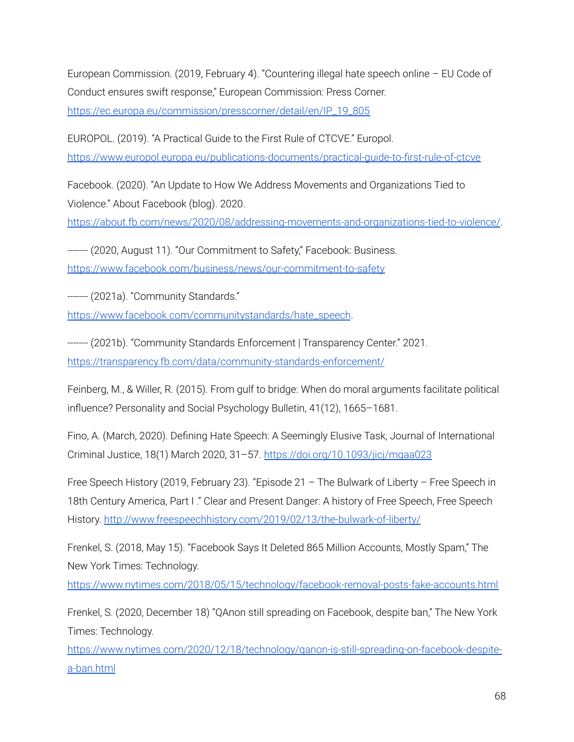European Commission. (2019, February 4). "Countering illegal hate speech online – EU Code of Conduct ensures swift response," European Commission: Press Corner. [https://ec.europa.eu/commission/presscorner/detail/en/IP\\_19\\_805](https://ec.europa.eu/commission/presscorner/detail/en/IP_19_805)

EUROPOL. (2019). "A Practical Guide to the First Rule of CTCVE." Europol. <https://www.europol.europa.eu/publications-documents/practical-guide-to-first-rule-of-ctcve>

Facebook. (2020). "An Update to How We Address Movements and Organizations Tied to Violence." About Facebook (blog). 2020.

<https://about.fb.com/news/2020/08/addressing-movements-and-organizations-tied-to-violence/>.

------- (2020, August 11). "Our Commitment to Safety," Facebook: Business. <https://www.facebook.com/business/news/our-commitment-to-safety>

------- (2021a). "Community Standards."

[https://www.facebook.com/communitystandards/hate\\_speech](https://www.facebook.com/communitystandards/hate_speech).

------- (2021b). "Community Standards Enforcement | Transparency Center." 2021. <https://transparency.fb.com/data/community-standards-enforcement/>

Feinberg, M., & Willer, R. (2015). From gulf to bridge: When do moral arguments facilitate political influence? Personality and Social Psychology Bulletin, 41(12), 1665–1681.

Fino, A. (March, 2020). Defining Hate Speech: A Seemingly Elusive Task, Journal of International Criminal Justice, 18(1) March 2020, 31–57. <https://doi.org/10.1093/jicj/mqaa023>

Free Speech History (2019, February 23). "Episode 21 – The Bulwark of Liberty – Free Speech in 18th Century America, Part I." Clear and Present Danger: A history of Free Speech, Free Speech History. <http://www.freespeechhistory.com/2019/02/13/the-bulwark-of-liberty/>

Frenkel, S. (2018, May 15). "Facebook Says It Deleted 865 Million Accounts, Mostly Spam," The New York Times: Technology.

<https://www.nytimes.com/2018/05/15/technology/facebook-removal-posts-fake-accounts.html>

Frenkel, S. (2020, December 18) "QAnon still spreading on Facebook, despite ban," The New York Times: Technology.

[https://www.nytimes.com/2020/12/18/technology/qanon-is-still-spreading-on-facebook-despite](https://www.nytimes.com/2020/12/18/technology/qanon-is-still-spreading-on-facebook-despite-a-ban.html)[a-ban.html](https://www.nytimes.com/2020/12/18/technology/qanon-is-still-spreading-on-facebook-despite-a-ban.html)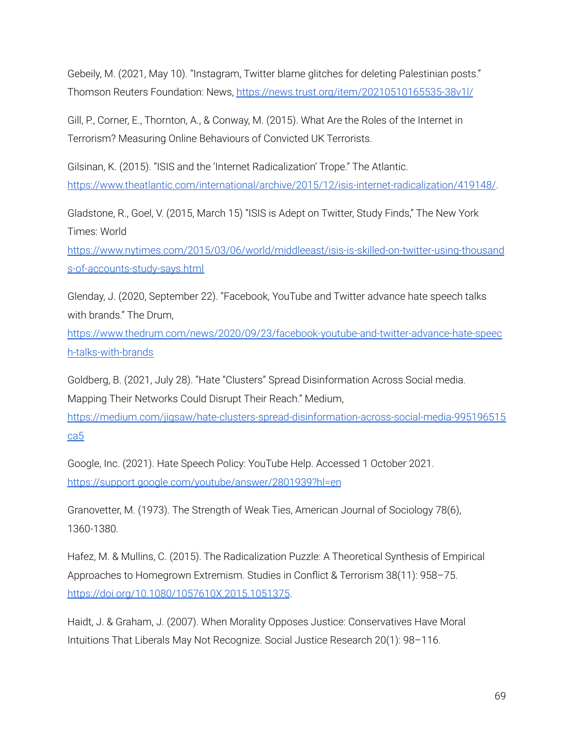Gebeily, M. (2021, May 10). "Instagram, Twitter blame glitches for deleting Palestinian posts." Thomson Reuters Foundation: News, <https://news.trust.org/item/20210510165535-38v1l/>

Gill, P., Corner, E., Thornton, A., & Conway, M. (2015). What Are the Roles of the Internet in Terrorism? Measuring Online Behaviours of Convicted UK Terrorists.

Gilsinan, K. (2015). "ISIS and the 'Internet Radicalization' Trope." The Atlantic. <https://www.theatlantic.com/international/archive/2015/12/isis-internet-radicalization/419148/>.

Gladstone, R., Goel, V. (2015, March 15) "ISIS is Adept on Twitter, Study Finds," The New York Times: World

[https://www.nytimes.com/2015/03/06/world/middleeast/isis-is-skilled-on-twitter-using-thousand](https://www.nytimes.com/2015/03/06/world/middleeast/isis-is-skilled-on-twitter-using-thousands-of-accounts-study-says.html) [s-of-accounts-study-says.html](https://www.nytimes.com/2015/03/06/world/middleeast/isis-is-skilled-on-twitter-using-thousands-of-accounts-study-says.html)

Glenday, J. (2020, September 22). "Facebook, YouTube and Twitter advance hate speech talks with brands." The Drum,

[https://www.thedrum.com/news/2020/09/23/facebook-youtube-and-twitter-advance-hate-speec](https://www.thedrum.com/news/2020/09/23/facebook-youtube-and-twitter-advance-hate-speech-talks-with-brands) [h-talks-with-brands](https://www.thedrum.com/news/2020/09/23/facebook-youtube-and-twitter-advance-hate-speech-talks-with-brands)

Goldberg, B. (2021, July 28). "Hate "Clusters" Spread Disinformation Across Social media. Mapping Their Networks Could Disrupt Their Reach." Medium,

[https://medium.com/jigsaw/hate-clusters-spread-disinformation-across-social-media-995196515](https://medium.com/jigsaw/hate-clusters-spread-disinformation-across-social-media-995196515ca5) [ca5](https://medium.com/jigsaw/hate-clusters-spread-disinformation-across-social-media-995196515ca5)

Google, Inc. (2021). Hate Speech Policy: YouTube Help. Accessed 1 October 2021. <https://support.google.com/youtube/answer/2801939?hl=en>

Granovetter, M. (1973). The Strength of Weak Ties, American Journal of Sociology 78(6), 1360-1380.

Hafez, M. & Mullins, C. (2015). The Radicalization Puzzle: A Theoretical Synthesis of Empirical Approaches to Homegrown Extremism. Studies in Conflict & Terrorism 38(11): 958–75. <https://doi.org/10.1080/1057610X.2015.1051375>.

Haidt, J. & Graham, J. (2007). When Morality Opposes Justice: Conservatives Have Moral Intuitions That Liberals May Not Recognize. Social Justice Research 20(1): 98–116.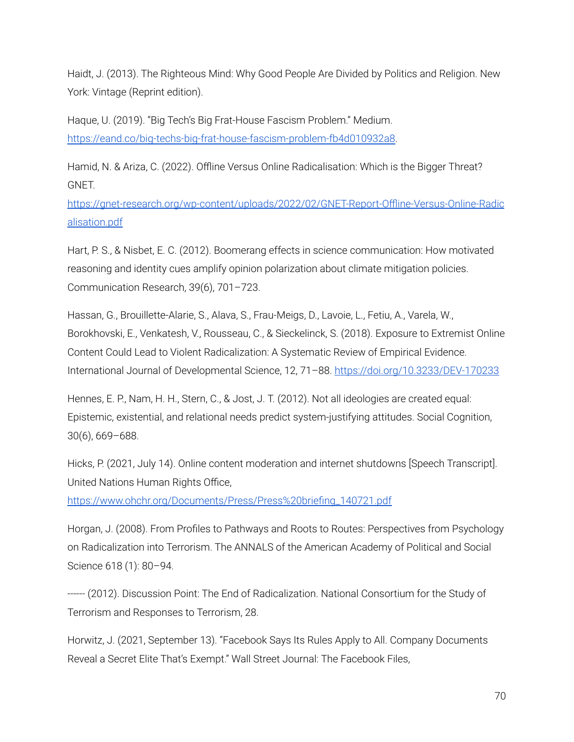Haidt, J. (2013). The Righteous Mind: Why Good People Are Divided by Politics and Religion. New York: Vintage (Reprint edition).

Haque, U. (2019). "Big Tech's Big Frat-House Fascism Problem." Medium. [https://eand.co/big-techs-big-frat-house-fascism-problem-fb4d010932a8.](https://eand.co/big-techs-big-frat-house-fascism-problem-fb4d010932a8)

Hamid, N. & Ariza, C. (2022). Offline Versus Online Radicalisation: Which is the Bigger Threat? GNET.

[https://gnet-research.org/wp-content/uploads/2022/02/GNET-Report-Offline-Versus-Online-Radic](https://gnet-research.org/wp-content/uploads/2022/02/GNET-Report-Offline-Versus-Online-Radicalisation.pdf) [alisation.pdf](https://gnet-research.org/wp-content/uploads/2022/02/GNET-Report-Offline-Versus-Online-Radicalisation.pdf)

Hart, P. S., & Nisbet, E. C. (2012). Boomerang effects in science communication: How motivated reasoning and identity cues amplify opinion polarization about climate mitigation policies. Communication Research, 39(6), 701–723.

Hassan, G., Brouillette-Alarie, S., Alava, S., Frau-Meigs, D., Lavoie, L., Fetiu, A., Varela, W., Borokhovski, E., Venkatesh, V., Rousseau, C., & Sieckelinck, S. (2018). Exposure to Extremist Online Content Could Lead to Violent Radicalization: A Systematic Review of Empirical Evidence. International Journal of Developmental Science, 12, 71–88. <https://doi.org/10.3233/DEV-170233>

Hennes, E. P., Nam, H. H., Stern, C., & Jost, J. T. (2012). Not all ideologies are created equal: Epistemic, existential, and relational needs predict system-justifying attitudes. Social Cognition, 30(6), 669–688.

Hicks, P. (2021, July 14). Online content moderation and internet shutdowns [Speech Transcript]. United Nations Human Rights Office,

[https://www.ohchr.org/Documents/Press/Press%20briefing\\_140721.pdf](https://www.ohchr.org/Documents/Press/Press%20briefing_140721.pdf)

Horgan, J. (2008). From Profiles to Pathways and Roots to Routes: Perspectives from Psychology on Radicalization into Terrorism. The ANNALS of the American Academy of Political and Social Science 618 (1): 80–94.

------ (2012). Discussion Point: The End of Radicalization. National Consortium for the Study of Terrorism and Responses to Terrorism, 28.

Horwitz, J. (2021, September 13). "Facebook Says Its Rules Apply to All. Company Documents Reveal a Secret Elite That's Exempt." Wall Street Journal: The Facebook Files,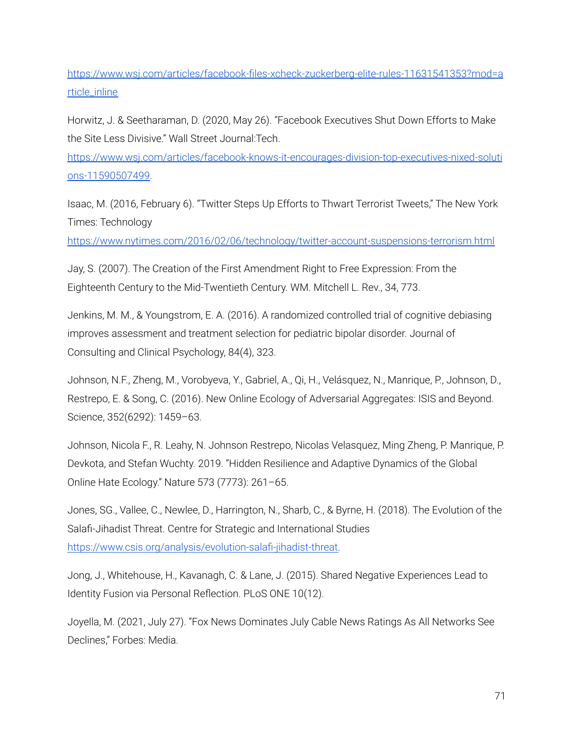[https://www.wsj.com/articles/facebook-files-xcheck-zuckerberg-elite-rules-11631541353?mod=a](https://www.wsj.com/articles/facebook-files-xcheck-zuckerberg-elite-rules-11631541353?mod=article_inline) [rticle\\_inline](https://www.wsj.com/articles/facebook-files-xcheck-zuckerberg-elite-rules-11631541353?mod=article_inline)

Horwitz, J. & Seetharaman, D. (2020, May 26). "Facebook Executives Shut Down Efforts to Make the Site Less Divisive." Wall Street Journal:Tech.

[https://www.wsj.com/articles/facebook-knows-it-encourages-division-top-executives-nixed-soluti](https://www.wsj.com/articles/facebook-knows-it-encourages-division-top-executives-nixed-solutions-11590507499) [ons-11590507499.](https://www.wsj.com/articles/facebook-knows-it-encourages-division-top-executives-nixed-solutions-11590507499)

Isaac, M. (2016, February 6). "Twitter Steps Up Efforts to Thwart Terrorist Tweets," The New York Times: Technology

<https://www.nytimes.com/2016/02/06/technology/twitter-account-suspensions-terrorism.html>

Jay, S. (2007). The Creation of the First Amendment Right to Free Expression: From the Eighteenth Century to the Mid-Twentieth Century. WM. Mitchell L. Rev., 34, 773.

Jenkins, M. M., & Youngstrom, E. A. (2016). A randomized controlled trial of cognitive debiasing improves assessment and treatment selection for pediatric bipolar disorder. Journal of Consulting and Clinical Psychology, 84(4), 323.

Johnson, N.F., Zheng, M., Vorobyeva, Y., Gabriel, A., Qi, H., Velásquez, N., Manrique, P., Johnson, D., Restrepo, E. & Song, C. (2016). New Online Ecology of Adversarial Aggregates: ISIS and Beyond. Science, 352(6292): 1459–63.

Johnson, Nicola F., R. Leahy, N. Johnson Restrepo, Nicolas Velasquez, Ming Zheng, P. Manrique, P. Devkota, and Stefan Wuchty. 2019. "Hidden Resilience and Adaptive Dynamics of the Global Online Hate Ecology." Nature 573 (7773): 261–65.

Jones, SG., Vallee, C., Newlee, D., Harrington, N., Sharb, C., & Byrne, H. (2018). The Evolution of the Salafi-Jihadist Threat. Centre for Strategic and International Studies [https://www.csis.org/analysis/evolution-salafi-jihadist-threat.](https://www.csis.org/analysis/evolution-salafi-jihadist-threat)

Jong, J., Whitehouse, H., Kavanagh, C. & Lane, J. (2015). Shared Negative Experiences Lead to Identity Fusion via Personal Reflection. PLoS ONE 10(12).

Joyella, M. (2021, July 27). "Fox News Dominates July Cable News Ratings As All Networks See Declines," Forbes: Media.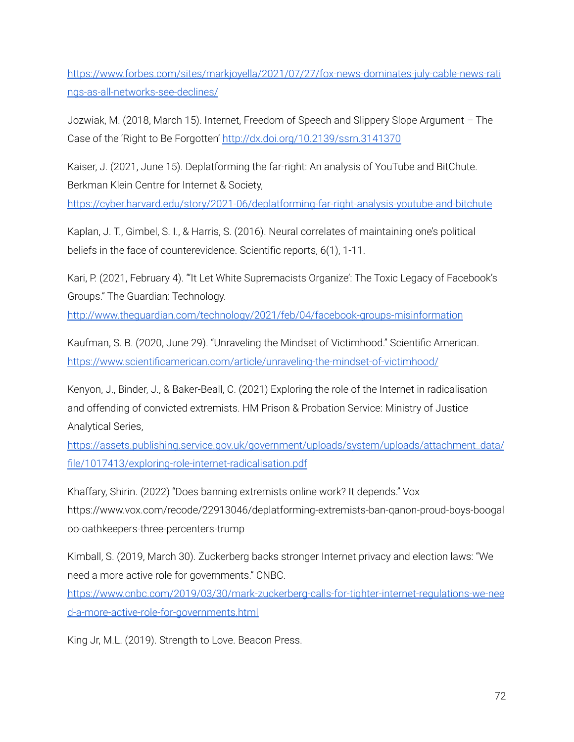[https://www.forbes.com/sites/markjoyella/2021/07/27/fox-news-dominates-july-cable-news-rati](https://www.forbes.com/sites/markjoyella/2021/07/27/fox-news-dominates-july-cable-news-ratings-as-all-networks-see-declines/) [ngs-as-all-networks-see-declines/](https://www.forbes.com/sites/markjoyella/2021/07/27/fox-news-dominates-july-cable-news-ratings-as-all-networks-see-declines/)

Jozwiak, M. (2018, March 15). Internet, Freedom of Speech and Slippery Slope Argument – The Case of the 'Right to Be Forgotten' [http://dx.doi.org/10.2139/ssrn.3141370](https://dx.doi.org/10.2139/ssrn.3141370)

Kaiser, J. (2021, June 15). Deplatforming the far-right: An analysis of YouTube and BitChute. Berkman Klein Centre for Internet & Society, <https://cyber.harvard.edu/story/2021-06/deplatforming-far-right-analysis-youtube-and-bitchute>

Kaplan, J. T., Gimbel, S. I., & Harris, S. (2016). Neural correlates of maintaining one's political beliefs in the face of counterevidence. Scientific reports, 6(1), 1-11.

Kari, P. (2021, February 4). "'It Let White Supremacists Organize': The Toxic Legacy of Facebook's Groups." The Guardian: Technology.

<http://www.theguardian.com/technology/2021/feb/04/facebook-groups-misinformation>

Kaufman, S. B. (2020, June 29). "Unraveling the Mindset of Victimhood." Scientific American. <https://www.scientificamerican.com/article/unraveling-the-mindset-of-victimhood/>

Kenyon, J., Binder, J., & Baker-Beall, C. (2021) Exploring the role of the Internet in radicalisation and offending of convicted extremists. HM Prison & Probation Service: Ministry of Justice Analytical Series,

[https://assets.publishing.service.gov.uk/government/uploads/system/uploads/attachment\\_data/](https://assets.publishing.service.gov.uk/government/uploads/system/uploads/attachment_data/file/1017413/exploring-role-internet-radicalisation.pdf) [file/1017413/exploring-role-internet-radicalisation.pdf](https://assets.publishing.service.gov.uk/government/uploads/system/uploads/attachment_data/file/1017413/exploring-role-internet-radicalisation.pdf)

Khaffary, Shirin. (2022) "Does banning extremists online work? It depends." Vox https://www.vox.com/recode/22913046/deplatforming-extremists-ban-qanon-proud-boys-boogal oo-oathkeepers-three-percenters-trump

Kimball, S. (2019, March 30). Zuckerberg backs stronger Internet privacy and election laws: "We need a more active role for governments." CNBC.

[https://www.cnbc.com/2019/03/30/mark-zuckerberg-calls-for-tighter-internet-regulations-we-nee](https://www.cnbc.com/2019/03/30/mark-zuckerberg-calls-for-tighter-internet-regulations-we-need-a-more-active-role-for-governments.html) [d-a-more-active-role-for-governments.html](https://www.cnbc.com/2019/03/30/mark-zuckerberg-calls-for-tighter-internet-regulations-we-need-a-more-active-role-for-governments.html)

King Jr, M.L. (2019). Strength to Love. Beacon Press.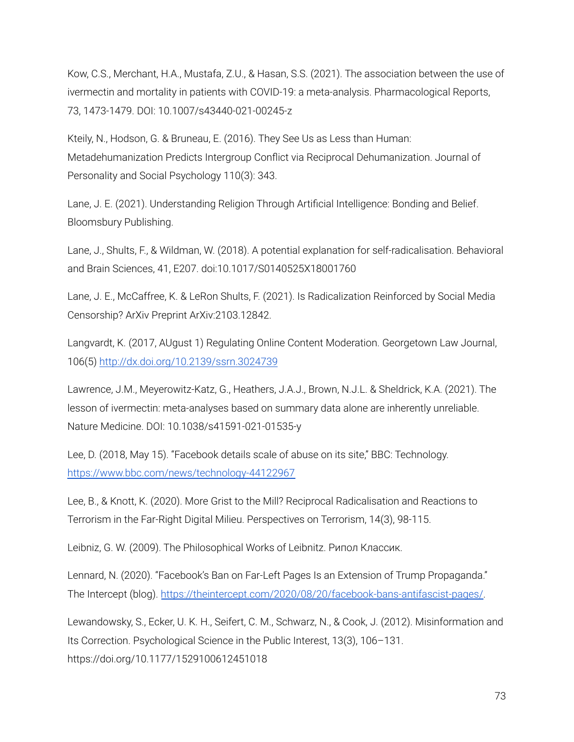Kow, C.S., Merchant, H.A., Mustafa, Z.U., & Hasan, S.S. (2021). The association between the use of ivermectin and mortality in patients with COVID-19: a meta-analysis. Pharmacological Reports, 73, 1473-1479. DOI: 10.1007/s43440-021-00245-z

Kteily, N., Hodson, G. & Bruneau, E. (2016). They See Us as Less than Human: Metadehumanization Predicts Intergroup Conflict via Reciprocal Dehumanization. Journal of Personality and Social Psychology 110(3): 343.

Lane, J. E. (2021). Understanding Religion Through Artificial Intelligence: Bonding and Belief. Bloomsbury Publishing.

Lane, J., Shults, F., & Wildman, W. (2018). A potential explanation for self-radicalisation. Behavioral and Brain Sciences, 41, E207. doi:10.1017/S0140525X18001760

Lane, J. E., McCaffree, K. & LeRon Shults, F. (2021). Is Radicalization Reinforced by Social Media Censorship? ArXiv Preprint ArXiv:2103.12842.

Langvardt, K. (2017, AUgust 1) Regulating Online Content Moderation. Georgetown Law Journal, 106(5) [http://dx.doi.org/10.2139/ssrn.3024739](https://dx.doi.org/10.2139/ssrn.3024739)

Lawrence, J.M., Meyerowitz-Katz, G., Heathers, J.A.J., Brown, N.J.L. & Sheldrick, K.A. (2021). The lesson of ivermectin: meta-analyses based on summary data alone are inherently unreliable. Nature Medicine. DOI: 10.1038/s41591-021-01535-y

Lee, D. (2018, May 15). "Facebook details scale of abuse on its site," BBC: Technology. <https://www.bbc.com/news/technology-44122967>

Lee, B., & Knott, K. (2020). More Grist to the Mill? Reciprocal Radicalisation and Reactions to Terrorism in the Far-Right Digital Milieu. Perspectives on Terrorism, 14(3), 98-115.

Leibniz, G. W. (2009). The Philosophical Works of Leibnitz. Рипол Классик.

Lennard, N. (2020). "Facebook's Ban on Far-Left Pages Is an Extension of Trump Propaganda." The Intercept (blog). [https://theintercept.com/2020/08/20/facebook-bans-antifascist-pages/.](https://theintercept.com/2020/08/20/facebook-bans-antifascist-pages/)

Lewandowsky, S., Ecker, U. K. H., Seifert, C. M., Schwarz, N., & Cook, J. (2012). Misinformation and Its Correction. Psychological Science in the Public Interest, 13(3), 106–131. https://doi.org/10.1177/1529100612451018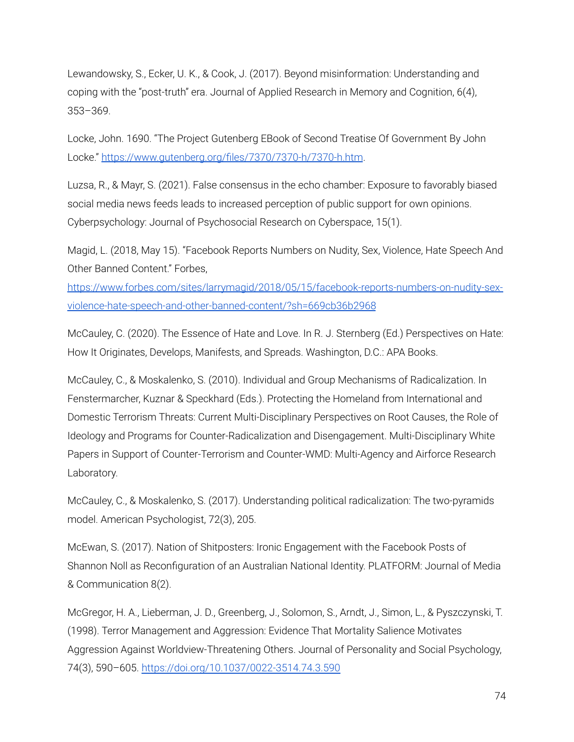Lewandowsky, S., Ecker, U. K., & Cook, J. (2017). Beyond misinformation: Understanding and coping with the "post-truth" era. Journal of Applied Research in Memory and Cognition, 6(4), 353–369.

Locke, John. 1690. "The Project Gutenberg EBook of Second Treatise Of Government By John Locke." <https://www.gutenberg.org/files/7370/7370-h/7370-h.htm>.

Luzsa, R., & Mayr, S. (2021). False consensus in the echo chamber: Exposure to favorably biased social media news feeds leads to increased perception of public support for own opinions. Cyberpsychology: Journal of Psychosocial Research on Cyberspace, 15(1).

Magid, L. (2018, May 15). "Facebook Reports Numbers on Nudity, Sex, Violence, Hate Speech And Other Banned Content." Forbes,

[https://www.forbes.com/sites/larrymagid/2018/05/15/facebook-reports-numbers-on-nudity-sex](https://www.forbes.com/sites/larrymagid/2018/05/15/facebook-reports-numbers-on-nudity-sex-violence-hate-speech-and-other-banned-content/?sh=669cb36b2968)[violence-hate-speech-and-other-banned-content/?sh=669cb36b2968](https://www.forbes.com/sites/larrymagid/2018/05/15/facebook-reports-numbers-on-nudity-sex-violence-hate-speech-and-other-banned-content/?sh=669cb36b2968)

McCauley, C. (2020). The Essence of Hate and Love. In R. J. Sternberg (Ed.) Perspectives on Hate: How It Originates, Develops, Manifests, and Spreads. Washington, D.C.: APA Books.

McCauley, C., & Moskalenko, S. (2010). Individual and Group Mechanisms of Radicalization. In Fenstermarcher, Kuznar & Speckhard (Eds.). Protecting the Homeland from International and Domestic Terrorism Threats: Current Multi-Disciplinary Perspectives on Root Causes, the Role of Ideology and Programs for Counter-Radicalization and Disengagement. Multi-Disciplinary White Papers in Support of Counter-Terrorism and Counter-WMD: Multi-Agency and Airforce Research Laboratory.

McCauley, C., & Moskalenko, S. (2017). Understanding political radicalization: The two-pyramids model. American Psychologist, 72(3), 205.

McEwan, S. (2017). Nation of Shitposters: Ironic Engagement with the Facebook Posts of Shannon Noll as Reconfiguration of an Australian National Identity. PLATFORM: Journal of Media & Communication 8(2).

McGregor, H. A., Lieberman, J. D., Greenberg, J., Solomon, S., Arndt, J., Simon, L., & Pyszczynski, T. (1998). Terror Management and Aggression: Evidence That Mortality Salience Motivates Aggression Against Worldview-Threatening Others. Journal of Personality and Social Psychology, 74(3), 590–605. <https://doi.org/10.1037/0022-3514.74.3.590>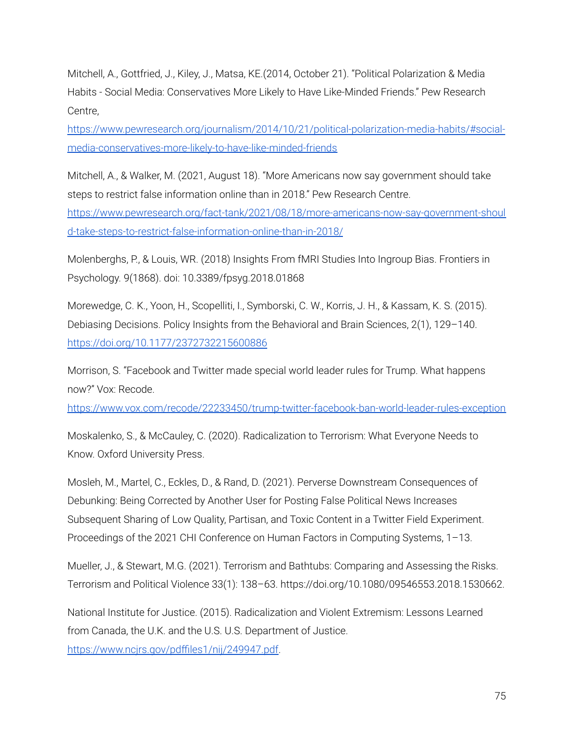Mitchell, A., Gottfried, J., Kiley, J., Matsa, KE.(2014, October 21). "Political Polarization & Media Habits - Social Media: Conservatives More Likely to Have Like-Minded Friends." Pew Research Centre,

[https://www.pewresearch.org/journalism/2014/10/21/political-polarization-media-habits/#social](https://www.pewresearch.org/journalism/2014/10/21/political-polarization-media-habits/#social-media-conservatives-more-likely-to-have-like-minded-friends)[media-conservatives-more-likely-to-have-like-minded-friends](https://www.pewresearch.org/journalism/2014/10/21/political-polarization-media-habits/#social-media-conservatives-more-likely-to-have-like-minded-friends)

Mitchell, A., & Walker, M. (2021, August 18). "More Americans now say government should take steps to restrict false information online than in 2018." Pew Research Centre.

[https://www.pewresearch.org/fact-tank/2021/08/18/more-americans-now-say-government-shoul](https://www.pewresearch.org/fact-tank/2021/08/18/more-americans-now-say-government-should-take-steps-to-restrict-false-information-online-than-in-2018/) [d-take-steps-to-restrict-false-information-online-than-in-2018/](https://www.pewresearch.org/fact-tank/2021/08/18/more-americans-now-say-government-should-take-steps-to-restrict-false-information-online-than-in-2018/)

Molenberghs, P., & Louis, WR. (2018) Insights From fMRI Studies Into Ingroup Bias. Frontiers in Psychology. 9(1868). doi: 10.3389/fpsyg.2018.01868

Morewedge, C. K., Yoon, H., Scopelliti, I., Symborski, C. W., Korris, J. H., & Kassam, K. S. (2015). Debiasing Decisions. Policy Insights from the Behavioral and Brain Sciences, 2(1), 129–140. <https://doi.org/10.1177/2372732215600886>

Morrison, S. "Facebook and Twitter made special world leader rules for Trump. What happens now?" Vox: Recode.

<https://www.vox.com/recode/22233450/trump-twitter-facebook-ban-world-leader-rules-exception>

Moskalenko, S., & McCauley, C. (2020). Radicalization to Terrorism: What Everyone Needs to Know. Oxford University Press.

Mosleh, M., Martel, C., Eckles, D., & Rand, D. (2021). Perverse Downstream Consequences of Debunking: Being Corrected by Another User for Posting False Political News Increases Subsequent Sharing of Low Quality, Partisan, and Toxic Content in a Twitter Field Experiment. Proceedings of the 2021 CHI Conference on Human Factors in Computing Systems, 1–13.

Mueller, J., & Stewart, M.G. (2021). Terrorism and Bathtubs: Comparing and Assessing the Risks. Terrorism and Political Violence 33(1): 138–63. https://doi.org/10.1080/09546553.2018.1530662.

National Institute for Justice. (2015). Radicalization and Violent Extremism: Lessons Learned from Canada, the U.K. and the U.S. U.S. Department of Justice. <https://www.ncjrs.gov/pdffiles1/nij/249947.pdf>.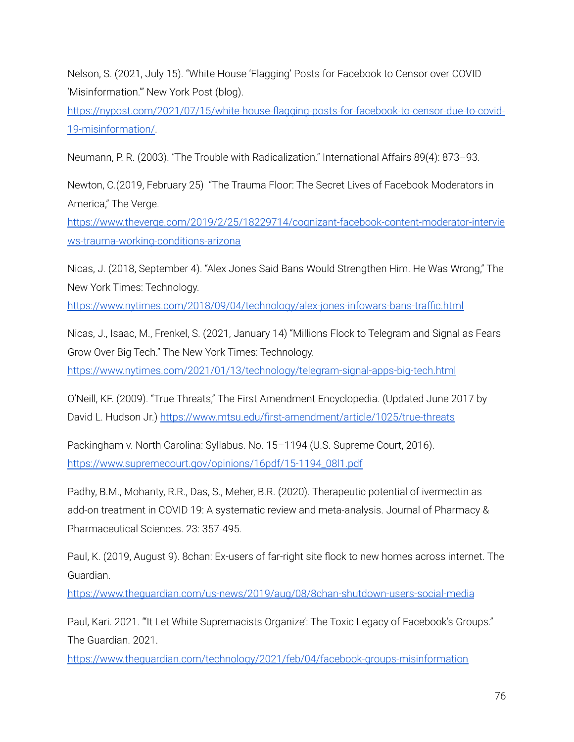Nelson, S. (2021, July 15). "White House 'Flagging' Posts for Facebook to Censor over COVID 'Misinformation.'" New York Post (blog).

[https://nypost.com/2021/07/15/white-house-flagging-posts-for-facebook-to-censor-due-to-covid-](https://nypost.com/2021/07/15/white-house-flagging-posts-for-facebook-to-censor-due-to-covid-19-misinformation/)[19-misinformation/](https://nypost.com/2021/07/15/white-house-flagging-posts-for-facebook-to-censor-due-to-covid-19-misinformation/).

Neumann, P. R. (2003). "The Trouble with Radicalization." International Affairs 89(4): 873–93.

Newton, C.(2019, February 25) "The Trauma Floor: The Secret Lives of Facebook Moderators in America," The Verge.

[https://www.theverge.com/2019/2/25/18229714/cognizant-facebook-content-moderator-intervie](https://www.theverge.com/2019/2/25/18229714/cognizant-facebook-content-moderator-interviews-trauma-working-conditions-arizona) [ws-trauma-working-conditions-arizona](https://www.theverge.com/2019/2/25/18229714/cognizant-facebook-content-moderator-interviews-trauma-working-conditions-arizona)

Nicas, J. (2018, September 4). "Alex Jones Said Bans Would Strengthen Him. He Was Wrong," The New York Times: Technology.

<https://www.nytimes.com/2018/09/04/technology/alex-jones-infowars-bans-traffic.html>

Nicas, J., Isaac, M., Frenkel, S. (2021, January 14) "Millions Flock to Telegram and Signal as Fears Grow Over Big Tech." The New York Times: Technology.

<https://www.nytimes.com/2021/01/13/technology/telegram-signal-apps-big-tech.html>

O'Neill, KF. (2009). "True Threats," The First Amendment Encyclopedia. (Updated June 2017 by David L. Hudson Jr.) <https://www.mtsu.edu/first-amendment/article/1025/true-threats>

Packingham v. North Carolina: Syllabus. No. 15–1194 (U.S. Supreme Court, 2016). [https://www.supremecourt.gov/opinions/16pdf/15-1194\\_08l1.pdf](https://www.supremecourt.gov/opinions/16pdf/15-1194_08l1.pdf)

Padhy, B.M., Mohanty, R.R., Das, S., Meher, B.R. (2020). Therapeutic potential of ivermectin as add-on treatment in COVID 19: A systematic review and meta-analysis. Journal of Pharmacy & Pharmaceutical Sciences. 23: 357-495.

Paul, K. (2019, August 9). 8chan: Ex-users of far-right site flock to new homes across internet. The Guardian.

<https://www.theguardian.com/us-news/2019/aug/08/8chan-shutdown-users-social-media>

Paul, Kari. 2021. "It Let White Supremacists Organize': The Toxic Legacy of Facebook's Groups." The Guardian. 2021.

<https://www.theguardian.com/technology/2021/feb/04/facebook-groups-misinformation>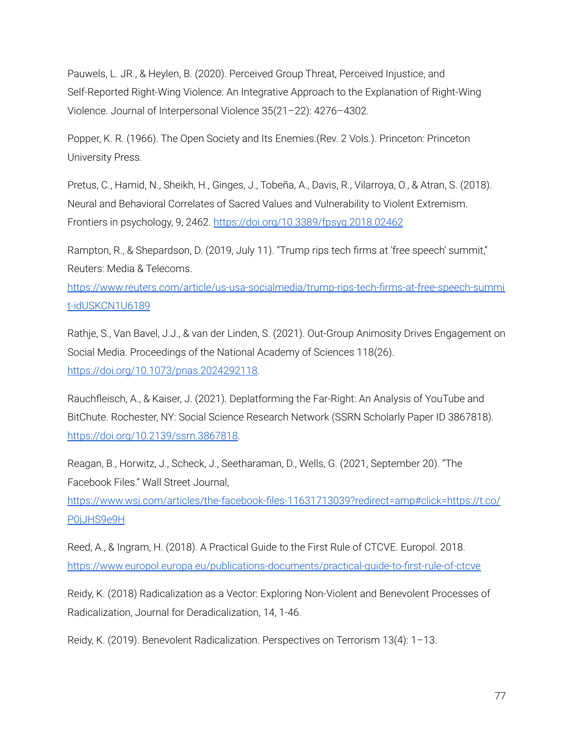Pauwels, L. JR., & Heylen, B. (2020). Perceived Group Threat, Perceived Injustice, and Self-Reported Right-Wing Violence: An Integrative Approach to the Explanation of Right-Wing Violence. Journal of Interpersonal Violence 35(21–22): 4276–4302.

Popper, K. R. (1966). The Open Society and Its Enemies.(Rev. 2 Vols.). Princeton: Princeton University Press.

Pretus, C., Hamid, N., Sheikh, H., Ginges, J., Tobeña, A., Davis, R., Vilarroya, O., & Atran, S. (2018). Neural and Behavioral Correlates of Sacred Values and Vulnerability to Violent Extremism. Frontiers in psychology, 9, 2462. <https://doi.org/10.3389/fpsyg.2018.02462>

Rampton, R., & Shepardson, D. (2019, July 11). "Trump rips tech firms at 'free speech' summit," Reuters: Media & Telecoms.

[https://www.reuters.com/article/us-usa-socialmedia/trump-rips-tech-firms-at-free-speech-summi](https://www.reuters.com/article/us-usa-socialmedia/trump-rips-tech-firms-at-free-speech-summit-idUSKCN1U6189) [t-idUSKCN1U6189](https://www.reuters.com/article/us-usa-socialmedia/trump-rips-tech-firms-at-free-speech-summit-idUSKCN1U6189)

Rathje, S., Van Bavel, J.J., & van der Linden, S. (2021). Out-Group Animosity Drives Engagement on Social Media. Proceedings of the National Academy of Sciences 118(26). [https://doi.org/10.1073/pnas.2024292118.](https://doi.org/10.1073/pnas.2024292118)

Rauchfleisch, A., & Kaiser, J. (2021). Deplatforming the Far-Right: An Analysis of YouTube and BitChute. Rochester, NY: Social Science Research Network (SSRN Scholarly Paper ID 3867818). [https://doi.org/10.2139/ssrn.3867818.](https://doi.org/10.2139/ssrn.3867818)

Reagan, B., Horwitz, J., Scheck, J., Seetharaman, D., Wells, G. (2021, September 20). "The Facebook Files." Wall Street Journal,

[https://www.wsj.com/articles/the-facebook-files-11631713039?redirect=amp#click=https://t.co/](https://www.wsj.com/articles/the-facebook-files-11631713039?redirect=amp#click=https://t.co/P0jJHS9e9H) [P0jJHS9e9H](https://www.wsj.com/articles/the-facebook-files-11631713039?redirect=amp#click=https://t.co/P0jJHS9e9H)

Reed, A., & Ingram, H. (2018). A Practical Guide to the First Rule of CTCVE. Europol. 2018. <https://www.europol.europa.eu/publications-documents/practical-guide-to-first-rule-of-ctcve>

Reidy, K. (2018) Radicalization as a Vector: Exploring Non-Violent and Benevolent Processes of Radicalization, Journal for Deradicalization, 14, 1-46.

Reidy, K. (2019). Benevolent Radicalization. Perspectives on Terrorism 13(4): 1–13.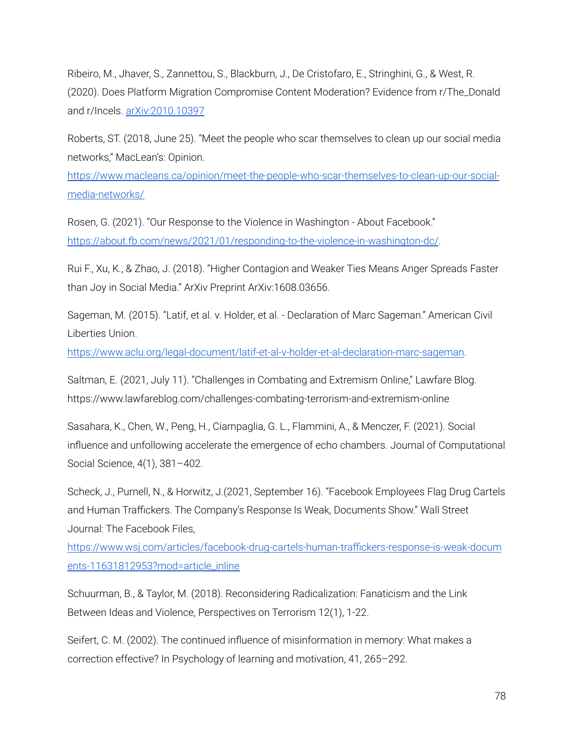Ribeiro, M., Jhaver, S., Zannettou, S., Blackburn, J., De Cristofaro, E., Stringhini, G., & West, R. (2020). Does Platform Migration Compromise Content Moderation? Evidence from r/The\_Donald and r/Incels. [arXiv:2010.10397](https://www.semion.io/Article/Link?docID=1816301&id=arXiv%3A2010.10397&l=http%3A%2F%2Fwww.arxiv.org%2Fabs%2F2010.10397)

Roberts, ST. (2018, June 25). "Meet the people who scar themselves to clean up our social media networks," MacLean's: Opinion.

[https://www.macleans.ca/opinion/meet-the-people-who-scar-themselves-to-clean-up-our-social](https://www.macleans.ca/opinion/meet-the-people-who-scar-themselves-to-clean-up-our-social-media-networks/)[media-networks/](https://www.macleans.ca/opinion/meet-the-people-who-scar-themselves-to-clean-up-our-social-media-networks/)

Rosen, G. (2021). "Our Response to the Violence in Washington - About Facebook." [https://about.fb.com/news/2021/01/responding-to-the-violence-in-washington-dc/.](https://about.fb.com/news/2021/01/responding-to-the-violence-in-washington-dc/)

Rui F., Xu, K., & Zhao, J. (2018). "Higher Contagion and Weaker Ties Means Anger Spreads Faster than Joy in Social Media." ArXiv Preprint ArXiv:1608.03656.

Sageman, M. (2015). "Latif, et al. v. Holder, et al. - Declaration of Marc Sageman." American Civil Liberties Union.

<https://www.aclu.org/legal-document/latif-et-al-v-holder-et-al-declaration-marc-sageman>.

Saltman, E. (2021, July 11). "Challenges in Combating and Extremism Online," Lawfare Blog. https://www.lawfareblog.com/challenges-combating-terrorism-and-extremism-online

Sasahara, K., Chen, W., Peng, H., Ciampaglia, G. L., Flammini, A., & Menczer, F. (2021). Social influence and unfollowing accelerate the emergence of echo chambers. Journal of Computational Social Science, 4(1), 381–402.

Scheck, J., Purnell, N., & Horwitz, J.(2021, September 16). "Facebook Employees Flag Drug Cartels and Human Traffickers. The Company's Response Is Weak, Documents Show." Wall Street Journal: The Facebook Files,

[https://www.wsj.com/articles/facebook-drug-cartels-human-traffickers-response-is-weak-docum](https://www.wsj.com/articles/facebook-drug-cartels-human-traffickers-response-is-weak-documents-11631812953?mod=article_inline) [ents-11631812953?mod=article\\_inline](https://www.wsj.com/articles/facebook-drug-cartels-human-traffickers-response-is-weak-documents-11631812953?mod=article_inline)

Schuurman, B., & Taylor, M. (2018). Reconsidering Radicalization: Fanaticism and the Link Between Ideas and Violence, Perspectives on Terrorism 12(1), 1-22.

Seifert, C. M. (2002). The continued influence of misinformation in memory: What makes a correction effective? In Psychology of learning and motivation, 41, 265–292.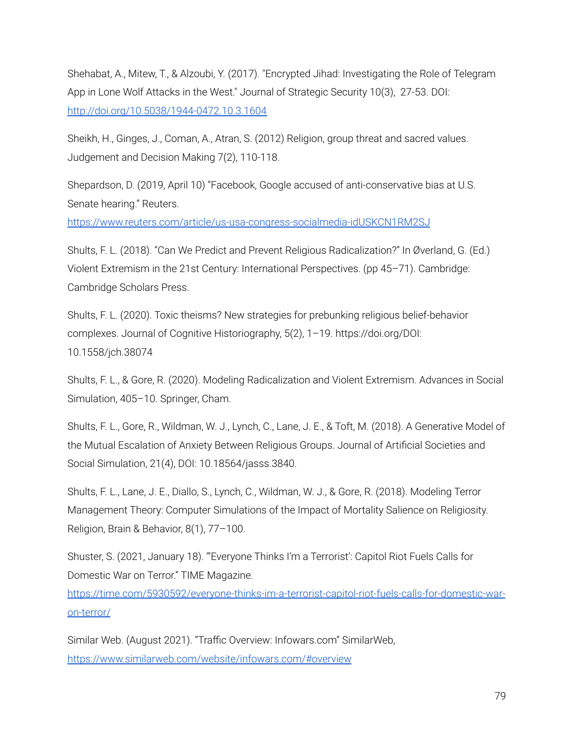Shehabat, A., Mitew, T., & Alzoubi, Y. (2017). "Encrypted Jihad: Investigating the Role of Telegram App in Lone Wolf Attacks in the West." Journal of Strategic Security 10(3), 27-53. DOI: <http://doi.org/10.5038/1944-0472.10.3.1604>

Sheikh, H., Ginges, J., Coman, A., Atran, S. (2012) Religion, group threat and sacred values. Judgement and Decision Making 7(2), 110-118.

Shepardson, D. (2019, April 10) "Facebook, Google accused of anti-conservative bias at U.S. Senate hearing." Reuters.

<https://www.reuters.com/article/us-usa-congress-socialmedia-idUSKCN1RM2SJ>

Shults, F. L. (2018). "Can We Predict and Prevent Religious Radicalization?" In Øverland, G. (Ed.) Violent Extremism in the 21st Century: International Perspectives. (pp 45–71). Cambridge: Cambridge Scholars Press.

Shults, F. L. (2020). Toxic theisms? New strategies for prebunking religious belief-behavior complexes. Journal of Cognitive Historiography, 5(2), 1–19. https://doi.org/DOI: 10.1558/jch.38074

Shults, F. L., & Gore, R. (2020). Modeling Radicalization and Violent Extremism. Advances in Social Simulation, 405–10. Springer, Cham.

Shults, F. L., Gore, R., Wildman, W. J., Lynch, C., Lane, J. E., & Toft, M. (2018). A Generative Model of the Mutual Escalation of Anxiety Between Religious Groups. Journal of Artificial Societies and Social Simulation, 21(4), DOI: 10.18564/jasss.3840.

Shults, F. L., Lane, J. E., Diallo, S., Lynch, C., Wildman, W. J., & Gore, R. (2018). Modeling Terror Management Theory: Computer Simulations of the Impact of Mortality Salience on Religiosity. Religion, Brain & Behavior, 8(1), 77–100.

Shuster, S. (2021, January 18). "'Everyone Thinks I'm a Terrorist': Capitol Riot Fuels Calls for Domestic War on Terror." TIME Magazine.

[https://time.com/5930592/everyone-thinks-im-a-terrorist-capitol-riot-fuels-calls-for-domestic-war](https://time.com/5930592/everyone-thinks-im-a-terrorist-capitol-riot-fuels-calls-for-domestic-war-on-terror/)[on-terror/](https://time.com/5930592/everyone-thinks-im-a-terrorist-capitol-riot-fuels-calls-for-domestic-war-on-terror/)

Similar Web. (August 2021). "Traffic Overview: Infowars.com" SimilarWeb, <https://www.similarweb.com/website/infowars.com/#overview>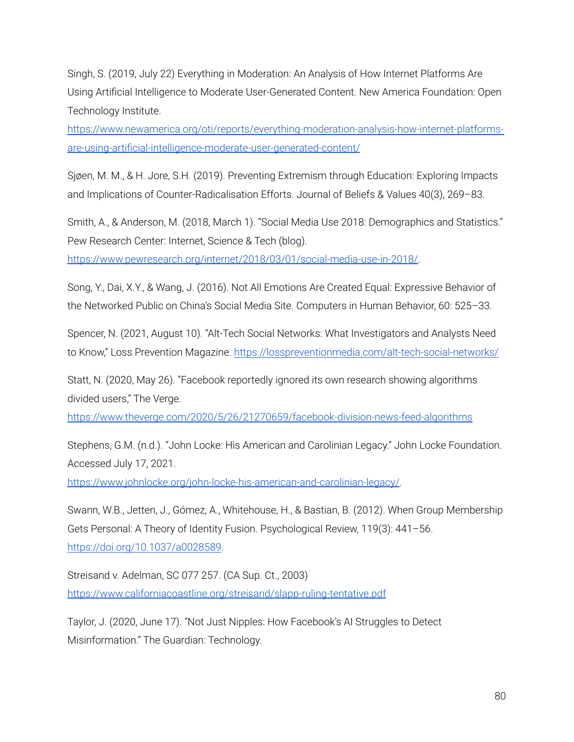Singh, S. (2019, July 22) Everything in Moderation: An Analysis of How Internet Platforms Are Using Artificial Intelligence to Moderate User-Generated Content. New America Foundation: Open Technology Institute.

[https://www.newamerica.org/oti/reports/everything-moderation-analysis-how-internet-platforms](https://www.newamerica.org/oti/reports/everything-moderation-analysis-how-internet-platforms-are-using-artificial-intelligence-moderate-user-generated-content/)[are-using-artificial-intelligence-moderate-user-generated-content/](https://www.newamerica.org/oti/reports/everything-moderation-analysis-how-internet-platforms-are-using-artificial-intelligence-moderate-user-generated-content/)

Sjøen, M. M., & H. Jore, S.H. (2019). Preventing Extremism through Education: Exploring Impacts and Implications of Counter-Radicalisation Efforts. Journal of Beliefs & Values 40(3), 269–83.

Smith, A., & Anderson, M. (2018, March 1). "Social Media Use 2018: Demographics and Statistics." Pew Research Center: Internet, Science & Tech (blog).

<https://www.pewresearch.org/internet/2018/03/01/social-media-use-in-2018/>.

Song, Y., Dai, X.Y., & Wang, J. (2016). Not All Emotions Are Created Equal: Expressive Behavior of the Networked Public on China's Social Media Site. Computers in Human Behavior, 60: 525–33.

Spencer, N. (2021, August 10). "Alt-Tech Social Networks: What Investigators and Analysts Need to Know," Loss Prevention Magazine. <https://losspreventionmedia.com/alt-tech-social-networks/>

Statt, N. (2020, May 26). "Facebook reportedly ignored its own research showing algorithms divided users," The Verge.

<https://www.theverge.com/2020/5/26/21270659/facebook-division-news-feed-algorithms>

Stephens, G.M. (n.d.). "John Locke: His American and Carolinian Legacy." John Locke Foundation. Accessed July 17, 2021.

<https://www.johnlocke.org/john-locke-his-american-and-carolinian-legacy/>.

Swann, W.B., Jetten, J., Gómez, A., Whitehouse, H., & Bastian, B. (2012). When Group Membership Gets Personal: A Theory of Identity Fusion. Psychological Review, 119(3): 441–56. <https://doi.org/10.1037/a0028589>.

Streisand v. Adelman, SC 077 257. (CA Sup. Ct., 2003) <https://www.californiacoastline.org/streisand/slapp-ruling-tentative.pdf>

Taylor, J. (2020, June 17). "Not Just Nipples: How Facebook's AI Struggles to Detect Misinformation." The Guardian: Technology.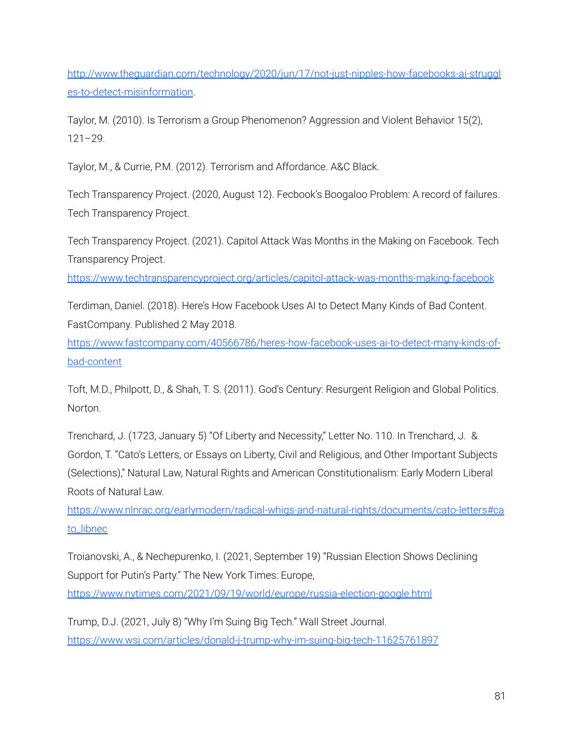[http://www.theguardian.com/technology/2020/jun/17/not-just-nipples-how-facebooks-ai-struggl](http://www.theguardian.com/technology/2020/jun/17/not-just-nipples-how-facebooks-ai-struggles-to-detect-misinformation) [es-to-detect-misinformation](http://www.theguardian.com/technology/2020/jun/17/not-just-nipples-how-facebooks-ai-struggles-to-detect-misinformation).

Taylor, M. (2010). Is Terrorism a Group Phenomenon? Aggression and Violent Behavior 15(2), 121–29.

Taylor, M., & Currie, P.M. (2012). Terrorism and Affordance. A&C Black.

Tech Transparency Project. (2020, August 12). Fecbook's Boogaloo Problem: A record of failures. Tech Transparency Project.

Tech Transparency Project. (2021). Capitol Attack Was Months in the Making on Facebook. Tech Transparency Project.

<https://www.techtransparencyproject.org/articles/capitol-attack-was-months-making-facebook>

Terdiman, Daniel. (2018). Here's How Facebook Uses AI to Detect Many Kinds of Bad Content. FastCompany. Published 2 May 2018.

[https://www.fastcompany.com/40566786/heres-how-facebook-uses-ai-to-detect-many-kinds-of](https://www.fastcompany.com/40566786/heres-how-facebook-uses-ai-to-detect-many-kinds-of-bad-content)[bad-content](https://www.fastcompany.com/40566786/heres-how-facebook-uses-ai-to-detect-many-kinds-of-bad-content)

Toft, M.D., Philpott, D., & Shah, T. S. (2011). God's Century: Resurgent Religion and Global Politics. Norton.

Trenchard, J. (1723, January 5) "Of Liberty and Necessity," Letter No. 110. In Trenchard, J. & Gordon, T. "Cato's Letters, or Essays on Liberty, Civil and Religious, and Other Important Subjects (Selections)," Natural Law, Natural Rights and American Constitutionalism: Early Modern Liberal Roots of Natural Law.

[https://www.nlnrac.org/earlymodern/radical-whigs-and-natural-rights/documents/cato-letters#ca](https://www.nlnrac.org/earlymodern/radical-whigs-and-natural-rights/documents/cato-letters#cato_libnec) to libnec

Troianovski, A., & Nechepurenko, I. (2021, September 19) "Russian Election Shows Declining Support for Putin's Party." The New York Times: Europe,

<https://www.nytimes.com/2021/09/19/world/europe/russia-election-google.html>

Trump, D.J. (2021, July 8) "Why I'm Suing Big Tech." Wall Street Journal. <https://www.wsj.com/articles/donald-j-trump-why-im-suing-big-tech-11625761897>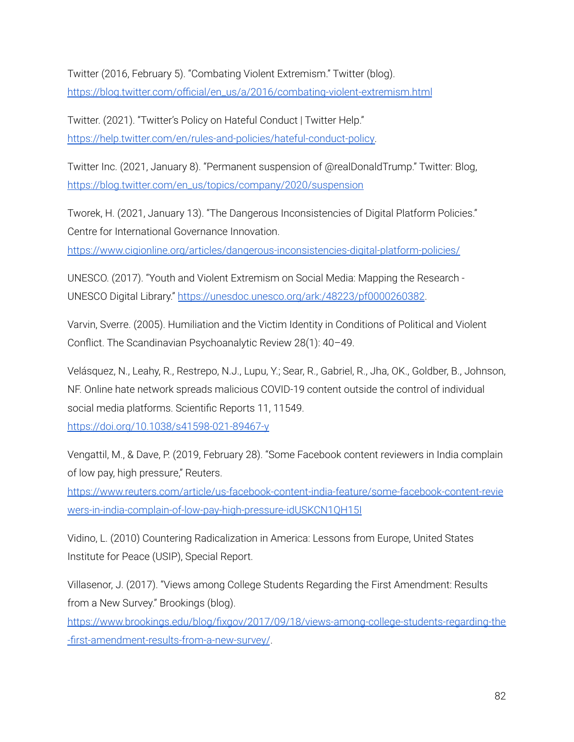Twitter (2016, February 5). "Combating Violent Extremism." Twitter (blog). [https://blog.twitter.com/official/en\\_us/a/2016/combating-violent-extremism.html](https://blog.twitter.com/official/en_us/a/2016/combating-violent-extremism.html)

Twitter. (2021). "Twitter's Policy on Hateful Conduct | Twitter Help." [https://help.twitter.com/en/rules-and-policies/hateful-conduct-policy.](https://help.twitter.com/en/rules-and-policies/hateful-conduct-policy)

Twitter Inc. (2021, January 8). "Permanent suspension of @realDonaldTrump." Twitter: Blog, [https://blog.twitter.com/en\\_us/topics/company/2020/suspension](https://blog.twitter.com/en_us/topics/company/2020/suspension)

Tworek, H. (2021, January 13). "The Dangerous Inconsistencies of Digital Platform Policies." Centre for International Governance Innovation.

<https://www.cigionline.org/articles/dangerous-inconsistencies-digital-platform-policies/>

UNESCO. (2017). "Youth and Violent Extremism on Social Media: Mapping the Research - UNESCO Digital Library." <https://unesdoc.unesco.org/ark:/48223/pf0000260382>.

Varvin, Sverre. (2005). Humiliation and the Victim Identity in Conditions of Political and Violent Conflict. The Scandinavian Psychoanalytic Review 28(1): 40–49.

Velásquez, N., Leahy, R., Restrepo, N.J., Lupu, Y.; Sear, R., Gabriel, R., Jha, OK., Goldber, B., Johnson, NF. Online hate network spreads malicious COVID-19 content outside the control of individual social media platforms. Scientific Reports 11, 11549.

<https://doi.org/10.1038/s41598-021-89467-y>

Vengattil, M., & Dave, P. (2019, February 28). "Some Facebook content reviewers in India complain of low pay, high pressure," Reuters.

[https://www.reuters.com/article/us-facebook-content-india-feature/some-facebook-content-revie](https://www.reuters.com/article/us-facebook-content-india-feature/some-facebook-content-reviewers-in-india-complain-of-low-pay-high-pressure-idUSKCN1QH15I) [wers-in-india-complain-of-low-pay-high-pressure-idUSKCN1QH15I](https://www.reuters.com/article/us-facebook-content-india-feature/some-facebook-content-reviewers-in-india-complain-of-low-pay-high-pressure-idUSKCN1QH15I)

Vidino, L. (2010) Countering Radicalization in America: Lessons from Europe, United States Institute for Peace (USIP), Special Report.

Villasenor, J. (2017). "Views among College Students Regarding the First Amendment: Results from a New Survey." Brookings (blog).

[https://www.brookings.edu/blog/fixgov/2017/09/18/views-among-college-students-regarding-the](https://www.brookings.edu/blog/fixgov/2017/09/18/views-among-college-students-regarding-the-first-amendment-results-from-a-new-survey/) [-first-amendment-results-from-a-new-survey/](https://www.brookings.edu/blog/fixgov/2017/09/18/views-among-college-students-regarding-the-first-amendment-results-from-a-new-survey/).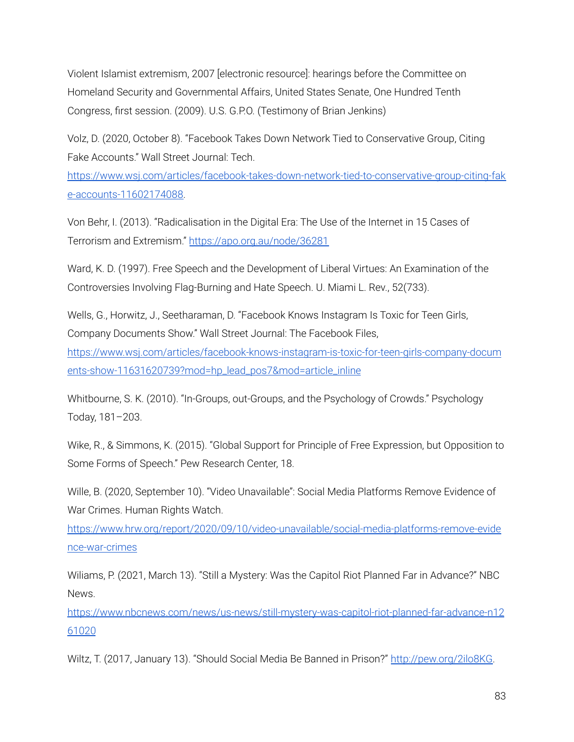Violent Islamist extremism, 2007 [electronic resource]: hearings before the Committee on Homeland Security and Governmental Affairs, United States Senate, One Hundred Tenth Congress, first session. (2009). U.S. G.P.O. (Testimony of Brian Jenkins)

Volz, D. (2020, October 8). "Facebook Takes Down Network Tied to Conservative Group, Citing Fake Accounts." Wall Street Journal: Tech.

[https://www.wsj.com/articles/facebook-takes-down-network-tied-to-conservative-group-citing-fak](https://www.wsj.com/articles/facebook-takes-down-network-tied-to-conservative-group-citing-fake-accounts-11602174088) [e-accounts-11602174088.](https://www.wsj.com/articles/facebook-takes-down-network-tied-to-conservative-group-citing-fake-accounts-11602174088)

Von Behr, I. (2013). "Radicalisation in the Digital Era: The Use of the Internet in 15 Cases of Terrorism and Extremism." <https://apo.org.au/node/36281>

Ward, K. D. (1997). Free Speech and the Development of Liberal Virtues: An Examination of the Controversies Involving Flag-Burning and Hate Speech. U. Miami L. Rev., 52(733).

Wells, G., Horwitz, J., Seetharaman, D. "Facebook Knows Instagram Is Toxic for Teen Girls, Company Documents Show." Wall Street Journal: The Facebook Files,

[https://www.wsj.com/articles/facebook-knows-instagram-is-toxic-for-teen-girls-company-docum](https://www.wsj.com/articles/facebook-knows-instagram-is-toxic-for-teen-girls-company-documents-show-11631620739?mod=hp_lead_pos7&mod=article_inline) [ents-show-11631620739?mod=hp\\_lead\\_pos7&mod=article\\_inline](https://www.wsj.com/articles/facebook-knows-instagram-is-toxic-for-teen-girls-company-documents-show-11631620739?mod=hp_lead_pos7&mod=article_inline)

Whitbourne, S. K. (2010). "In-Groups, out-Groups, and the Psychology of Crowds." Psychology Today, 181–203.

Wike, R., & Simmons, K. (2015). "Global Support for Principle of Free Expression, but Opposition to Some Forms of Speech." Pew Research Center, 18.

Wille, B. (2020, September 10). "Video Unavailable": Social Media Platforms Remove Evidence of War Crimes. Human Rights Watch.

[https://www.hrw.org/report/2020/09/10/video-unavailable/social-media-platforms-remove-evide](https://www.hrw.org/report/2020/09/10/video-unavailable/social-media-platforms-remove-evidence-war-crimes) [nce-war-crimes](https://www.hrw.org/report/2020/09/10/video-unavailable/social-media-platforms-remove-evidence-war-crimes)

Wiliams, P. (2021, March 13). "Still a Mystery: Was the Capitol Riot Planned Far in Advance?" NBC News.

[https://www.nbcnews.com/news/us-news/still-mystery-was-capitol-riot-planned-far-advance-n12](https://www.nbcnews.com/news/us-news/still-mystery-was-capitol-riot-planned-far-advance-n1261020) [61020](https://www.nbcnews.com/news/us-news/still-mystery-was-capitol-riot-planned-far-advance-n1261020)

Wiltz, T. (2017, January 13). "Should Social Media Be Banned in Prison?" [http://pew.org/2ilo8KG.](http://pew.org/2ilo8KG)